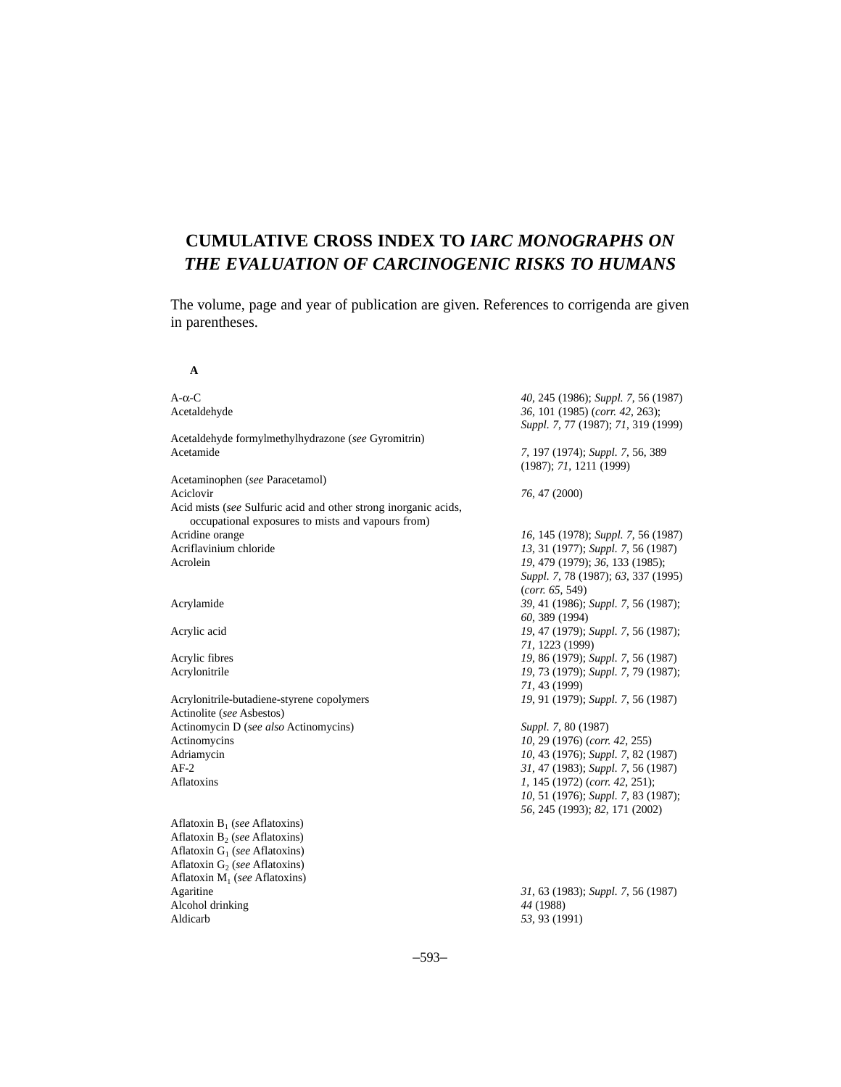# **CUMULATIVE CROSS INDEX TO** *IARC MONOGRAPHS ON THE EVALUATION OF CARCINOGENIC RISKS TO HUMANS*

The volume, page and year of publication are given. References to corrigenda are given in parentheses.

**A**

| $A-\alpha-C$<br>Acetaldehyde                                                                                         | 40, 245 (1986); Suppl. 7, 56 (1987)<br>36, 101 (1985) (corr. 42, 263);<br>Suppl. 7, 77 (1987); 71, 319 (1999) |
|----------------------------------------------------------------------------------------------------------------------|---------------------------------------------------------------------------------------------------------------|
| Acetaldehyde formylmethylhydrazone (see Gyromitrin)<br>Acetamide                                                     | 7, 197 (1974); Suppl. 7, 56, 389<br>(1987); 71, 1211 (1999)                                                   |
| Acetaminophen (see Paracetamol)<br>Aciclovir                                                                         | 76, 47 (2000)                                                                                                 |
| Acid mists (see Sulfuric acid and other strong inorganic acids,<br>occupational exposures to mists and vapours from) |                                                                                                               |
| Acridine orange                                                                                                      | 16, 145 (1978); Suppl. 7, 56 (1987)                                                                           |
| Acriflavinium chloride<br>Acrolein                                                                                   | 13, 31 (1977); Suppl. 7, 56 (1987)<br>19, 479 (1979); 36, 133 (1985);                                         |
|                                                                                                                      | Suppl. 7, 78 (1987); 63, 337 (1995)<br>(corr. 65, 549)                                                        |
| Acrylamide                                                                                                           | 39, 41 (1986); Suppl. 7, 56 (1987);<br>60, 389 (1994)                                                         |
| Acrylic acid                                                                                                         | 19, 47 (1979); Suppl. 7, 56 (1987);<br>71, 1223 (1999)                                                        |
| Acrylic fibres                                                                                                       | 19, 86 (1979); Suppl. 7, 56 (1987)                                                                            |
| Acrylonitrile                                                                                                        | 19, 73 (1979); Suppl. 7, 79 (1987);<br>71, 43 (1999)                                                          |
| Acrylonitrile-butadiene-styrene copolymers                                                                           | 19, 91 (1979); Suppl. 7, 56 (1987)                                                                            |
| Actinolite (see Asbestos)                                                                                            |                                                                                                               |
| Actinomycin D (see also Actinomycins)<br>Actinomycins                                                                | Suppl. 7, 80 (1987)<br>10, 29 (1976) (corr. 42, 255)                                                          |
| Adriamycin                                                                                                           | 10, 43 (1976); Suppl. 7, 82 (1987)                                                                            |
| $AF-2$                                                                                                               | 31, 47 (1983); Suppl. 7, 56 (1987)                                                                            |
| Aflatoxins                                                                                                           | $1, 145$ (1972) (corr. 42, 251);                                                                              |
|                                                                                                                      | 10, 51 (1976); Suppl. 7, 83 (1987);<br>56, 245 (1993); 82, 171 (2002)                                         |
| Aflatoxin $B_1$ (see Aflatoxins)                                                                                     |                                                                                                               |
| Aflatoxin $B_2$ (see Aflatoxins)                                                                                     |                                                                                                               |
| Aflatoxin $G_1$ (see Aflatoxins)                                                                                     |                                                                                                               |
| Aflatoxin $G_2$ (see Aflatoxins)                                                                                     |                                                                                                               |
| Aflatoxin $M_1$ (see Aflatoxins)                                                                                     |                                                                                                               |
| Agaritine                                                                                                            | 31, 63 (1983); Suppl. 7, 56 (1987)                                                                            |
| Alcohol drinking                                                                                                     | 44 (1988)                                                                                                     |
| Aldicarb                                                                                                             | 53, 93 (1991)                                                                                                 |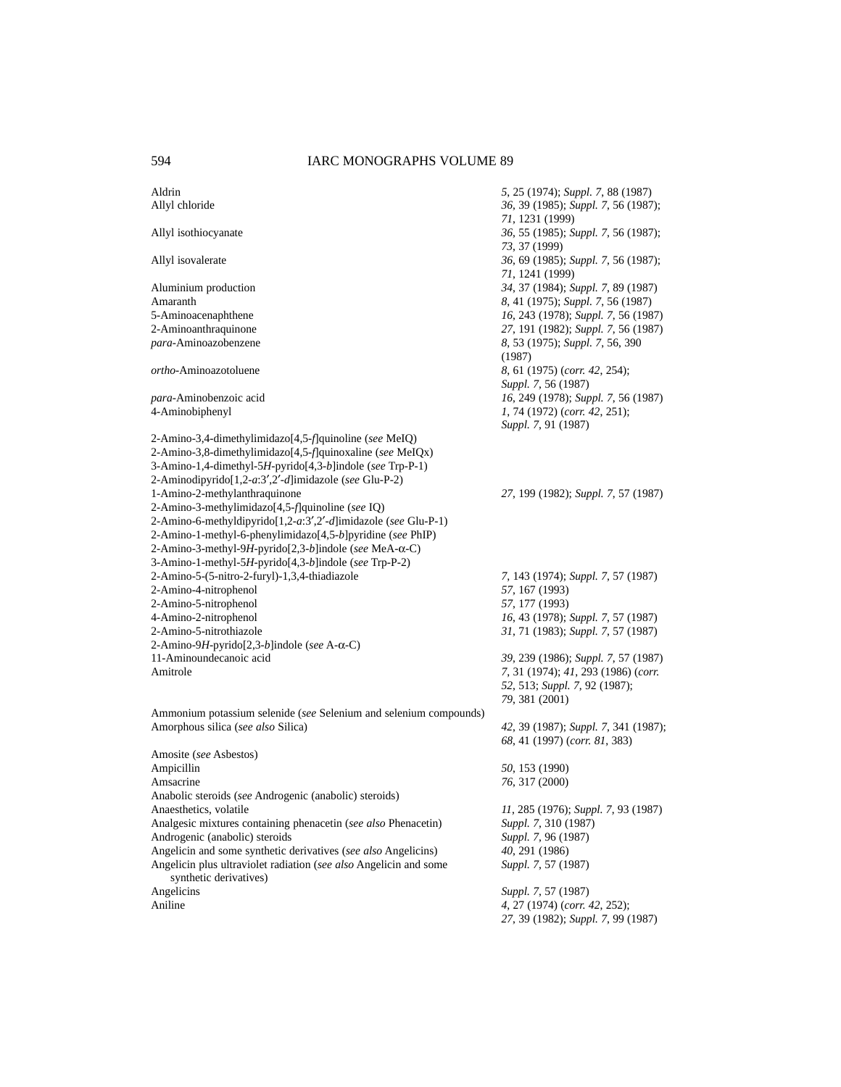Aldrin *5*, 25 (1974); *Suppl. 7*, 88 (1987) Allyl chloride *36*, 39 (1985); *Suppl. 7*, 56 (1987); *71*, 1231 (1999) Allyl isothiocyanate *36*, 55 (1985); *Suppl. 7*, 56 (1987); *73*, 37 (1999) Allyl isovalerate *36*, 69 (1985); *Suppl. 7*, 56 (1987); *71*, 1241 (1999) Aluminium production *34*, 37 (1984); *Suppl. 7*, 89 (1987) Amaranth *8*, 41 (1975); *Suppl. 7*, 56 (1987) 5-Aminoacenaphthene *16*, 243 (1978); *Suppl. 7*, 56 (1987) 2-Aminoanthraquinone *27*, 191 (1982); *Suppl. 7*, 56 (1987) *para*-Aminoazobenzene *8*, 53 (1975); *Suppl. 7*, 56, 390 (1987) *ortho*-Aminoazotoluene *8*, 61 (1975) (*corr. 42*, 254); *Suppl. 7*, 56 (1987) *para*-Aminobenzoic acid *16*, 249 (1978); *Suppl. 7*, 56 (1987) 4-Aminobiphenyl *1*, 74 (1972) (*corr. 42*, 251); *Suppl. 7*, 91 (1987) 2-Amino-3,4-dimethylimidazo[4,5-*f*]quinoline (*see* MeIQ) 2-Amino-3,8-dimethylimidazo[4,5-*f*]quinoxaline (*see* MeIQx) 3-Amino-1,4-dimethyl-5*H*-pyrido[4,3-*b*]indole (*see* Trp-P-1) 2-Aminodipyrido[1,2-*a*:3′,2′-*d*]imidazole (*see* Glu-P-2) 1-Amino-2-methylanthraquinone *27*, 199 (1982); *Suppl. 7*, 57 (1987) 2-Amino-3-methylimidazo[4,5-*f*]quinoline (*see* IQ) 2-Amino-6-methyldipyrido[1,2-*a*:3′,2′-*d*]imidazole (*see* Glu-P-1) 2-Amino-1-methyl-6-phenylimidazo[4,5-*b*]pyridine (*see* PhIP) 2-Amino-3-methyl-9*H*-pyrido[2,3-*b*]indole (*see* MeA-α-C) 3-Amino-1-methyl-5*H*-pyrido[4,3-*b*]indole (*see* Trp-P-2) 2-Amino-5-(5-nitro-2-furyl)-1,3,4-thiadiazole *7*, 143 (1974); *Suppl. 7*, 57 (1987) 2-Amino-4-nitrophenol *57*, 167 (1993) 2-Amino-5-nitrophenol *57*, 177 (1993) 4-Amino-2-nitrophenol *16*, 43 (1978); *Suppl. 7*, 57 (1987) 2-Amino-5-nitrothiazole *31*, 71 (1983); *Suppl. 7*, 57 (1987) 2-Amino-9*H*-pyrido[2,3-*b*]indole (*see* A-α-C) 11-Aminoundecanoic acid *39*, 239 (1986); *Suppl. 7*, 57 (1987) Amitrole *7*, 31 (1974); *41*, 293 (1986) (*corr. 52*, 513; *Suppl. 7*, 92 (1987); *79*, 381 (2001) Ammonium potassium selenide (*see* Selenium and selenium compounds) Amorphous silica (*see also* Silica) *42*, 39 (1987); *Suppl. 7*, 341 (1987); *68*, 41 (1997) (*corr. 81*, 383) Amosite (*see* Asbestos) Ampicillin *50*, 153 (1990) Amsacrine *76*, 317 (2000) Anabolic steroids (*see* Androgenic (anabolic) steroids) Anaesthetics, volatile *11*, 285 (1976); *Suppl. 7*, 93 (1987)<br>Analgesic mixtures containing phenacetin (*see also* Phenacetin) *Suppl. 7*, 310 (1987) Analgesic mixtures containing phenacetin (*see also* Phenacetin) Androgenic (anabolic) steroids *Suppl. 7*, 96 (1987) Angelicin and some synthetic derivatives (*see also* Angelicins) *40*, 291 (1986) Angelicin plus ultraviolet radiation (*see also* Angelicin and some *Suppl. 7*, 57 (1987) synthetic derivatives) Angelicins *Suppl. 7*, 57 (1987) Aniline *4*, 27 (1974) (*corr. 42*, 252); *27*, 39 (1982); *Suppl. 7*, 99 (1987)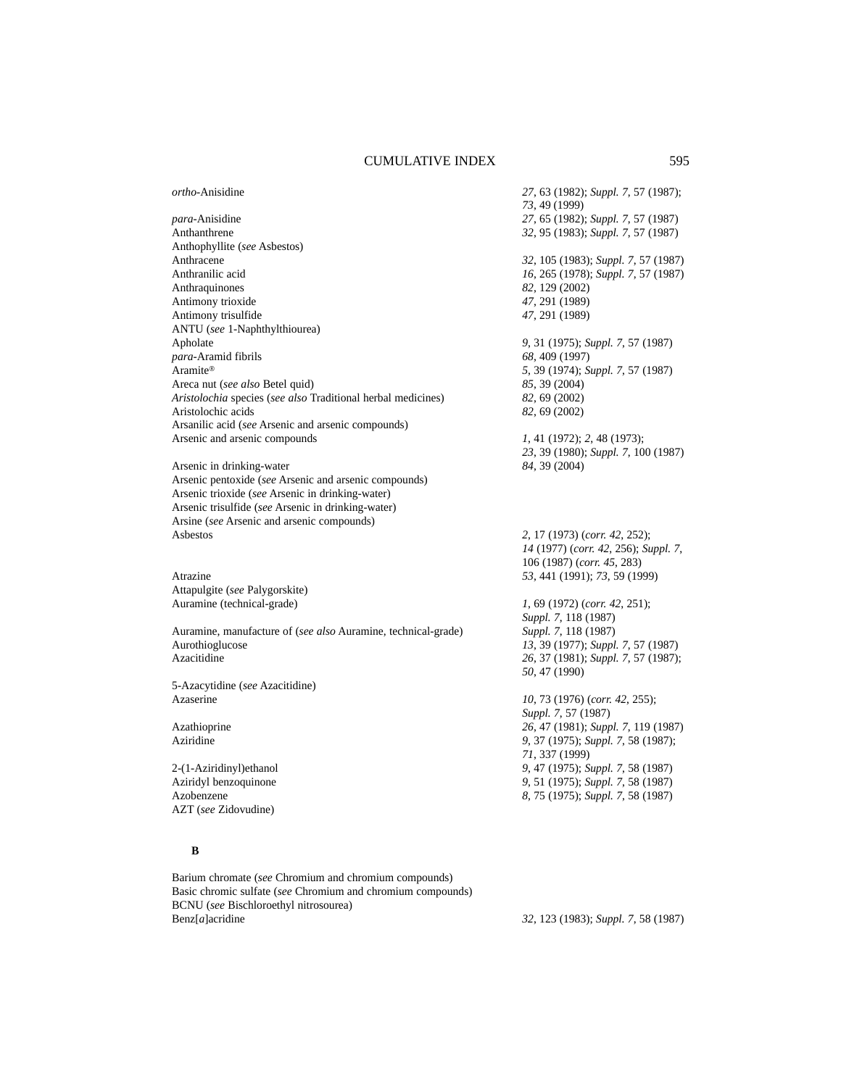*ortho*-Anisidine *27*, 63 (1982); *Suppl. 7*, 57 (1987);

*para*-Anisidine *27*, 65 (1982); *Suppl. 7*, 57 (1987) Anthanthrene *32*, 95 (1983); *Suppl. 7*, 57 (1987) Anthophyllite (*see* Asbestos) Anthracene *32*, 105 (1983); *Suppl. 7*, 57 (1987) Anthranilic acid *16*, 265 (1978); *Suppl. 7*, 57 (1987)<br>Anthraquinones 82, 129 (2002) Antimony trioxide *47*, 291 (1989) Antimony trisulfide *47*, 291 (1989) ANTU (*see* 1-Naphthylthiourea) Apholate *9*, 31 (1975); *Suppl. 7*, 57 (1987) *para*-Aramid fibrils **68**, 409 (1997)<br>Aramite® 5, 39 (1974); S<sub>1</sub> Areca nut (*see also* Betel quid) *85*, 39 (2004) *Aristolochia* species (*see also* Traditional herbal medicines) *82*, 69 (2002) Aristolochic acids *82*, 69 (2002) Arsanilic acid (*see* Arsenic and arsenic compounds) Arsenic and arsenic compounds *1*, 41 (1972); *2*, 48 (1973);

Arsenic in drinking-water *84*, 39 (2004) Arsenic pentoxide (*see* Arsenic and arsenic compounds) Arsenic trioxide (*see* Arsenic in drinking-water) Arsenic trisulfide (*see* Arsenic in drinking-water) Arsine (*see* Arsenic and arsenic compounds) Asbestos *2*, 17 (1973) (*corr. 42*, 252);

Attapulgite (*see* Palygorskite) Auramine (technical-grade) *1*, 69 (1972) (*corr. 42*, 251);

Auramine, manufacture of (*see also* Auramine, technical-grade) *Suppl. 7*, 118 (1987) Aurothioglucose *13*, 39 (1977); *Suppl. 7*, 57 (1987) Azacitidine *26*, 37 (1981); *Suppl. 7*, 57 (1987);

5-Azacytidine (*see* Azacitidine) Azaserine *10*, 73 (1976) (*corr. 42*, 255);

AZT (*see* Zidovudine)

## **B**

Barium chromate (*see* Chromium and chromium compounds) Basic chromic sulfate (*see* Chromium and chromium compounds) BCNU (*see* Bischloroethyl nitrosourea) Benz[*a*]acridine *32*, 123 (1983); *Suppl. 7*, 58 (1987)

*73*, 49 (1999) Anthraquinones *82*, 129 (2002) Aramite® *5*, 39 (1974); *Suppl. 7*, 57 (1987)

*23*, 39 (1980); *Suppl. 7*, 100 (1987)

*14* (1977) (*corr. 42*, 256); *Suppl. 7*, 106 (1987) (*corr. 45*, 283) Atrazine *53*, 441 (1991); *73*, 59 (1999)

> *Suppl. 7*, 118 (1987) *50*, 47 (1990)

*Suppl. 7*, 57 (1987) Azathioprine *26*, 47 (1981); *Suppl. 7*, 119 (1987); *Aziridine 9*, 37 (1975); *Suppl. 7*, 58 (1987); Aziridine *9*, 37 (1975); *Suppl. 7*, 58 (1987); *71*, 337 (1999) 2-(1-Aziridinyl)ethanol *9*, 47 (1975); *Suppl. 7*, 58 (1987) Aziridyl benzoquinone *9*, 51 (1975); *Suppl. 7*, 58 (1987) Azobenzene *8*, 75 (1975); *Suppl. 7*, 58 (1987)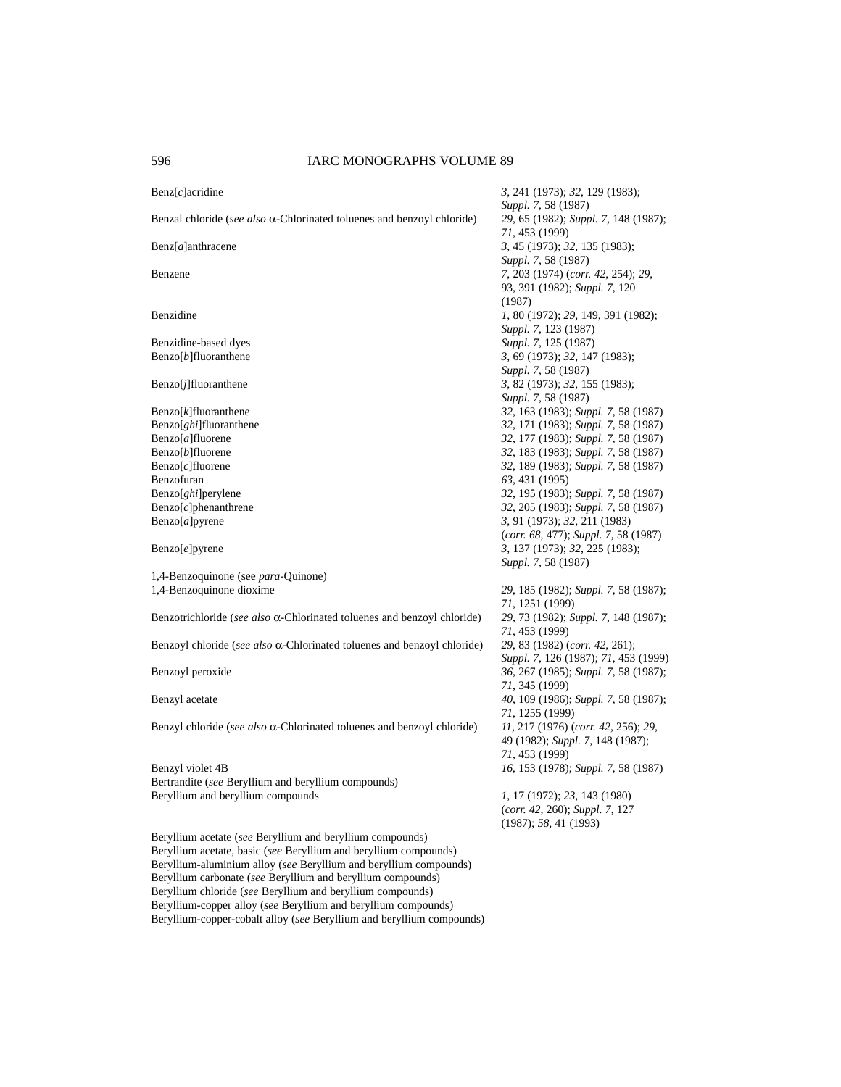| $\text{Benz}[c]$ acridine                                                       | 3, 241 (1973); 32, 129 (1983);<br>Suppl. 7, 58 (1987)                                         |
|---------------------------------------------------------------------------------|-----------------------------------------------------------------------------------------------|
| Benzal chloride (see also $\alpha$ -Chlorinated toluenes and benzoyl chloride)  | 29, 65 (1982); Suppl. 7, 148 (1987);<br>71, 453 (1999)                                        |
| Benz[a]anthracene                                                               | 3, 45 (1973); 32, 135 (1983);<br>Suppl. 7, 58 (1987)                                          |
| Benzene                                                                         | 7, 203 (1974) (corr. 42, 254); 29,<br>93, 391 (1982); Suppl. 7, 120                           |
| Benzidine                                                                       | (1987)<br>1, 80 (1972); 29, 149, 391 (1982);                                                  |
| Benzidine-based dyes                                                            | Suppl. 7, 123 (1987)<br>Suppl. 7, 125 (1987)                                                  |
| Benzo[b]fluoranthene                                                            | 3, 69 (1973); 32, 147 (1983);                                                                 |
| $Benzo[j]$ fluoranthene                                                         | Suppl. 7, 58 (1987)<br>3, 82 (1973); 32, 155 (1983);<br>Suppl. 7, 58 (1987)                   |
| $\text{Benzo}[k]$ fluoranthene                                                  | 32, 163 (1983); Suppl. 7, 58 (1987)                                                           |
| Benzo[ghi]fluoranthene                                                          | 32, 171 (1983); Suppl. 7, 58 (1987)                                                           |
| Benzo[a]fluorene                                                                | 32, 177 (1983); Suppl. 7, 58 (1987)                                                           |
| $Benzo[b]$ fluorene                                                             | 32, 183 (1983); Suppl. 7, 58 (1987)                                                           |
| $\text{Benzo}[c]$ fluorene                                                      | 32, 189 (1983); Suppl. 7, 58 (1987)                                                           |
| Benzofuran                                                                      | 63, 431 (1995)                                                                                |
| Benzo[ <i>ghi</i> ]perylene                                                     | 32, 195 (1983); Suppl. 7, 58 (1987)                                                           |
| $Benzo[c]$ phenanthrene                                                         | 32, 205 (1983); Suppl. 7, 58 (1987)                                                           |
| Benzo[a]pyrene                                                                  | 3, 91 (1973); 32, 211 (1983)                                                                  |
| Benzo[e]pyrene                                                                  | (corr. 68, 477); Suppl. 7, 58 (1987)<br>3, 137 (1973); 32, 225 (1983);<br>Suppl. 7, 58 (1987) |
| 1,4-Benzoquinone (see para-Quinone)                                             |                                                                                               |
| 1,4-Benzoquinone dioxime                                                        | 29, 185 (1982); Suppl. 7, 58 (1987);                                                          |
|                                                                                 | 71, 1251 (1999)                                                                               |
| Benzotrichloride (see also $\alpha$ -Chlorinated toluenes and benzoyl chloride) | 29, 73 (1982); Suppl. 7, 148 (1987);<br>71, 453 (1999)                                        |
| Benzoyl chloride (see also $\alpha$ -Chlorinated toluenes and benzoyl chloride) | 29, 83 (1982) (corr. 42, 261);<br>Suppl. 7, 126 (1987); 71, 453 (1999)                        |
| Benzoyl peroxide                                                                | 36, 267 (1985); Suppl. 7, 58 (1987);<br>71, 345 (1999)                                        |
| Benzyl acetate                                                                  | 40, 109 (1986); Suppl. 7, 58 (1987);<br>71, 1255 (1999)                                       |
| Benzyl chloride (see also $\alpha$ -Chlorinated toluenes and benzoyl chloride)  | 11, 217 (1976) (corr. 42, 256); 29,<br>49 (1982); Suppl. 7, 148 (1987);                       |
|                                                                                 | 71, 453 (1999)                                                                                |
| Benzyl violet 4B<br>Bertrandite (see Beryllium and beryllium compounds)         | 16, 153 (1978); Suppl. 7, 58 (1987)                                                           |
| Beryllium and beryllium compounds                                               | 1, 17 (1972); 23, 143 (1980)                                                                  |
|                                                                                 | (corr. 42, 260); Suppl. 7, 127                                                                |
|                                                                                 | (1987); 58, 41 (1993)                                                                         |
| Beryllium acetate (see Beryllium and beryllium compounds)                       |                                                                                               |
| Beryllium acetate, basic (see Beryllium and beryllium compounds)                |                                                                                               |
| Beryllium-aluminium alloy (see Beryllium and beryllium compounds)               |                                                                                               |
| Beryllium carbonate (see Beryllium and beryllium compounds)                     |                                                                                               |

Beryllium chloride (*see* Beryllium and beryllium compounds) Beryllium-copper alloy (*see* Beryllium and beryllium compounds) Beryllium-copper-cobalt alloy (*see* Beryllium and beryllium compounds)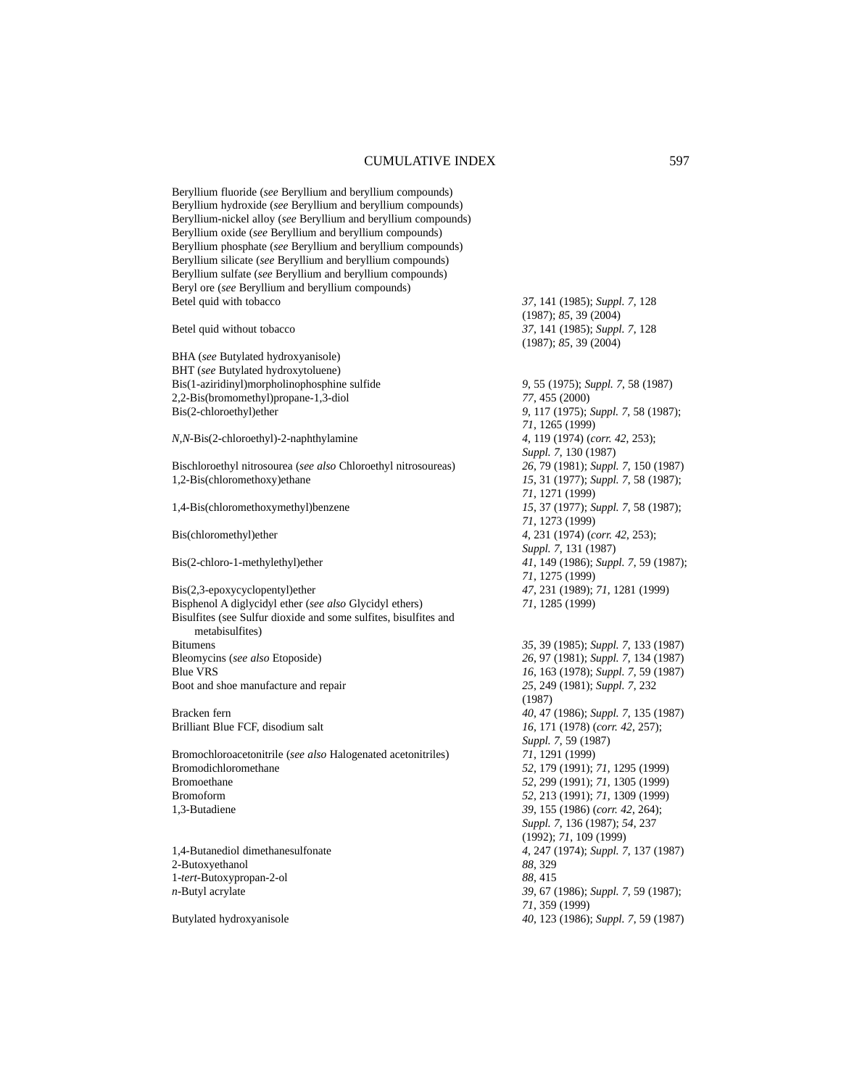Beryllium fluoride (*see* Beryllium and beryllium compounds) Beryllium hydroxide (*see* Beryllium and beryllium compounds) Beryllium-nickel alloy (*see* Beryllium and beryllium compounds) Beryllium oxide (*see* Beryllium and beryllium compounds) Beryllium phosphate (*see* Beryllium and beryllium compounds) Beryllium silicate (*see* Beryllium and beryllium compounds) Beryllium sulfate (*see* Beryllium and beryllium compounds) Beryl ore (*see* Beryllium and beryllium compounds) Betel quid with tobacco *37*, 141 (1985); *Suppl. 7*, 128

BHA (*see* Butylated hydroxyanisole) BHT (*see* Butylated hydroxytoluene) Bis(1-aziridinyl)morpholinophosphine sulfide *9*, 55 (1975); *Suppl. 7*, 58 (1987) 2,2-Bis(bromomethyl)propane-1,3-diol *77*, 455 (2000)<br>Bis(2-chloroethyl)ether 9, 117 (1975);

*N,N*-Bis(2-chloroethyl)-2-naphthylamine *4*, 119 (1974) (*corr. 42*, 253);

Bischloroethyl nitrosourea (*see also* Chloroethyl nitrosoureas) *26*, 79 (1981); *Suppl. 7*, 150 (1987) 1,2-Bis(chloromethoxy)ethane *15*, 31 (1977); *Suppl. 7*, 58 (1987);

Bis(2,3-epoxycyclopentyl)ether *47*, 231 (1989); *71*, 1281 (1999) Bisphenol A diglycidyl ether (*see also* Glycidyl ethers) *71*, 1285 (1999) Bisulfites (see Sulfur dioxide and some sulfites, bisulfites and metabisulfites) Bitumens *35*, 39 (1985); *Suppl. 7*, 133 (1987)<br>Bleomycins (*see also* Etoposide) 26, 97 (1981); *Suppl. 7*, 134 (1987) Blue VRS *16*, 163 (1978); *Suppl. 7*, 59 (1987) Boot and shoe manufacture and repair *25*, 249 (1981); *Suppl. 7*, 232

Brilliant Blue FCF, disodium salt *16*, 171 (1978) (*corr. 42*, 257);

Bromochloroacetonitrile (*see also* Halogenated acetonitriles) *71*, 1291 (1999) Bromodichloromethane *52*, 179 (1991); *71*, 1295 (1999) Bromoethane *52*, 299 (1991); *71*, 1305 (1999) Bromoform *52*, 213 (1991); *71*, 1309 (1999) 1,3-Butadiene *39*, 155 (1986) (*corr. 42*, 264);

2-Butoxyethanol *88*, 329 1-*tert*-Butoxypropan-2-ol *88*, 415

(1987); *85*, 39 (2004) Betel quid without tobacco *37*, 141 (1985); *Suppl. 7*, 128 (1987); *85*, 39 (2004)

Bis(2-chloroethyl)ether *9*, 117 (1975); *Suppl. 7*, 58 (1987); *71*, 1265 (1999) *Suppl. 7*, 130 (1987) *71*, 1271 (1999) 1,4-Bis(chloromethoxymethyl)benzene *15*, 37 (1977); *Suppl. 7*, 58 (1987); *71*, 1273 (1999) Bis(chloromethyl)ether *4*, 231 (1974) (*corr. 42*, 253); *Suppl. 7*, 131 (1987) Bis(2-chloro-1-methylethyl)ether *41*, 149 (1986); *Suppl. 7*, 59 (1987); *71*, 1275 (1999)

Bleomycins (*see also* Etoposide) *26*, 97 (1981); *Suppl. 7*, 134 (1987) (1987) Bracken fern *40*, 47 (1986); *Suppl. 7*, 135 (1987) *Suppl. 7*, 59 (1987) *Suppl. 7*, 136 (1987); *54*, 237 (1992); *71*, 109 (1999) 1,4-Butanediol dimethanesulfonate *4*, 247 (1974); *Suppl. 7*, 137 (1987) *n*-Butyl acrylate *39*, 67 (1986); *Suppl. 7*, 59 (1987); *71*, 359 (1999) Butylated hydroxyanisole *40*, 123 (1986); *Suppl. 7*, 59 (1987)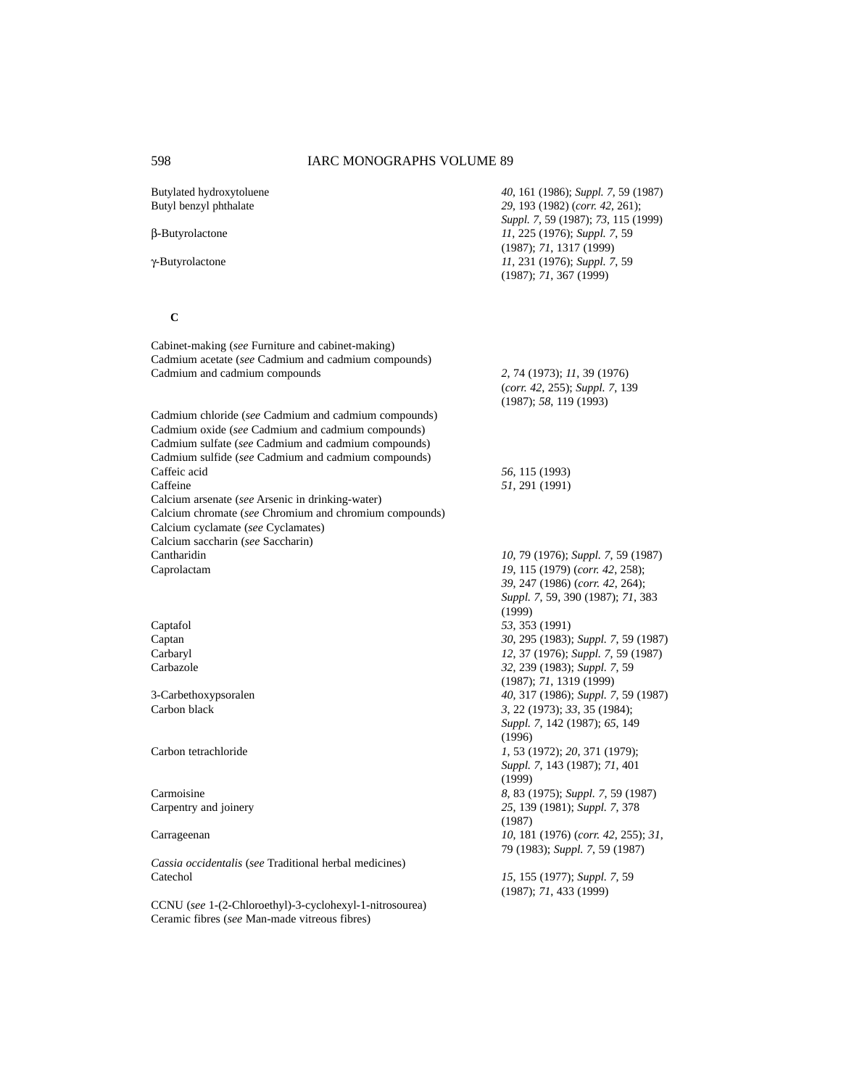| Butylated hydroxytoluene<br>Butyl benzyl phthalate                                                                                                               | 40, 161 (1986); Suppl. 7, 59 (1987)<br>29, 193 (1982) (corr. 42, 261);<br>Suppl. 7, 59 (1987); 73, 115 (1999) |
|------------------------------------------------------------------------------------------------------------------------------------------------------------------|---------------------------------------------------------------------------------------------------------------|
| β-Butyrolactone                                                                                                                                                  | 11, 225 (1976); Suppl. 7, 59<br>(1987); 71, 1317 (1999)                                                       |
| γ-Butyrolactone                                                                                                                                                  | 11, 231 (1976); Suppl. 7, 59<br>(1987); 71, 367 (1999)                                                        |
| $\mathbf C$                                                                                                                                                      |                                                                                                               |
| Cabinet-making (see Furniture and cabinet-making)<br>Cadmium acetate (see Cadmium and cadmium compounds)                                                         |                                                                                                               |
| Cadmium and cadmium compounds                                                                                                                                    | 2, 74 (1973); 11, 39 (1976)<br>(corr. 42, 255); Suppl. 7, 139<br>(1987); 58, 119(1993)                        |
| Cadmium chloride (see Cadmium and cadmium compounds)<br>Cadmium oxide (see Cadmium and cadmium compounds)<br>Cadmium sulfate (see Cadmium and cadmium compounds) |                                                                                                               |
| Cadmium sulfide (see Cadmium and cadmium compounds)                                                                                                              |                                                                                                               |
| Caffeic acid<br>Caffeine                                                                                                                                         | 56, 115 (1993)<br>51, 291 (1991)                                                                              |
| Calcium arsenate (see Arsenic in drinking-water)                                                                                                                 |                                                                                                               |
| Calcium chromate (see Chromium and chromium compounds)<br>Calcium cyclamate (see Cyclamates)                                                                     |                                                                                                               |
| Calcium saccharin (see Saccharin)                                                                                                                                |                                                                                                               |
| Cantharidin                                                                                                                                                      | 10, 79 (1976); Suppl. 7, 59 (1987)                                                                            |
| Caprolactam                                                                                                                                                      | 19, 115 (1979) (corr. 42, 258);                                                                               |
|                                                                                                                                                                  | 39, 247 (1986) (corr. 42, 264);                                                                               |
|                                                                                                                                                                  | Suppl. 7, 59, 390 (1987); 71, 383                                                                             |
|                                                                                                                                                                  | (1999)                                                                                                        |
| Captafol<br>Captan                                                                                                                                               | 53, 353 (1991)<br>30, 295 (1983); Suppl. 7, 59 (1987)                                                         |
| Carbaryl                                                                                                                                                         | 12, 37 (1976); Suppl. 7, 59 (1987)                                                                            |
| Carbazole                                                                                                                                                        | 32, 239 (1983); Suppl. 7, 59                                                                                  |
|                                                                                                                                                                  | (1987); 71, 1319 (1999)                                                                                       |
| 3-Carbethoxypsoralen                                                                                                                                             | 40, 317 (1986); Suppl. 7, 59 (1987)                                                                           |
| Carbon black                                                                                                                                                     | 3, 22 (1973); 33, 35 (1984);                                                                                  |
|                                                                                                                                                                  | Suppl. 7, 142 (1987); 65, 149                                                                                 |
|                                                                                                                                                                  | (1996)                                                                                                        |
| Carbon tetrachloride                                                                                                                                             | 1, 53 (1972); 20, 371 (1979);                                                                                 |
|                                                                                                                                                                  | Suppl. 7, 143 (1987); 71, 401<br>(1999)                                                                       |
| Carmoisine                                                                                                                                                       | 8, 83 (1975); Suppl. 7, 59 (1987)                                                                             |
| Carpentry and joinery                                                                                                                                            | 25, 139 (1981); Suppl. 7, 378<br>(1987)                                                                       |
| Carrageenan                                                                                                                                                      | 10, 181 (1976) (corr. 42, 255); 31,                                                                           |
| Cassia occidentalis (see Traditional herbal medicines)                                                                                                           | 79 (1983); Suppl. 7, 59 (1987)                                                                                |
| Catechol                                                                                                                                                         | 15, 155 (1977); Suppl. 7, 59<br>(1987); 71, 433 (1999)                                                        |
| CCNU (see 1-(2-Chloroethyl)-3-cyclohexyl-1-nitrosourea)                                                                                                          |                                                                                                               |

Ceramic fibres (*see* Man-made vitreous fibres)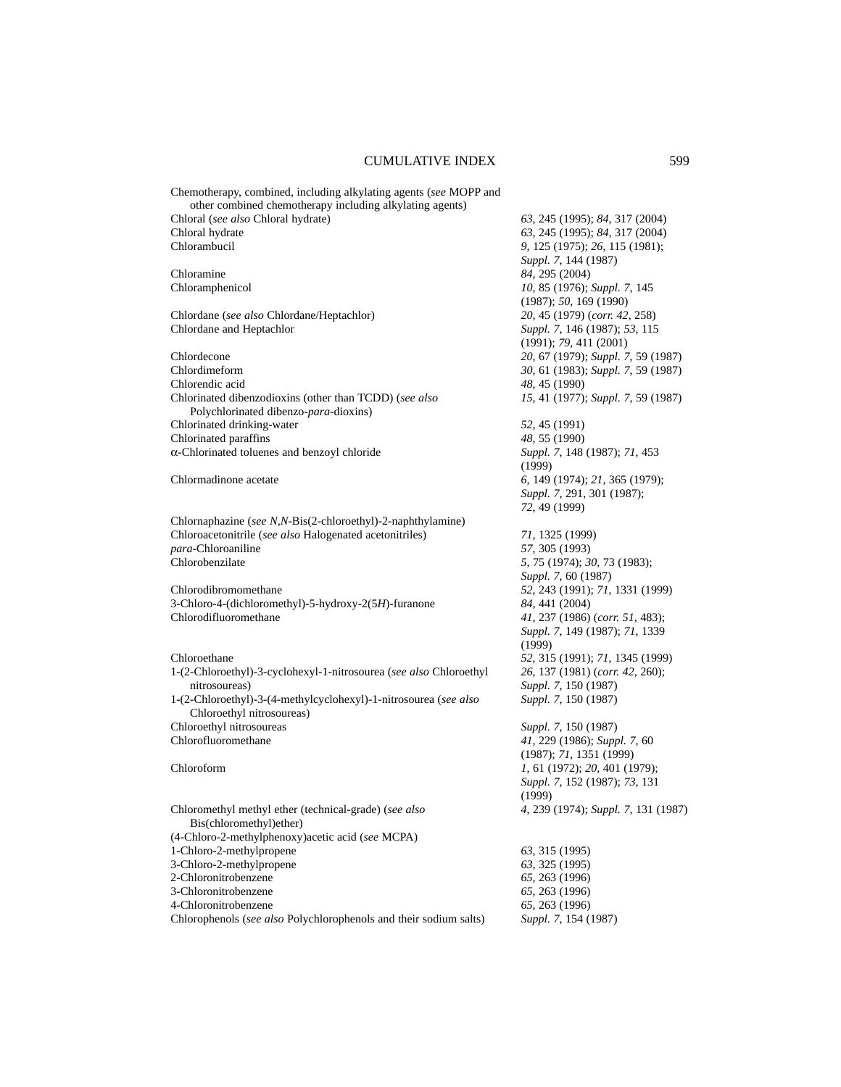| Chemotherapy, combined, including alkylating agents (see MOPP and<br>other combined chemotherapy including alkylating agents) |                                         |
|-------------------------------------------------------------------------------------------------------------------------------|-----------------------------------------|
|                                                                                                                               |                                         |
| Chloral (see also Chloral hydrate)                                                                                            | 63, 245 (1995); 84, 317 (2004)          |
| Chloral hydrate                                                                                                               | 63, 245 (1995); 84, 317 (2004)          |
| Chlorambucil                                                                                                                  | 9, 125 (1975); 26, 115 (1981);          |
|                                                                                                                               | Suppl. 7, 144 (1987)                    |
| Chloramine                                                                                                                    | 84, 295 (2004)                          |
| Chloramphenicol                                                                                                               | 10, 85 (1976); Suppl. 7, 145            |
|                                                                                                                               | (1987); 50, 169 (1990)                  |
| Chlordane (see also Chlordane/Heptachlor)                                                                                     | 20, 45 (1979) (corr. 42, 258)           |
| Chlordane and Heptachlor                                                                                                      | Suppl. 7, 146 (1987); 53, 115           |
|                                                                                                                               | (1991); 79, 411 (2001)                  |
| Chlordecone                                                                                                                   | 20, 67 (1979); Suppl. 7, 59 (1987)      |
| Chlordimeform                                                                                                                 | 30, 61 (1983); Suppl. 7, 59 (1987)      |
| Chlorendic acid                                                                                                               | 48, 45 (1990)                           |
|                                                                                                                               |                                         |
| Chlorinated dibenzodioxins (other than TCDD) (see also                                                                        | 15, 41 (1977); Suppl. 7, 59 (1987)      |
| Polychlorinated dibenzo-para-dioxins)                                                                                         |                                         |
| Chlorinated drinking-water                                                                                                    | 52, 45 (1991)                           |
| Chlorinated paraffins                                                                                                         | 48, 55 (1990)                           |
| α-Chlorinated toluenes and benzoyl chloride                                                                                   | Suppl. 7, 148 (1987); 71, 453<br>(1999) |
| Chlormadinone acetate                                                                                                         | 6, 149 (1974); 21, 365 (1979);          |
|                                                                                                                               | Suppl. 7, 291, 301 (1987);              |
|                                                                                                                               | 72, 49 (1999)                           |
| Chlornaphazine (see N,N-Bis(2-chloroethyl)-2-naphthylamine)                                                                   |                                         |
| Chloroacetonitrile (see also Halogenated acetonitriles)                                                                       | 71, 1325 (1999)                         |
| para-Chloroaniline                                                                                                            | 57, 305 (1993)                          |
| Chlorobenzilate                                                                                                               | 5, 75 (1974); 30, 73 (1983);            |
|                                                                                                                               |                                         |
|                                                                                                                               | Suppl. 7, 60 (1987)                     |
| Chlorodibromomethane                                                                                                          | 52, 243 (1991); 71, 1331 (1999)         |
| 3-Chloro-4-(dichloromethyl)-5-hydroxy-2(5H)-furanone                                                                          | 84, 441 (2004)                          |
| Chlorodifluoromethane                                                                                                         | 41, 237 (1986) (corr. 51, 483);         |
|                                                                                                                               | Suppl. 7, 149 (1987); 71, 1339          |
|                                                                                                                               | (1999)                                  |
| Chloroethane                                                                                                                  | 52, 315 (1991); 71, 1345 (1999)         |
| 1-(2-Chloroethyl)-3-cyclohexyl-1-nitrosourea (see also Chloroethyl                                                            | 26, 137 (1981) (corr. 42, 260);         |
| nitrosoureas)                                                                                                                 | Suppl. 7, 150 (1987)                    |
| 1-(2-Chloroethyl)-3-(4-methylcyclohexyl)-1-nitrosourea (see also                                                              | Suppl. 7, 150 (1987)                    |
| Chloroethyl nitrosoureas)                                                                                                     |                                         |
| Chloroethyl nitrosoureas                                                                                                      | Suppl. 7, 150 (1987)                    |
| Chlorofluoromethane                                                                                                           | 41, 229 (1986); Suppl. 7, 60            |
|                                                                                                                               | (1987); 71, 1351 (1999)                 |
| Chloroform                                                                                                                    | 1, 61 (1972); 20, 401 (1979);           |
|                                                                                                                               | Suppl. 7, 152 (1987); 73, 131           |
|                                                                                                                               |                                         |
|                                                                                                                               | (1999)                                  |
| Chloromethyl methyl ether (technical-grade) (see also                                                                         | 4, 239 (1974); Suppl. 7, 131 (1987)     |
| Bis(chloromethyl)ether)                                                                                                       |                                         |
| (4-Chloro-2-methylphenoxy) acetic acid (see MCPA)                                                                             |                                         |
| 1-Chloro-2-methylpropene                                                                                                      | 63, 315 (1995)                          |
| 3-Chloro-2-methylpropene                                                                                                      | 63, 325 (1995)                          |
| 2-Chloronitrobenzene                                                                                                          | 65, 263 (1996)                          |
| 3-Chloronitrobenzene                                                                                                          | 65, 263 (1996)                          |
| 4-Chloronitrobenzene                                                                                                          | 65, 263 (1996)                          |
| Chlorophenols (see also Polychlorophenols and their sodium salts)                                                             | Suppl. 7, 154 (1987)                    |
|                                                                                                                               |                                         |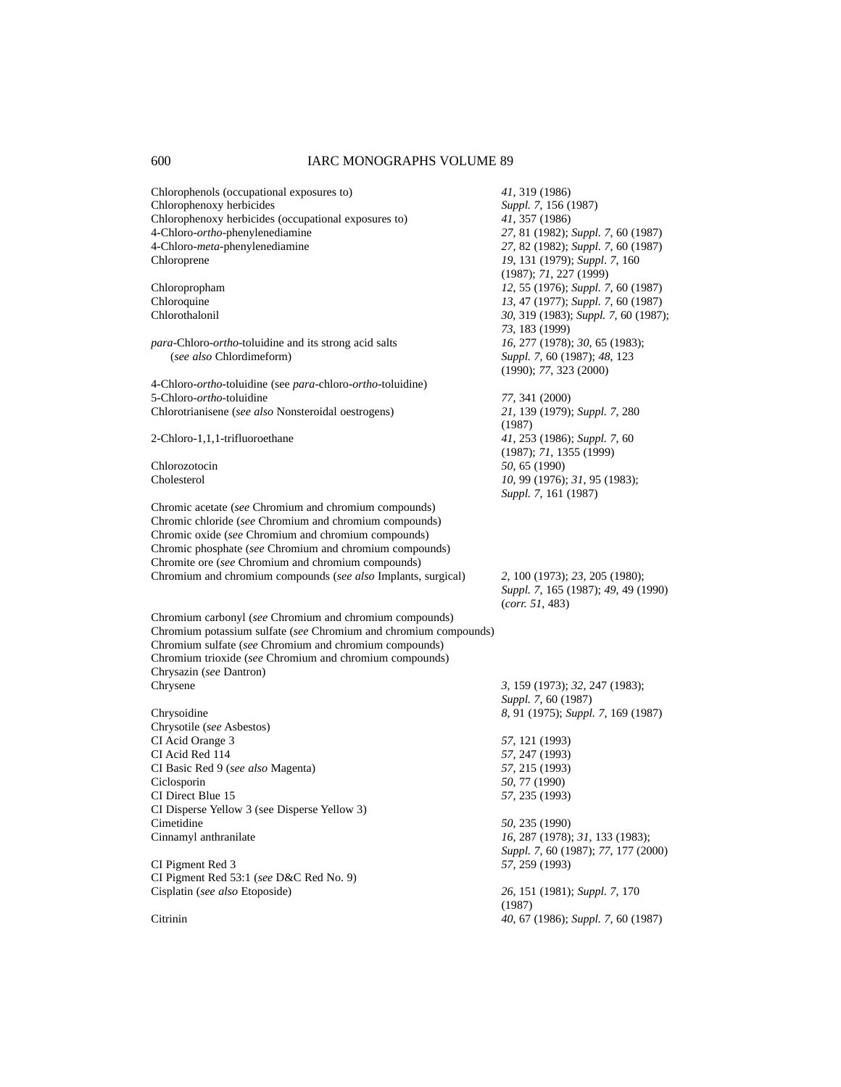| Chlorophenols (occupational exposures to)                                    | 41, 319 (1986)                       |
|------------------------------------------------------------------------------|--------------------------------------|
| Chlorophenoxy herbicides                                                     | Suppl. 7, 156 (1987)                 |
| Chlorophenoxy herbicides (occupational exposures to)                         | 41, 357 (1986)                       |
| 4-Chloro-ortho-phenylenediamine                                              | 27, 81 (1982); Suppl. 7, 60 (1987)   |
| 4-Chloro-meta-phenylenediamine                                               | 27, 82 (1982); Suppl. 7, 60 (1987)   |
| Chloroprene                                                                  | 19, 131 (1979); Suppl. 7, 160        |
|                                                                              | (1987); 71, 227 (1999)               |
| Chloropropham                                                                | 12, 55 (1976); Suppl. 7, 60 (1987)   |
| Chloroquine                                                                  | 13, 47 (1977); Suppl. 7, 60 (1987)   |
| Chlorothalonil                                                               | 30, 319 (1983); Suppl. 7, 60 (1987); |
|                                                                              | 73, 183 (1999)                       |
| <i>para-Chloro-ortho-toluidine and its strong acid salts</i>                 | 16, 277 (1978); 30, 65 (1983);       |
| (see also Chlordimeform)                                                     | Suppl. 7, 60 (1987); 48, 123         |
|                                                                              | (1990); 77, 323 (2000)               |
| 4-Chloro- <i>ortho</i> -toluidine (see para-chloro- <i>ortho</i> -toluidine) |                                      |
| 5-Chloro-ortho-toluidine                                                     | 77, 341 (2000)                       |
| Chlorotrianisene (see also Nonsteroidal oestrogens)                          | 21, 139 (1979); Suppl. 7, 280        |
|                                                                              | (1987)                               |
| 2-Chloro-1,1,1-trifluoroethane                                               | 41, 253 (1986); Suppl. 7, 60         |
|                                                                              | (1987); 71, 1355 (1999)              |
| Chlorozotocin                                                                | 50, 65 (1990)                        |
| Cholesterol                                                                  | 10, 99 (1976); 31, 95 (1983);        |
|                                                                              | Suppl. 7, 161 (1987)                 |
| Chromic acetate (see Chromium and chromium compounds)                        |                                      |
| Chromic chloride (see Chromium and chromium compounds)                       |                                      |
| Chromic oxide (see Chromium and chromium compounds)                          |                                      |
| Chromic phosphate (see Chromium and chromium compounds)                      |                                      |
| Chromite ore (see Chromium and chromium compounds)                           |                                      |
| Chromium and chromium compounds (see also Implants, surgical)                | 2, 100 (1973); 23, 205 (1980);       |
|                                                                              | Suppl. 7, 165 (1987); 49, 49 (1990)  |
|                                                                              | (corr. 51, 483)                      |
| Chromium carbonyl (see Chromium and chromium compounds)                      |                                      |
| Chromium potassium sulfate (see Chromium and chromium compounds)             |                                      |
| Chromium sulfate (see Chromium and chromium compounds)                       |                                      |
| Chromium trioxide (see Chromium and chromium compounds)                      |                                      |
| Chrysazin (see Dantron)                                                      |                                      |
| Chrysene                                                                     | 3, 159 (1973); 32, 247 (1983);       |
|                                                                              | Suppl. 7, 60 (1987)                  |
| Chrysoidine                                                                  | 8, 91 (1975); Suppl. 7, 169 (1987)   |
| Chrysotile (see Asbestos)                                                    |                                      |
| CI Acid Orange 3                                                             | 57, 121 (1993)                       |
| CI Acid Red 114                                                              | 57, 247 (1993)                       |
| CI Basic Red 9 (see also Magenta)                                            | 57, 215 (1993)                       |
| Ciclosporin                                                                  | 50, 77 (1990)                        |
| CI Direct Blue 15                                                            | 57, 235 (1993)                       |
| CI Disperse Yellow 3 (see Disperse Yellow 3)                                 |                                      |
| Cimetidine                                                                   | 50, 235 (1990)                       |
| Cinnamyl anthranilate                                                        | 16, 287 (1978); 31, 133 (1983);      |
|                                                                              | Suppl. 7, 60 (1987); 77, 177 (2000)  |
| CI Pigment Red 3                                                             | 57, 259 (1993)                       |
| CI Pigment Red 53:1 (see D&C Red No. 9)                                      |                                      |
| Cisplatin (see also Etoposide)                                               | 26, 151 (1981); Suppl. 7, 170        |
|                                                                              | (1987)                               |
| Citrinin                                                                     | 40, 67 (1986); Suppl. 7, 60 (1987)   |
|                                                                              |                                      |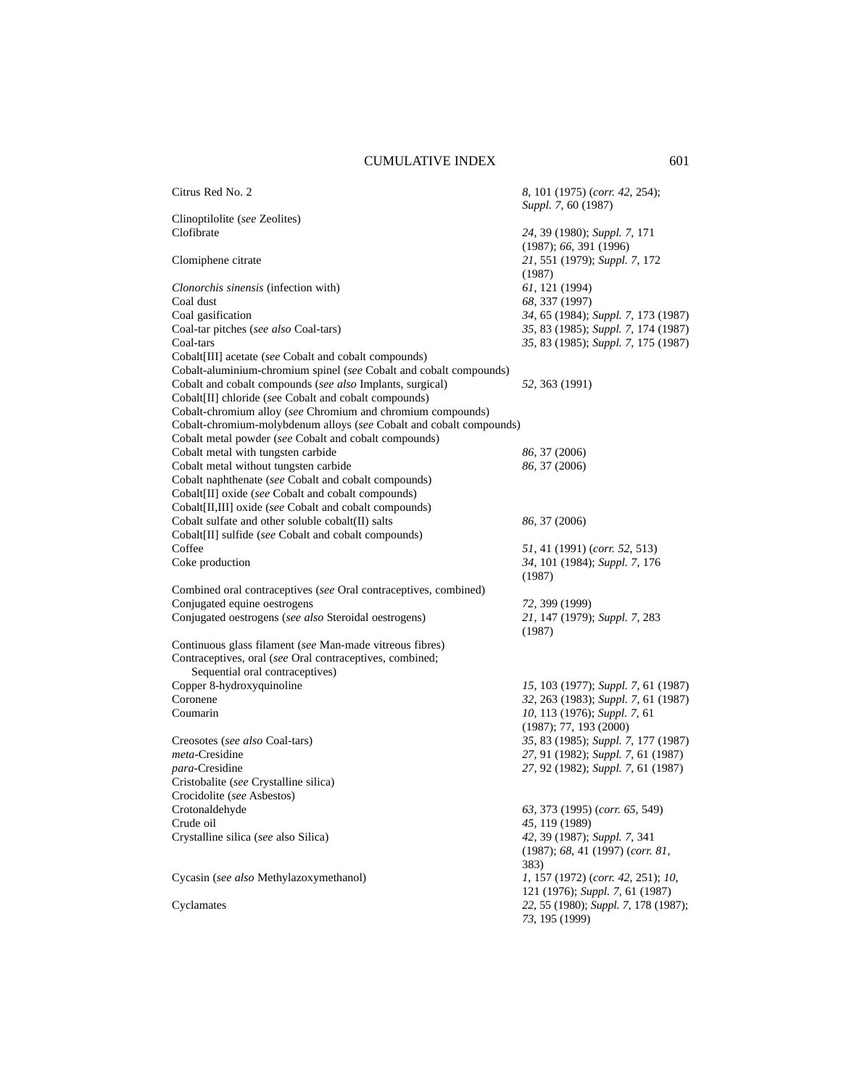| Citrus Red No. 2                                                                                            | 8, 101 (1975) (corr. 42, 254);<br>Suppl. 7, 60 (1987)                 |
|-------------------------------------------------------------------------------------------------------------|-----------------------------------------------------------------------|
| Clinoptilolite (see Zeolites)                                                                               |                                                                       |
| Clofibrate                                                                                                  | 24, 39 (1980); Suppl. 7, 171<br>(1987); 66, 391 (1996)                |
| Clomiphene citrate                                                                                          | 21, 551 (1979); Suppl. 7, 172<br>(1987)                               |
| Clonorchis sinensis (infection with)                                                                        | 61, 121 (1994)                                                        |
| Coal dust                                                                                                   | 68, 337 (1997)                                                        |
| Coal gasification                                                                                           | 34, 65 (1984); Suppl. 7, 173 (1987)                                   |
| Coal-tar pitches (see also Coal-tars)                                                                       | 35, 83 (1985); Suppl. 7, 174 (1987)                                   |
| Coal-tars                                                                                                   | 35, 83 (1985); Suppl. 7, 175 (1987)                                   |
| Cobalt[III] acetate (see Cobalt and cobalt compounds)                                                       |                                                                       |
| Cobalt-aluminium-chromium spinel (see Cobalt and cobalt compounds)                                          |                                                                       |
| Cobalt and cobalt compounds (see also Implants, surgical)                                                   | 52, 363 (1991)                                                        |
| Cobalt[II] chloride (see Cobalt and cobalt compounds)                                                       |                                                                       |
| Cobalt-chromium alloy (see Chromium and chromium compounds)                                                 |                                                                       |
| Cobalt-chromium-molybdenum alloys (see Cobalt and cobalt compounds)                                         |                                                                       |
| Cobalt metal powder (see Cobalt and cobalt compounds)                                                       |                                                                       |
| Cobalt metal with tungsten carbide                                                                          | 86, 37 (2006)                                                         |
| Cobalt metal without tungsten carbide                                                                       | 86, 37 (2006)                                                         |
| Cobalt naphthenate (see Cobalt and cobalt compounds)                                                        |                                                                       |
| Cobalt[II] oxide (see Cobalt and cobalt compounds)                                                          |                                                                       |
| Cobalt[II,III] oxide (see Cobalt and cobalt compounds)<br>Cobalt sulfate and other soluble cobalt(II) salts | 86, 37 (2006)                                                         |
| Cobalt[II] sulfide (see Cobalt and cobalt compounds)                                                        |                                                                       |
| Coffee                                                                                                      | 51, 41 (1991) (corr. 52, 513)                                         |
| Coke production                                                                                             | 34, 101 (1984); Suppl. 7, 176<br>(1987)                               |
| Combined oral contraceptives (see Oral contraceptives, combined)                                            |                                                                       |
| Conjugated equine oestrogens                                                                                | 72, 399 (1999)                                                        |
| Conjugated oestrogens (see also Steroidal oestrogens)                                                       | 21, 147 (1979); Suppl. 7, 283                                         |
|                                                                                                             | (1987)                                                                |
| Continuous glass filament (see Man-made vitreous fibres)                                                    |                                                                       |
| Contraceptives, oral (see Oral contraceptives, combined;<br>Sequential oral contraceptives)                 |                                                                       |
| Copper 8-hydroxyquinoline                                                                                   | 15, 103 (1977); Suppl. 7, 61 (1987)                                   |
| Coronene                                                                                                    | 32, 263 (1983); Suppl. 7, 61 (1987)                                   |
| Coumarin                                                                                                    | 10, 113 (1976); Suppl. 7, 61                                          |
|                                                                                                             | (1987); 77, 193 (2000)                                                |
| Creosotes (see also Coal-tars)                                                                              | 35, 83 (1985); Suppl. 7, 177 (1987)                                   |
| meta-Cresidine                                                                                              | 27, 91 (1982); Suppl. 7, 61 (1987)                                    |
| para-Cresidine                                                                                              | 27, 92 (1982); Suppl. 7, 61 (1987)                                    |
| Cristobalite (see Crystalline silica)                                                                       |                                                                       |
| Crocidolite (see Asbestos)<br>Crotonaldehyde                                                                |                                                                       |
| Crude oil                                                                                                   | 63, 373 (1995) (corr. 65, 549)                                        |
| Crystalline silica (see also Silica)                                                                        | 45, 119 (1989)<br>42, 39 (1987); Suppl. 7, 341                        |
|                                                                                                             | (1987); 68, 41 (1997) (corr. 81,<br>383)                              |
| Cycasin (see also Methylazoxymethanol)                                                                      | 1, 157 (1972) (corr. 42, 251); 10,<br>121 (1976); Suppl. 7, 61 (1987) |
| Cyclamates                                                                                                  | 22, 55 (1980); Suppl. 7, 178 (1987);<br>73, 195 (1999)                |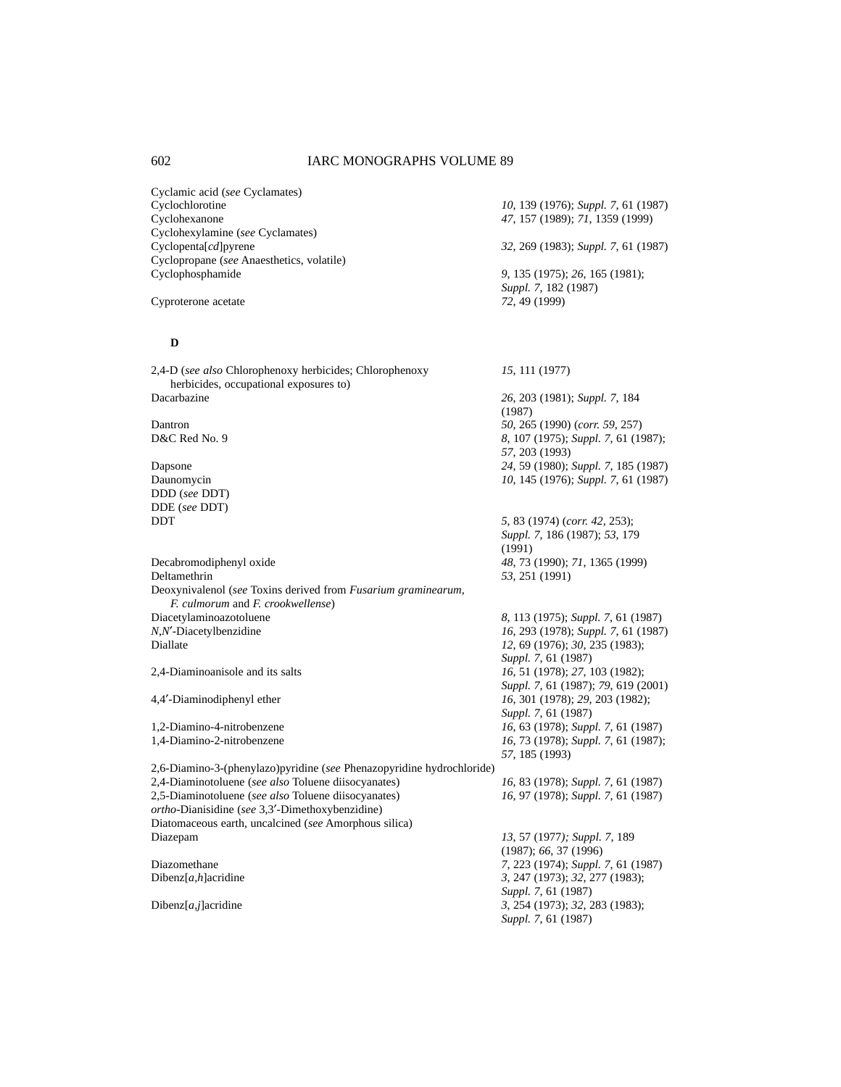Cyclamic acid (*see* Cyclamates) Cyclochlorotine *10*, 139 (1976); *Suppl.* 7, 61 (1987)<br>Cyclohexanone 47, 157 (1989); 71, 1359 (1999) Cyclohexylamine (*see* Cyclamates) Cyclopenta[*cd*]pyrene *32*, 269 (1983); *Suppl. 7*, 61 (1987) Cyclopropane (*see* Anaesthetics, volatile) Cyclophosphamide *9*, 135 (1975); *26*, 165 (1981);

Cyproterone acetate *72*, 49 (1999)

### **D**

2,4-D (*see also* Chlorophenoxy herbicides; Chlorophenoxy *15*, 111 (1977) herbicides, occupational exposures to) Dacarbazine *26*, 203 (1981); *Suppl. 7*, 184

DDD (*see* DDT) DDE (*see* DDT)

Decabromodiphenyl oxide *48*, 73 (1990); *71*, 1365 (1999) Deltamethrin *53*, 251 (1991) Deoxynivalenol (*see* Toxins derived from *Fusarium graminearum*, *F. culmorum* and *F. crookwellense*) *N*,*N*′-Diacetylbenzidine *16*, 293 (1978); *Suppl. 7*, 61 (1987) Diallate *12*, 69 (1976); *30*, 235 (1983);

2,6-Diamino-3-(phenylazo)pyridine (*see* Phenazopyridine hydrochloride) 2,4-Diaminotoluene (*see also* Toluene diisocyanates) *16*, 83 (1978); *Suppl. 7*, 61 (1987) 2,5-Diaminotoluene (*see also* Toluene diisocyanates) *16*, 97 (1978); *Suppl. 7*, 61 (1987) *ortho*-Dianisidine (*see* 3,3′-Dimethoxybenzidine) Diatomaceous earth, uncalcined (*see* Amorphous silica) Diazepam *13*, 57 (1977*); Suppl. 7*, 189

Cyclohexanone *47*, 157 (1989); *71*, 1359 (1999)

*Suppl. 7*, 182 (1987)

(1987) Dantron *50*, 265 (1990) (*corr. 59*, 257) D&C Red No. 9 *8*, 107 (1975); *Suppl. 7*, 61 (1987); *57*, 203 (1993) Dapsone *24*, 59 (1980); *Suppl. 7*, 185 (1987) Daunomycin *10*, 145 (1976); *Suppl. 7*, 61 (1987)

DDT *5*, 83 (1974) (*corr. 42*, 253); *Suppl. 7*, 186 (1987); *53*, 179 (1991)

Diacetylaminoazotoluene *8*, 113 (1975); *Suppl. 7*, 61 (1987) *Suppl. 7*, 61 (1987) 2,4-Diaminoanisole and its salts *16*, 51 (1978); *27*, 103 (1982); *Suppl. 7*, 61 (1987); *79*, 619 (2001) 4,4′-Diaminodiphenyl ether *16*, 301 (1978); *29*, 203 (1982); *Suppl. 7*, 61 (1987) 1,2-Diamino-4-nitrobenzene *16*, 63 (1978); *Suppl. 7*, 61 (1987) 16, 73 (1978); *Suppl.* 7, 61 (1987); *57*, 185 (1993)

(1987); *66*, 37 (1996) Diazomethane *7*, 223 (1974); *Suppl. 7*, 61 (1987) Dibenz[*a,h*]acridine *3*, 247 (1973); *32*, 277 (1983); *Suppl. 7*, 61 (1987) Dibenz[*a,j*]acridine *3*, 254 (1973); *32*, 283 (1983); *Suppl. 7*, 61 (1987)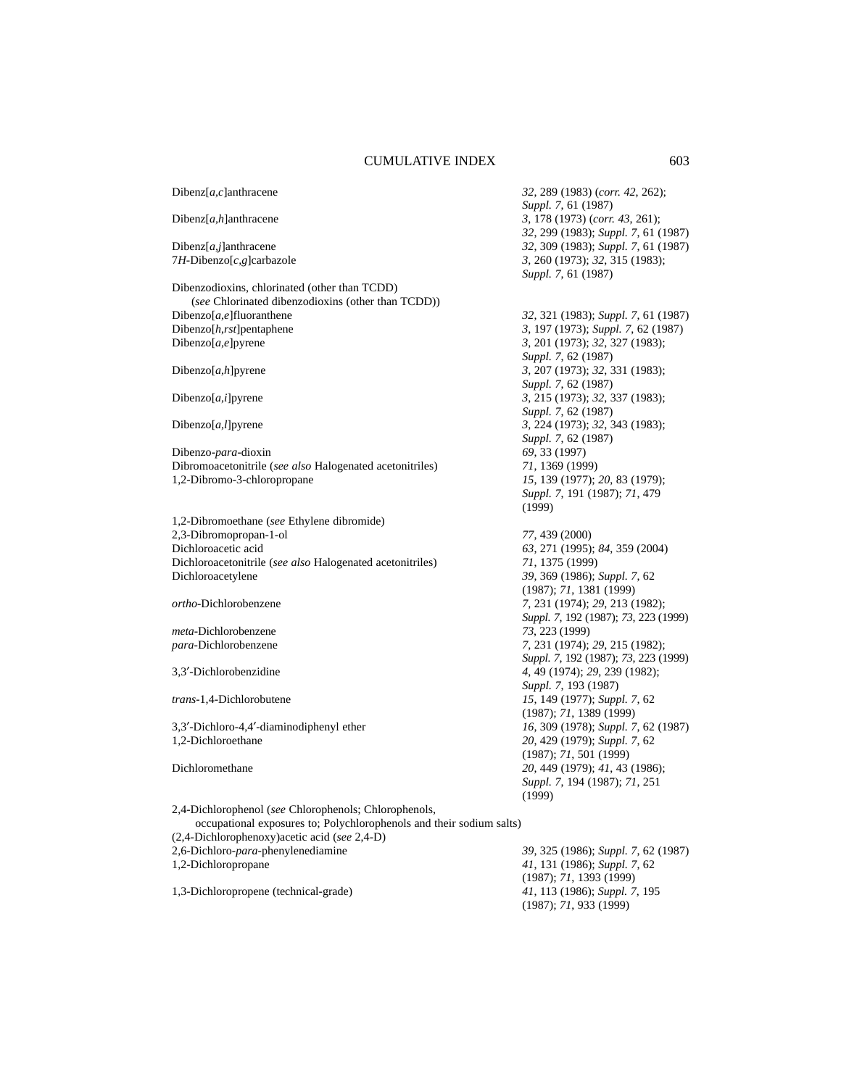Dibenz[*a,c*]anthracene *32*, 289 (1983) (*corr. 42*, 262); *Suppl. 7*, 61 (1987) Dibenz[*a,h*]anthracene *3*, 178 (1973) (*corr. 43*, 261); *32*, 299 (1983); *Suppl. 7*, 61 (1987) Dibenz[*a,j*]anthracene *32*, 309 (1983); *Suppl. 7*, 61 (1987) 7*H*-Dibenzo[*c,g*]carbazole *3*, 260 (1973); *32*, 315 (1983); *Suppl. 7*, 61 (1987) Dibenzodioxins, chlorinated (other than TCDD) (*see* Chlorinated dibenzodioxins (other than TCDD)) Dibenzo[*a,e*]fluoranthene *32*, 321 (1983); *Suppl. 7*, 61 (1987) Dibenzo[*h*,*rst*]pentaphene *3*, 197 (1973); *Suppl. 7*, 62 (1987) Dibenzo[*a,e*]pyrene *3*, 201 (1973); *32*, 327 (1983); *Suppl. 7*, 62 (1987) Dibenzo[*a,h*]pyrene *3*, 207 (1973); *32*, 331 (1983); *Suppl. 7*, 62 (1987) Dibenzo[*a,i*]pyrene *3*, 215 (1973); *32*, 337 (1983); *Suppl. 7*, 62 (1987) Dibenzo[*a,l*]pyrene *3*, 224 (1973); *32*, 343 (1983); *Suppl. 7*, 62 (1987) Dibenzo-*para*-dioxin *69*, 33 (1997) Dibromoacetonitrile (*see also* Halogenated acetonitriles) *71*, 1369 (1999) 1,2-Dibromo-3-chloropropane *15*, 139 (1977); *20*, 83 (1979); *Suppl. 7*, 191 (1987); *71*, 479 (1999) 1,2-Dibromoethane (*see* Ethylene dibromide) 2,3-Dibromopropan-1-ol *77*, 439 (2000) Dichloroacetic acid *63*, 271 (1995); *84*, 359 (2004) Dichloroacetonitrile (*see also* Halogenated acetonitriles) *71*, 1375 (1999) Dichloroacetylene *39*, 369 (1986); *Suppl. 7*, 62 (1987); *71*, 1381 (1999) *ortho*-Dichlorobenzene *7*, 231 (1974); *29*, 213 (1982); *Suppl. 7*, 192 (1987); *73*, 223 (1999) *meta*-Dichlorobenzene *73*, 223 (1999) *para*-Dichlorobenzene *7*, 231 (1974); *29*, 215 (1982); *Suppl. 7*, 192 (1987); *73*, 223 (1999) 3,3′-Dichlorobenzidine *4*, 49 (1974); *29*, 239 (1982); *Suppl. 7*, 193 (1987) *trans*-1,4-Dichlorobutene *15*, 149 (1977); *Suppl. 7*, 62 (1987); *71*, 1389 (1999) 3,3′-Dichloro-4,4′-diaminodiphenyl ether *16*, 309 (1978); *Suppl. 7*, 62 (1987) 1,2-Dichloroethane *20*, 429 (1979); *Suppl. 7*, 62 (1987); *71*, 501 (1999) Dichloromethane *20*, 449 (1979); *41*, 43 (1986); *Suppl. 7*, 194 (1987); *71*, 251 (1999) 2,4-Dichlorophenol (*see* Chlorophenols; Chlorophenols, occupational exposures to; Polychlorophenols and their sodium salts) (2,4-Dichlorophenoxy)acetic acid (*see* 2,4-D) 2,6-Dichloro-*para*-phenylenediamine *39*, 325 (1986); *Suppl. 7*, 62 (1987) 1,2-Dichloropropane *41*, 131 (1986); *Suppl. 7*, 62 (1987); *71*, 1393 (1999) 1,3-Dichloropropene (technical-grade) *41*, 113 (1986); *Suppl. 7*, 195 (1987); *71*, 933 (1999)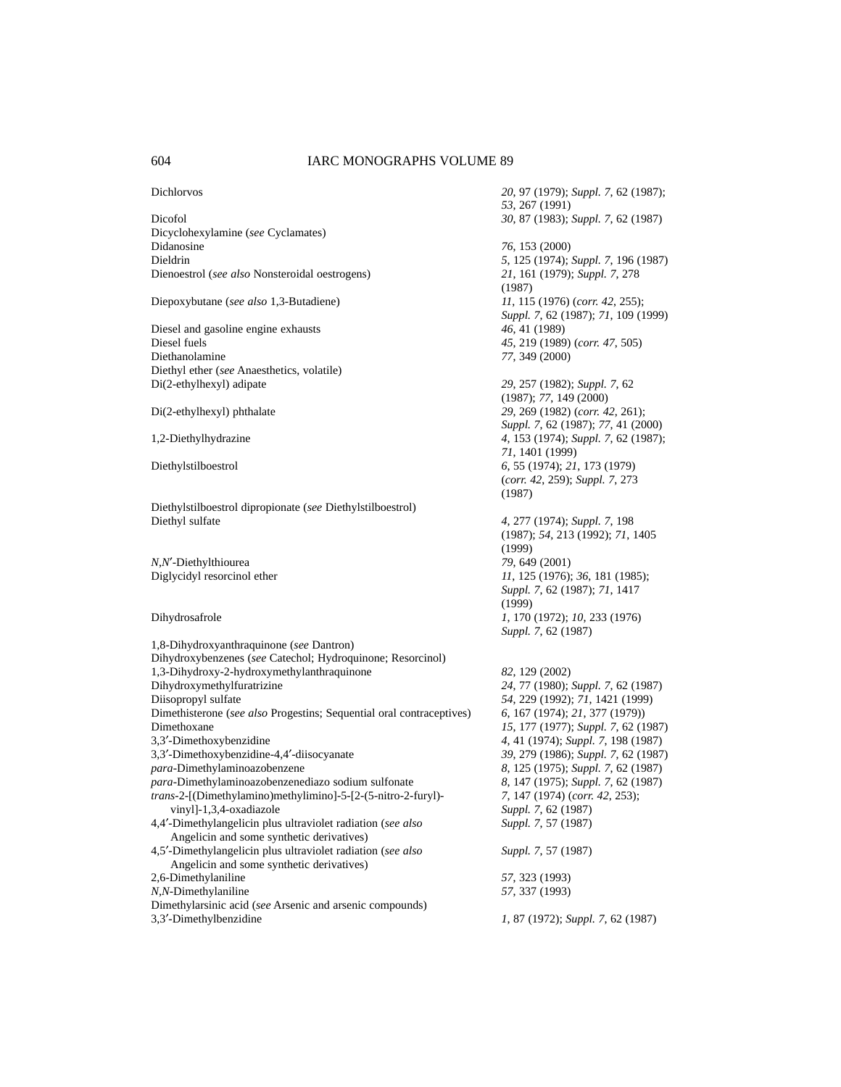Dicofol *30*, 87 (1983); *Suppl. 7*, 62 (1987) Dicyclohexylamine (*see* Cyclamates) Didanosine *76*, 153 (2000) Dieldrin *5*, 125 (1974); *Suppl. 7*, 196 (1987)

Diesel and gasoline engine exhausts *46*, 41 (1989) Diesel fuels *45*, 219 (1989) (*corr. 47*, 505) Diethanolamine *77*, 349 (2000) Diethyl ether (*see* Anaesthetics, volatile) Di(2-ethylhexyl) adipate *29*, 257 (1982); *Suppl. 7*, 62

Diethylstilboestrol dipropionate (*see* Diethylstilboestrol) Diethyl sulfate *4*, 277 (1974); *Suppl. 7*, 198

1,8-Dihydroxyanthraquinone (*see* Dantron) Dihydroxybenzenes (*see* Catechol; Hydroquinone; Resorcinol) 1,3-Dihydroxy-2-hydroxymethylanthraquinone *82*, 129 (2002) Dihydroxymethylfuratrizine *24*, 77 (1980); *Suppl. 7*, 62 (1987) Diisopropyl sulfate *54*, 229 (1992); *71*, 1421 (1999) Dimethisterone (*see also* Progestins; Sequential oral contraceptives) *6*, 167 (1974); *21*, 377 (1979)) Dimethoxane *15*, 177 (1977); *Suppl. 7*, 62 (1987)<br>3.3'-Dimethoxybenzidine *15*, 177 (1974); *Suppl. 7*, 198 (1987) 3,3′-Dimethoxybenzidine-4,4′-diisocyanate *39*, 279 (1986); *Suppl. 7*, 62 (1987) *para*-Dimethylaminoazobenzene *8*, 125 (1975); *Suppl. 7*, 62 (1987) *para*-Dimethylaminoazobenzenediazo sodium sulfonate *8*, 147 (1975); *Suppl. 7*, 62 (1987) *trans*-2-[(Dimethylamino)methylimino]-5-[2-(5-nitro-2-furyl)- *7*, 147 (1974) (*corr. 42*, 253); vinyl]-1,3,4-oxadiazole *Suppl. 7*, 62 (1987)<br>-Dimethylangelicin plus ultraviolet radiation (*see also Suppl. 7*, 57 (1987) 4,4<sup>'</sup>-Dimethylangelicin plus ultraviolet radiation (*see also* Angelicin and some synthetic derivatives) 4,5′-Dimethylangelicin plus ultraviolet radiation (*see also Suppl. 7*, 57 (1987) Angelicin and some synthetic derivatives) 2,6-Dimethylaniline *57*, 323 (1993) *N,N*-Dimethylaniline *57*, 337 (1993) Dimethylarsinic acid (*see* Arsenic and arsenic compounds) 3,3′-Dimethylbenzidine *1*, 87 (1972); *Suppl. 7*, 62 (1987)

Dichlorvos *20*, 97 (1979); *Suppl. 7*, 62 (1987); *53*, 267 (1991) Dienoestrol (*see also* Nonsteroidal oestrogens) *21*, 161 (1979); *Suppl. 7*, 278 (1987) Diepoxybutane (*see also* 1,3-Butadiene) *11*, 115 (1976) (*corr. 42*, 255); *Suppl. 7*, 62 (1987); *71*, 109 (1999) (1987); *77*, 149 (2000) Di(2-ethylhexyl) phthalate *29*, 269 (1982) (*corr. 42*, 261); *Suppl. 7*, 62 (1987); *77*, 41 (2000) 1,2-Diethylhydrazine *4*, 153 (1974); *Suppl. 7*, 62 (1987); *71*, 1401 (1999) Diethylstilboestrol *6*, 55 (1974); *21*, 173 (1979) (*corr. 42*, 259); *Suppl. 7*, 273 (1987) (1987); *54*, 213 (1992); *71*, 1405 (1999) *N*,*N*′-Diethylthiourea *79*, 649 (2001) Diglycidyl resorcinol ether *11*, 125 (1976); *36*, 181 (1985); *Suppl. 7*, 62 (1987); *71*, 1417 (1999) Dihydrosafrole *1*, 170 (1972); *10*, 233 (1976) *Suppl. 7*, 62 (1987) 3,3′-Dimethoxybenzidine *4*, 41 (1974); *Suppl. 7*, 198 (1987)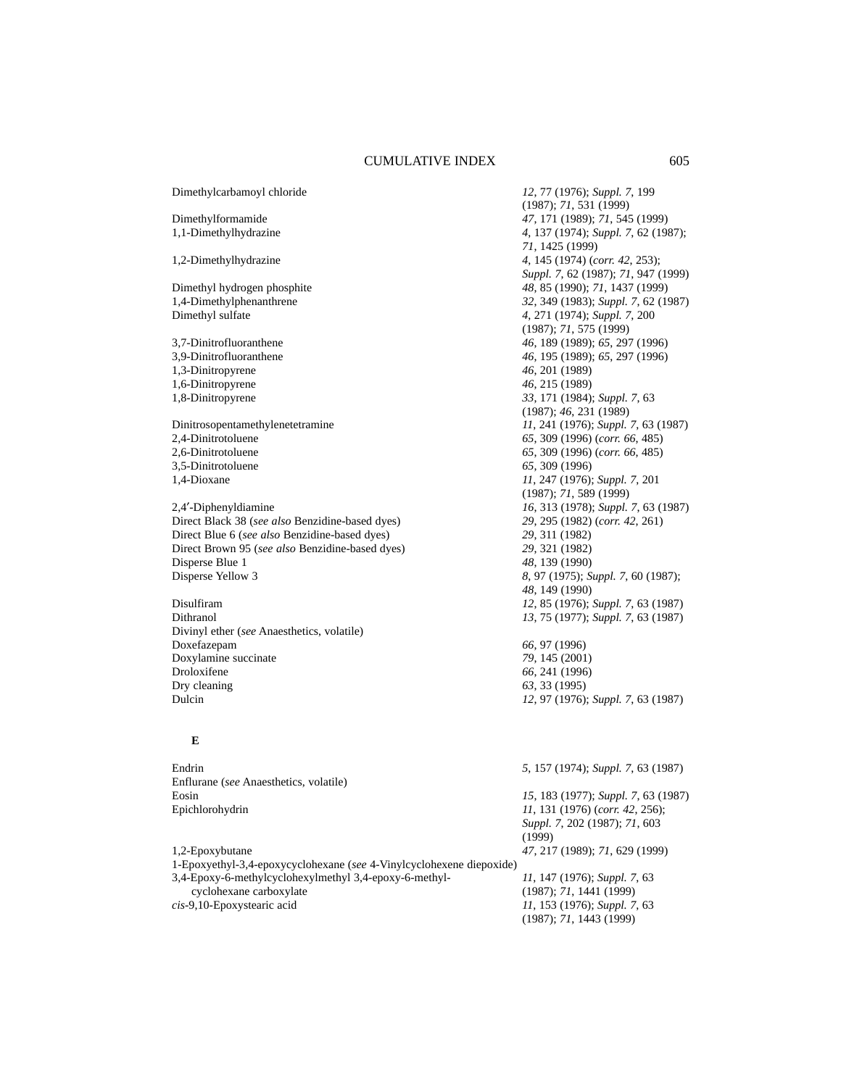Dimethylcarbamoyl chloride *12*, 77 (1976); *Suppl. 7*, 199 Dimethylformamide *47*, 171 (1989); *71*, 545 (1999) 1,1-Dimethylhydrazine *4*, 137 (1974); *Suppl. 7*, 62 (1987); *71*, 1425 (1999) 1,2-Dimethylhydrazine *4*, 145 (1974) (*corr. 42*, 253); Dimethyl hydrogen phosphite *48*, 85 (1990); *71*, 1437 (1999) Dimethyl sulfate *4*, 271 (1974); *Suppl. 7*, 200 3,7-Dinitrofluoranthene *46*, 189 (1989); *65*, 297 (1996) 3,9-Dinitrofluoranthene *46*, 195 (1989); *65*, 297 (1996) 1,3-Dinitropyrene *46*, 201 (1989) 1,6-Dinitropyrene *46*, 215 (1989) 1,8-Dinitropyrene *33*, 171 (1984); *Suppl. 7*, 63 Dinitrosopentamethylenetetramine *11*, 241 (1976); *Suppl. 7*, 63 (1987) 2,4-Dinitrotoluene *65*, 309 (1996) (*corr. 66*, 485) 3,5-Dinitrotoluene *65*, 309 (1996) 1,4-Dioxane *11*, 247 (1976); *Suppl. 7*, 201 2,4′-Diphenyldiamine *16*, 313 (1978); *Suppl. 7*, 63 (1987) Direct Black 38 (*see also* Benzidine-based dyes) *29*, 295 (1982) (*corr. 42*, 261) Direct Blue 6 (*see also* Benzidine-based dyes) *29*, 311 (1982) Direct Brown 95 (*see also* Benzidine-based dyes) *29*, 321 (1982) Disperse Blue 1 *48*, 139 (1990) Disperse Yellow 3 *8*, 97 (1975); *Suppl. 7*, 60 (1987); *48*, 149 (1990) Disulfiram *12*, 85 (1976); *Suppl. 7*, 63 (1987) Dithranol *13*, 75 (1977); *Suppl. 7*, 63 (1987) Divinyl ether (*see* Anaesthetics, volatile) Doxefazepam *66*, 97 (1996) Doxylamine succinate *79*, 145 (2001) Droloxifene *66*, 241 (1996) Dry cleaning *63*, 33 (1995) Dulcin *12*, 97 (1976); *Suppl. 7*, 63 (1987)

# **E**

Endrin *5*, 157 (1974); *Suppl. 7*, 63 (1987) Enflurane (*see* Anaesthetics, volatile) Eosin *15*, 183 (1977); *Suppl. 7*, 63 (1987) Epichlorohydrin *11*, 131 (1976) (*corr. 42*, 256); *Suppl. 7*, 202 (1987); *71*, 603 (1999) 1,2-Epoxybutane *47*, 217 (1989); *71*, 629 (1999) 1-Epoxyethyl-3,4-epoxycyclohexane (*see* 4-Vinylcyclohexene diepoxide) 3,4-Epoxy-6-methylcyclohexylmethyl 3,4-epoxy-6-methyl- *11*, 147 (1976); *Suppl. 7*, 63 cyclohexane carboxylate (1987); *71*, 1441 (1999)<br> *cis-*9,10-Epoxystearic acid *11*, 153 (1976); *Suppl. 7 cis*-9,10-Epoxystearic acid *11*, 153 (1976); *Suppl. 7*, 63

(1987); *71*, 531 (1999) *Suppl. 7*, 62 (1987); *71*, 947 (1999) 1,4-Dimethylphenanthrene *32*, 349 (1983); *Suppl. 7*, 62 (1987) (1987); *71*, 575 (1999) (1987); *46*, 231 (1989) 2,6-Dinitrotoluene *65*, 309 (1996) (*corr. 66*, 485) (1987); *71*, 589 (1999)

(1987); *71*, 1443 (1999)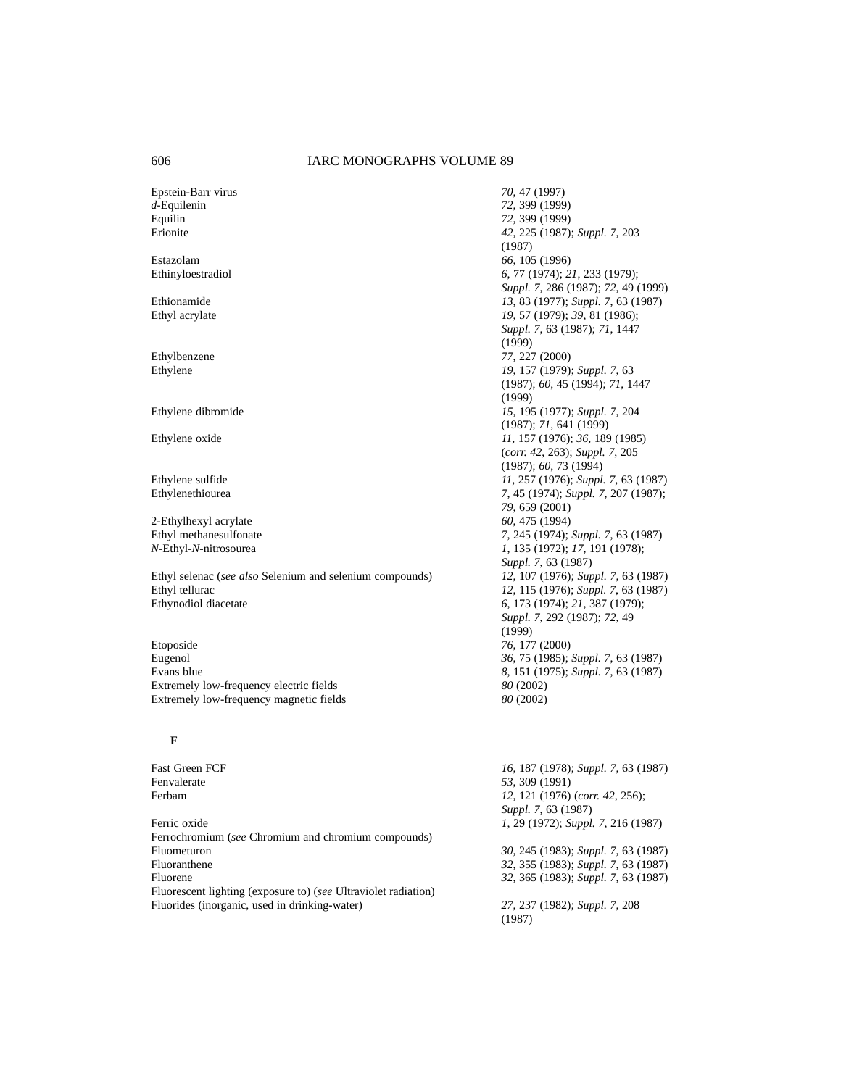Epstein-Barr virus *70*, 47 (1997) *d*-Equilenin *72*, 399 (1999) Equilin *72*, 399 (1999)

2-Ethylhexyl acrylate *60*, 475 (1994)<br>
Ethyl methanesulfonate *7*, 245 (1974);

Ethyl selenac (*see also* Selenium and selenium compounds) *12*, 107 (1976); *Suppl. 7*, 63 (1987) Ethyl tellurac *12*, 115 (1976); *Suppl. 7*, 63 (1987) Ethynodiol diacetate *6*, 173 (1974); *21*, 387 (1979);

Etoposide *76*, 177 (2000) Eugenol *36*, 75 (1985); *Suppl.* 7, 63 (1987)<br>Evans blue 8, 151 (1975); *Suppl.* 7, 63 (1987) Extremely low-frequency electric fields *80* (2002) Extremely low-frequency magnetic fields *80* (2002)

### **F**

Ferric oxide *1*, 29 (1972); *Suppl. 7*, 216 (1987) Ferrochromium (*see* Chromium and chromium compounds) Fluometuron *30*, 245 (1983); *Suppl. 7*, 63 (1987) Fluorene *32*, 365 (1983); *Suppl. 7*, 63 (1987) Fluorescent lighting (exposure to) (*see* Ultraviolet radiation) Fluorides (inorganic, used in drinking-water) *27*, 237 (1982); *Suppl. 7*, 208

Erionite *42*, 225 (1987); *Suppl. 7*, 203 (1987) Estazolam *66*, 105 (1996) Ethinyloestradiol *6*, 77 (1974); *21*, 233 (1979); *Suppl. 7*, 286 (1987); *72*, 49 (1999) Ethionamide *13*, 83 (1977); *Suppl. 7*, 63 (1987) Ethyl acrylate *19*, 57 (1979); *39*, 81 (1986); *Suppl. 7*, 63 (1987); *71*, 1447 (1999) Ethylbenzene *77*, 227 (2000)<br>Ethylene *19*, 157 (1979); Ethylene *19*, 157 (1979); *Suppl. 7*, 63 (1987); *60*, 45 (1994); *71*, 1447 (1999) Ethylene dibromide *15*, 195 (1977); *Suppl. 7*, 204 (1987); *71*, 641 (1999) Ethylene oxide *11*, 157 (1976); *36*, 189 (1985) (*corr. 42*, 263); *Suppl. 7*, 205 (1987); *60*, 73 (1994) Ethylene sulfide *11*, 257 (1976); *Suppl. 7*, 63 (1987); *Ethylenethiourea 14*, 267 (1987); *Suppl. 7*, 207 (1987); *Suppl. 7*, 207 (1987); Ethylenethiourea *7*, 45 (1974); *Suppl. 7*, 207 (1987); *79*, 659 (2001) Ethyl methanesulfonate *7*, 245 (1974); *Suppl. 7*, 63 (1987) *N*-Ethyl-*N*-nitrosourea *1*, 135 (1972); *17*, 191 (1978); *Suppl. 7*, 63 (1987) *Suppl. 7*, 292 (1987); *72*, 49 (1999) Evans blue *8*, 151 (1975); *Suppl. 7*, 63 (1987)

Fast Green FCF *16*, 187 (1978); *Suppl. 7*, 63 (1987) Fenvalerate *53*, 309 (1991) Ferbam *12*, 121 (1976) (*corr. 42*, 256); *Suppl. 7*, 63 (1987)

Fluoranthene *32*, 355 (1983); *Suppl. 7*, 63 (1987)

(1987)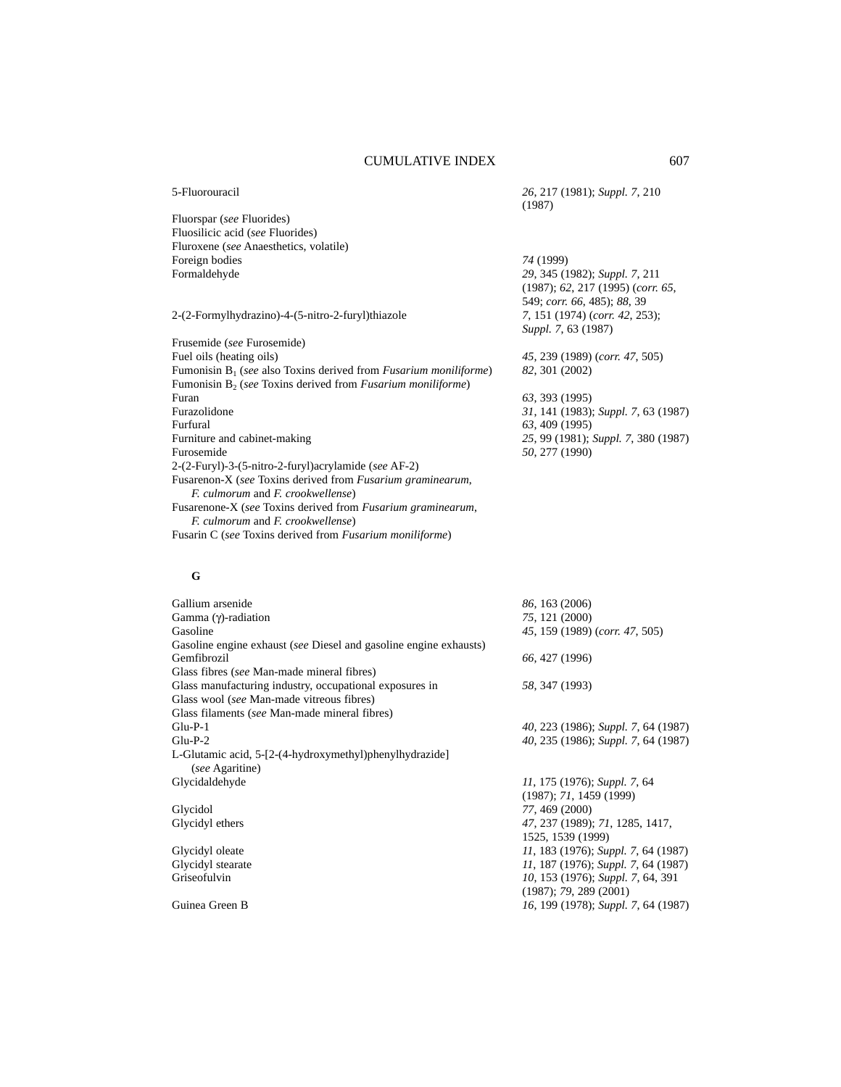| 5-Fluorouracil                                                                                           | 26, 217 (1981); Suppl. 7, 210<br>(1987)                                                           |
|----------------------------------------------------------------------------------------------------------|---------------------------------------------------------------------------------------------------|
| Fluorspar (see Fluorides)                                                                                |                                                                                                   |
| Fluosilicic acid (see Fluorides)                                                                         |                                                                                                   |
| Fluroxene (see Anaesthetics, volatile)                                                                   |                                                                                                   |
| Foreign bodies                                                                                           | 74 (1999)                                                                                         |
| Formaldehyde                                                                                             | 29, 345 (1982); Suppl. 7, 211<br>(1987); 62, 217 (1995) (corr. 65,<br>549; corr. 66, 485); 88, 39 |
| 2-(2-Formylhydrazino)-4-(5-nitro-2-furyl)thiazole                                                        | 7, 151 (1974) (corr. 42, 253);<br>Suppl. 7, 63 (1987)                                             |
| Frusemide (see Furosemide)                                                                               |                                                                                                   |
| Fuel oils (heating oils)                                                                                 | 45, 239 (1989) (corr. 47, 505)                                                                    |
| Fumonisin $B_1$ (see also Toxins derived from <i>Fusarium moniliforme</i> )                              | 82, 301 (2002)                                                                                    |
| Fumonisin $B_2$ (see Toxins derived from <i>Fusarium moniliforme</i> )                                   |                                                                                                   |
| Furan                                                                                                    | 63, 393 (1995)                                                                                    |
| Furazolidone                                                                                             | 31, 141 (1983); Suppl. 7, 63 (1987)                                                               |
| Furfural                                                                                                 | 63, 409 (1995)                                                                                    |
| Furniture and cabinet-making                                                                             | 25, 99 (1981); Suppl. 7, 380 (1987)                                                               |
| Furosemide                                                                                               | 50, 277 (1990)                                                                                    |
| 2-(2-Furyl)-3-(5-nitro-2-furyl) acrylamide (see AF-2)                                                    |                                                                                                   |
| Fusarenon-X (see Toxins derived from Fusarium graminearum,<br>F. culmorum and F. crookwellense)          |                                                                                                   |
| Fusarenone-X (see Toxins derived from Fusarium graminearum,<br><i>F. culmorum and F. crookwellense</i> ) |                                                                                                   |
| Fusarin C (see Toxins derived from Fusarium moniliforme)                                                 |                                                                                                   |
| G                                                                                                        |                                                                                                   |
| Gallium arsenide                                                                                         | 86, 163 (2006)                                                                                    |
| Gamma (γ)-radiation                                                                                      | 75, 121 (2000)                                                                                    |
| Gasoline                                                                                                 | 45, 159 (1989) (corr. 47, 505)                                                                    |
| Gasoline engine exhaust (see Diesel and gasoline engine exhausts)                                        |                                                                                                   |
| Gemfibrozil                                                                                              | 66, 427 (1996)                                                                                    |
| Glass fibres (see Man-made mineral fibres)                                                               |                                                                                                   |
| Glass manufacturing industry, occupational exposures in                                                  | 58, 347 (1993)                                                                                    |
| Glass wool (see Man-made vitreous fibres)                                                                |                                                                                                   |
| Glass filaments (see Man-made mineral fibres)                                                            |                                                                                                   |
| $Glu-P-1$                                                                                                | 40, 223 (1986); Suppl. 7, 64 (1987)                                                               |
| $Glu-P-2$                                                                                                | 40, 235 (1986); Suppl. 7, 64 (1987)                                                               |
| L-Glutamic acid, 5-[2-(4-hydroxymethyl)phenylhydrazide]<br>(see Agaritine)                               |                                                                                                   |
| Glycidaldehyde                                                                                           | 11, 175 (1976); Suppl. 7, 64                                                                      |

(1987); *71*, 1459 (1999)

1525, 1539 (1999)

(1987); *79*, 289 (2001)

*Glycidol*<br>*Glycidyl* ethers Glycidyl ethers *47*, 237 (1989); *71*, 1285, 1417,

Glycidyl oleate *11*, 183 (1976); *Suppl. 7*, 64 (1987) Glycidyl stearate *11*, 187 (1976); *Suppl. 7*, 64 (1987) Griseofulvin *10*, 153 (1976); *Suppl. 7*, 64, 391

Guinea Green B *16*, 199 (1978); *Suppl. 7*, 64 (1987)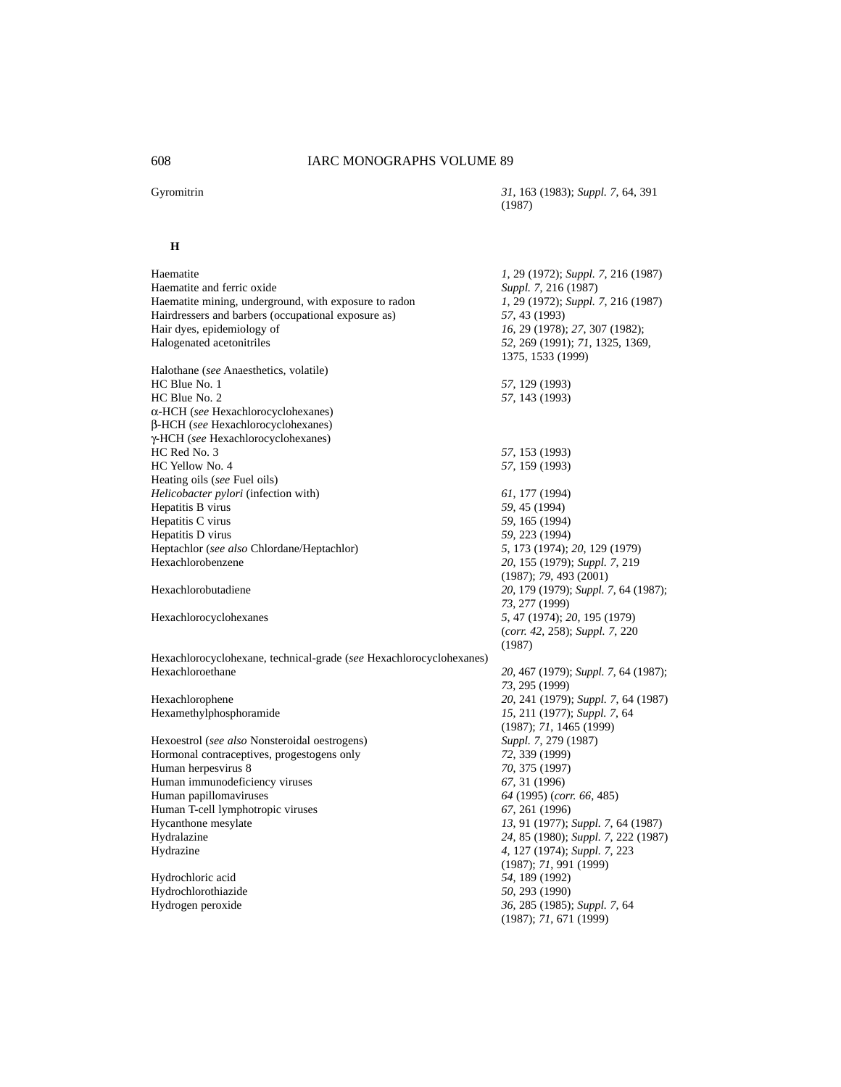**H**

#### Gyromitrin *31*, 163 (1983); *Suppl. 7*, 64, 391 (1987)

| Haematite                                                           | 1, 29 (1972); Suppl. 7, 216 (1987)   |
|---------------------------------------------------------------------|--------------------------------------|
| Haematite and ferric oxide                                          | Suppl. 7, 216 (1987)                 |
| Haematite mining, underground, with exposure to radon               | 1, 29 (1972); Suppl. 7, 216 (1987)   |
| Hairdressers and barbers (occupational exposure as)                 | 57, 43 (1993)                        |
| Hair dyes, epidemiology of                                          | 16, 29 (1978); 27, 307 (1982);       |
| Halogenated acetonitriles                                           | 52, 269 (1991); 71, 1325, 1369,      |
|                                                                     | 1375, 1533 (1999)                    |
| Halothane (see Anaesthetics, volatile)                              |                                      |
| HC Blue No. 1                                                       | 57, 129 (1993)                       |
| HC Blue No. 2                                                       | 57, 143 (1993)                       |
| α-HCH (see Hexachlorocyclohexanes)                                  |                                      |
| β-HCH (see Hexachlorocyclohexanes)                                  |                                      |
| γ-HCH (see Hexachlorocyclohexanes)                                  |                                      |
| HC Red No. 3                                                        | 57, 153 (1993)                       |
| HC Yellow No. 4                                                     | 57, 159 (1993)                       |
| Heating oils (see Fuel oils)                                        |                                      |
| Helicobacter pylori (infection with)                                | 61, 177 (1994)                       |
| Hepatitis B virus                                                   | 59, 45 (1994)                        |
| Hepatitis C virus                                                   | 59, 165 (1994)                       |
| Hepatitis D virus                                                   | 59, 223 (1994)                       |
| Heptachlor (see also Chlordane/Heptachlor)                          | 5, 173 (1974); 20, 129 (1979)        |
| Hexachlorobenzene                                                   | 20, 155 (1979); Suppl. 7, 219        |
|                                                                     | (1987); 79, 493 (2001)               |
| Hexachlorobutadiene                                                 | 20, 179 (1979); Suppl. 7, 64 (1987); |
|                                                                     | 73, 277 (1999)                       |
| Hexachlorocyclohexanes                                              | 5, 47 (1974); 20, 195 (1979)         |
|                                                                     | (corr. 42, 258); Suppl. 7, 220       |
|                                                                     | (1987)                               |
| Hexachlorocyclohexane, technical-grade (see Hexachlorocyclohexanes) |                                      |
| Hexachloroethane                                                    | 20, 467 (1979); Suppl. 7, 64 (1987); |
|                                                                     | 73, 295 (1999)                       |
| Hexachlorophene                                                     | 20, 241 (1979); Suppl. 7, 64 (1987)  |
| Hexamethylphosphoramide                                             | 15, 211 (1977); Suppl. 7, 64         |
|                                                                     | (1987); 71, 1465 (1999)              |
| Hexoestrol (see also Nonsteroidal oestrogens)                       | Suppl. 7, 279 (1987)                 |
| Hormonal contraceptives, progestogens only                          | 72, 339 (1999)                       |
| Human herpesvirus 8                                                 | 70, 375 (1997)                       |
| Human immunodeficiency viruses                                      | 67, 31 (1996)                        |
| Human papillomaviruses                                              | 64 (1995) (corr. 66, 485)            |
| Human T-cell lymphotropic viruses                                   | 67, 261 (1996)                       |
| Hycanthone mesylate                                                 | 13, 91 (1977); Suppl. 7, 64 (1987)   |
| Hydralazine                                                         | 24, 85 (1980); Suppl. 7, 222 (1987)  |
| Hydrazine                                                           | 4, 127 (1974); Suppl. 7, 223         |
|                                                                     | (1987); 71, 991 (1999)               |
| Hydrochloric acid                                                   | 54, 189 (1992)                       |
| Hydrochlorothiazide                                                 | 50, 293 (1990)                       |
| Hydrogen peroxide                                                   | 36, 285 (1985); Suppl. 7, 64         |
|                                                                     | (1987); 71, 671 (1999)               |
|                                                                     |                                      |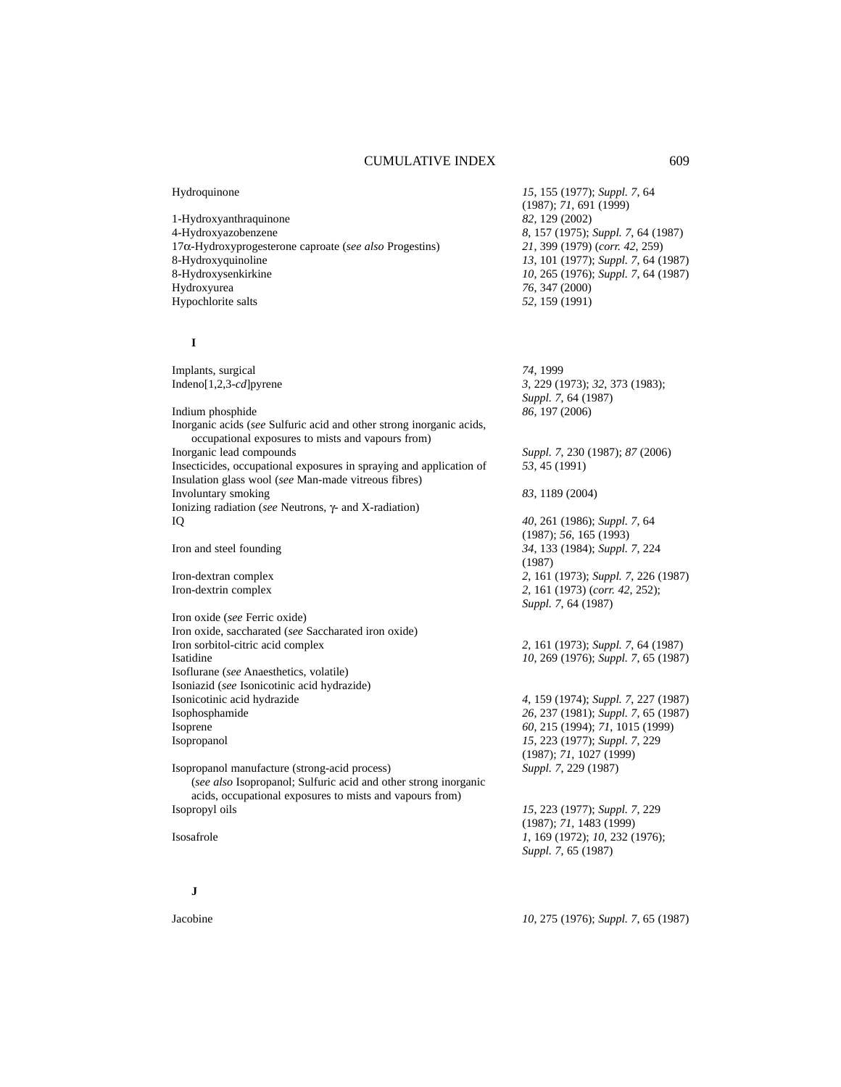1-Hydroxyanthraquinone *82*, 129 (2002) 4-Hydroxyazobenzene *8*, 157 (1975); *Suppl. 7*, 64 (1987) 17α-Hydroxyprogesterone caproate (*see also* Progestins) *21*, 399 (1979) (*corr. 42*, 259) 8-Hydroxyquinoline *13*, 101 (1977); *Suppl. 7*, 64 (1987) 8-Hydroxysenkirkine *10*, 265 (1976); *Suppl. 7*, 64 (1987) Hypochlorite salts *52*, 159 (1991)

#### **I**

Implants, surgical *74*, 1999 Indeno[1,2,3-*cd*]pyrene *3*, 229 (1973); *32*, 373 (1983); *Suppl. 7*, 64 (1987) Indium phosphide *86*, 197 (2006) Inorganic acids (*see* Sulfuric acid and other strong inorganic acids, occupational exposures to mists and vapours from) Inorganic lead compounds *Suppl. 7*, 230 (1987); *87* (2006) Insecticides, occupational exposures in spraying and application of *53*, 45 (1991) Insulation glass wool (*see* Man-made vitreous fibres) Involuntary smoking *83*, 1189 (2004) Ionizing radiation (*see* Neutrons, γ- and X-radiation) IQ *40*, 261 (1986); *Suppl. 7*, 64 (1987); *56*, 165 (1993) Iron and steel founding *34*, 133 (1984); *Suppl. 7*, 224 (1987) Iron-dextran complex *2*, 161 (1973); *Suppl. 7*, 226 (1987) Iron-dextrin complex *2*, 161 (1973) (*corr. 42*, 252); *Suppl. 7*, 64 (1987) Iron oxide (*see* Ferric oxide) Iron oxide, saccharated (*see* Saccharated iron oxide) Iron sorbitol-citric acid complex *2*, 161 (1973); *Suppl. 7*, 64 (1987) Isatidine *10*, 269 (1976); *Suppl. 7*, 65 (1987) Isoflurane (*see* Anaesthetics, volatile) Isoniazid (*see* Isonicotinic acid hydrazide) Isonicotinic acid hydrazide *4*, 159 (1974); *Suppl. 7*, 227 (1987) Isophosphamide *26*, 237 (1981); *Suppl. 7*, 65 (1987) Isoprene *60*, 215 (1994); *71*, 1015 (1999) Isopropanol *15*, 223 (1977); *Suppl. 7*, 229 (1987); *71*, 1027 (1999) Isopropanol manufacture (strong-acid process) *Suppl. 7*, 229 (1987) (*see also* Isopropanol; Sulfuric acid and other strong inorganic acids, occupational exposures to mists and vapours from) Isopropyl oils *15*, 223 (1977); *Suppl. 7*, 229 (1987); *71*, 1483 (1999) Isosafrole *1*, 169 (1972); *10*, 232 (1976); *Suppl. 7*, 65 (1987)

**J**

Hydroquinone *15*, 155 (1977); *Suppl. 7*, 64 (1987); *71*, 691 (1999) 76, 347 (2000)

Jacobine *10*, 275 (1976); *Suppl. 7*, 65 (1987)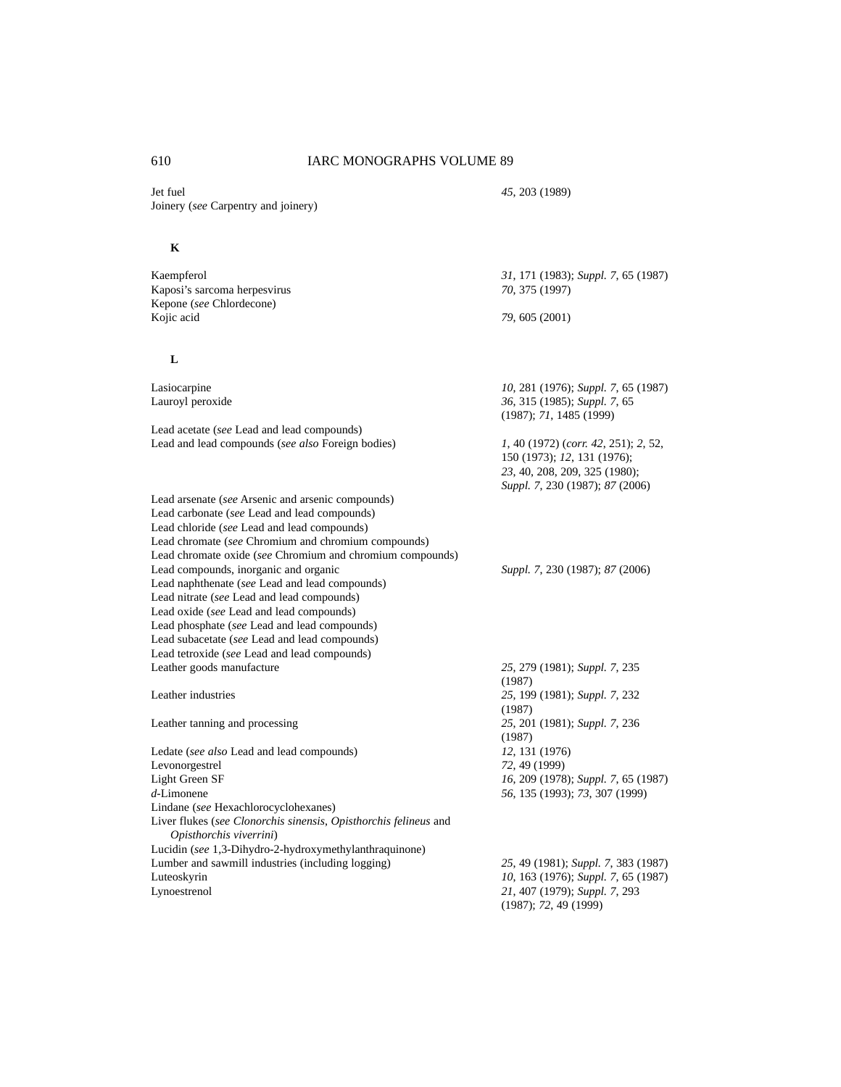Jet fuel *45*, 203 (1989) Joinery (*see* Carpentry and joinery)

# **K**

| Kaempferol                                                                                  | 31, 171 (1983); Suppl. 7, 65 (1987)                                                                                                     |
|---------------------------------------------------------------------------------------------|-----------------------------------------------------------------------------------------------------------------------------------------|
| Kaposi's sarcoma herpesvirus                                                                | 70, 375 (1997)                                                                                                                          |
| Kepone (see Chlordecone)                                                                    |                                                                                                                                         |
| Kojic acid                                                                                  | 79, 605 (2001)                                                                                                                          |
| L                                                                                           |                                                                                                                                         |
| Lasiocarpine                                                                                | 10, 281 (1976); Suppl. 7, 65 (1987)                                                                                                     |
| Lauroyl peroxide                                                                            | 36, 315 (1985); Suppl. 7, 65<br>(1987); 71, 1485 (1999)                                                                                 |
| Lead acetate (see Lead and lead compounds)                                                  |                                                                                                                                         |
| Lead and lead compounds (see also Foreign bodies)                                           | 1, 40 (1972) (corr. 42, 251); 2, 52,<br>150 (1973); 12, 131 (1976);<br>23, 40, 208, 209, 325 (1980);<br>Suppl. 7, 230 (1987); 87 (2006) |
| Lead arsenate (see Arsenic and arsenic compounds)                                           |                                                                                                                                         |
| Lead carbonate (see Lead and lead compounds)                                                |                                                                                                                                         |
| Lead chloride (see Lead and lead compounds)                                                 |                                                                                                                                         |
| Lead chromate (see Chromium and chromium compounds)                                         |                                                                                                                                         |
| Lead chromate oxide (see Chromium and chromium compounds)                                   |                                                                                                                                         |
| Lead compounds, inorganic and organic                                                       | Suppl. 7, 230 (1987); 87 (2006)                                                                                                         |
| Lead naphthenate (see Lead and lead compounds)                                              |                                                                                                                                         |
| Lead nitrate (see Lead and lead compounds)                                                  |                                                                                                                                         |
| Lead oxide (see Lead and lead compounds)                                                    |                                                                                                                                         |
| Lead phosphate (see Lead and lead compounds)                                                |                                                                                                                                         |
| Lead subacetate (see Lead and lead compounds)                                               |                                                                                                                                         |
| Lead tetroxide (see Lead and lead compounds)                                                |                                                                                                                                         |
| Leather goods manufacture                                                                   | 25, 279 (1981); Suppl. 7, 235<br>(1987)                                                                                                 |
| Leather industries                                                                          | 25, 199 (1981); Suppl. 7, 232<br>(1987)                                                                                                 |
| Leather tanning and processing                                                              | 25, 201 (1981); Suppl. 7, 236<br>(1987)                                                                                                 |
| Ledate (see also Lead and lead compounds)                                                   | 12, 131 (1976)                                                                                                                          |
| Levonorgestrel                                                                              | 72, 49 (1999)                                                                                                                           |
| Light Green SF                                                                              | 16, 209 (1978); Suppl. 7, 65 (1987)                                                                                                     |
| $d$ -Limonene                                                                               | 56, 135 (1993); 73, 307 (1999)                                                                                                          |
| Lindane (see Hexachlorocyclohexanes)                                                        |                                                                                                                                         |
| Liver flukes (see Clonorchis sinensis, Opisthorchis felineus and<br>Opisthorchis viverrini) |                                                                                                                                         |
| Lucidin (see 1,3-Dihydro-2-hydroxymethylanthraquinone)                                      |                                                                                                                                         |
| Lumber and sawmill industries (including logging)                                           | 25, 49 (1981); Suppl. 7, 383 (1987)                                                                                                     |
| Luteoskyrin                                                                                 | 10, 163 (1976); Suppl. 7, 65 (1987)                                                                                                     |
| Lynoestrenol                                                                                | 21, 407 (1979); Suppl. 7, 293<br>(1987); 72, 49 (1999)                                                                                  |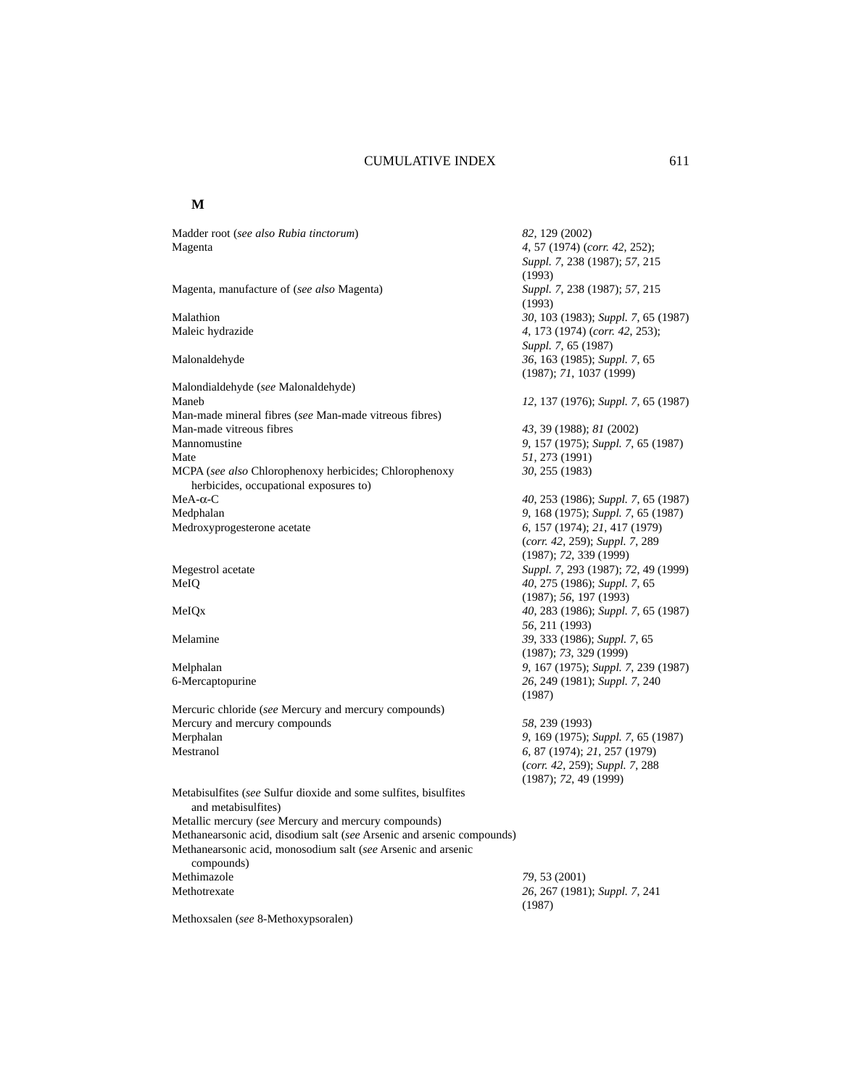#### **M**

Madder root (*see also Rubia tinctorum*) *82,* 129 (2002) Magenta *4*, 57 (1974) (*corr. 42*, 252); *Suppl. 7*, 238 (1987); *57*, 215 (1993) Magenta, manufacture of (*see also* Magenta) *Suppl. 7*, 238 (1987); *57*, 215 (1993) Malathion *30*, 103 (1983); *Suppl. 7*, 65 (1987) Maleic hydrazide *4*, 173 (1974) (*corr. 42*, 253); *Suppl. 7*, 65 (1987) Malonaldehyde *36*, 163 (1985); *Suppl. 7*, 65 (1987); *71*, 1037 (1999) Malondialdehyde (*see* Malonaldehyde) Maneb *12*, 137 (1976); *Suppl. 7*, 65 (1987) Man-made mineral fibres (*see* Man-made vitreous fibres) Man-made vitreous fibres *43*, 39 (1988); *81* (2002) Mannomustine *9*, 157 (1975); *Suppl. 7*, 65 (1987) Mate *51*, 273 (1991) MCPA (*see also* Chlorophenoxy herbicides; Chlorophenoxy *30*, 255 (1983) herbicides, occupational exposures to) MeA-α-C *40*, 253 (1986); *Suppl. 7*, 65 (1987) Medphalan *9*, 168 (1975); *Suppl. 7*, 65 (1987) Medroxyprogesterone acetate *6*, 157 (1974); *21*, 417 (1979) (*corr. 42*, 259); *Suppl. 7*, 289 (1987); *72*, 339 (1999) Megestrol acetate *Suppl. 7*, 293 (1987); *72*, 49 (1999) MeIQ *40*, 275 (1986); *Suppl. 7*, 65 (1987); *56*, 197 (1993) MeIQx *40*, 283 (1986); *Suppl. 7*, 65 (1987) *56*, 211 (1993) Melamine *39*, 333 (1986); *Suppl. 7*, 65 (1987); *73*, 329 (1999) Melphalan *9*, 167 (1975); *Suppl. 7*, 239 (1987) 6-Mercaptopurine *26*, 249 (1981); *Suppl. 7*, 240 (1987) Mercuric chloride (*see* Mercury and mercury compounds) Mercury and mercury compounds *58*, 239 (1993) Merphalan *9*, 169 (1975); *Suppl. 7*, 65 (1987) Mestranol *6*, 87 (1974); *21*, 257 (1979) (*corr. 42*, 259); *Suppl. 7*, 288 (1987); *72*, 49 (1999) Metabisulfites (*see* Sulfur dioxide and some sulfites, bisulfites and metabisulfites) Metallic mercury (*see* Mercury and mercury compounds) Methanearsonic acid, disodium salt (*see* Arsenic and arsenic compounds) Methanearsonic acid, monosodium salt (*see* Arsenic and arsenic compounds) Methimazole *79*, 53 (2001) Methotrexate *26*, 267 (1981); *Suppl. 7*, 241 (1987)

Methoxsalen (*see* 8-Methoxypsoralen)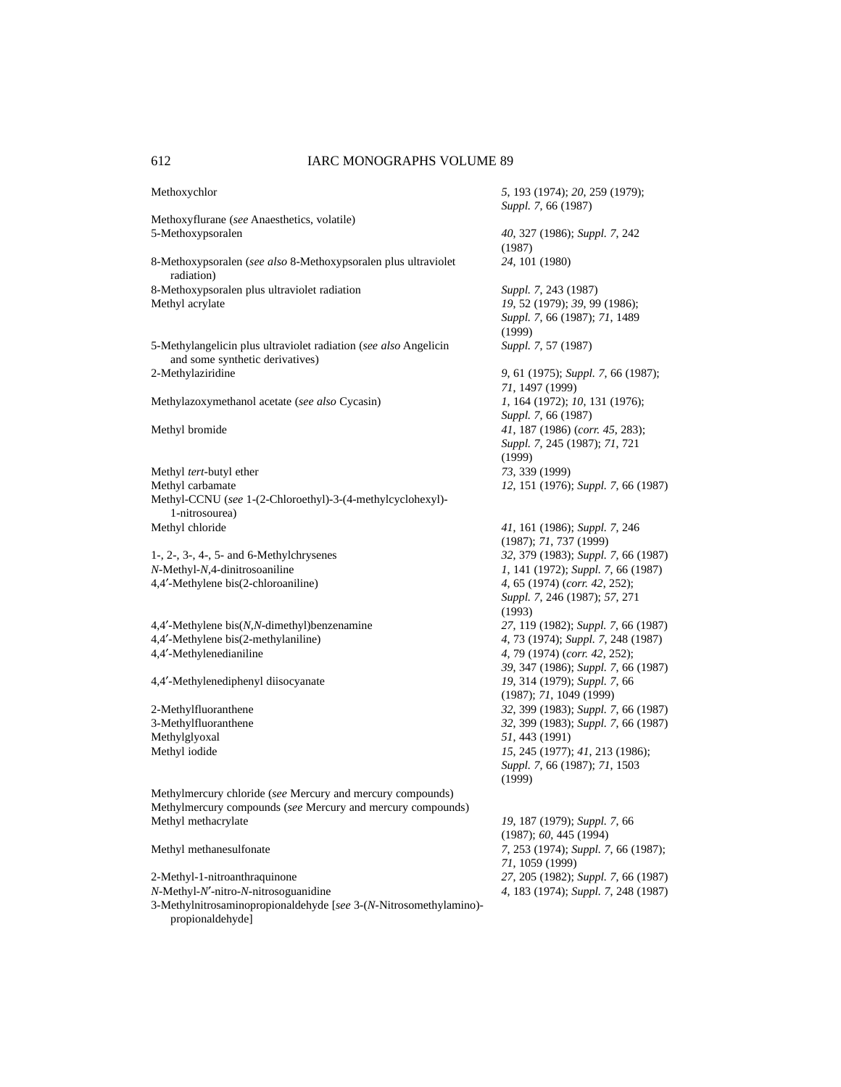Methoxychlor *5*, 193 (1974); *20*, 259 (1979); *Suppl. 7*, 66 (1987) Methoxyflurane (*see* Anaesthetics, volatile) 5-Methoxypsoralen *40*, 327 (1986); *Suppl. 7*, 242 (1987) 8-Methoxypsoralen (*see also* 8-Methoxypsoralen plus ultraviolet *24*, 101 (1980) radiation) 8-Methoxypsoralen plus ultraviolet radiation *Suppl. 7*, 243 (1987) Methyl acrylate *19*, 52 (1979); *39*, 99 (1986); *Suppl. 7*, 66 (1987); *71*, 1489 (1999) 5-Methylangelicin plus ultraviolet radiation (*see also* Angelicin *Suppl. 7*, 57 (1987) and some synthetic derivatives) 2-Methylaziridine *9*, 61 (1975); *Suppl. 7*, 66 (1987); *71*, 1497 (1999) Methylazoxymethanol acetate (*see also* Cycasin) *1*, 164 (1972); *10*, 131 (1976); *Suppl. 7*, 66 (1987) Methyl bromide *41*, 187 (1986) (*corr. 45*, 283); *Suppl. 7*, 245 (1987); *71*, 721 (1999) Methyl *tert*-butyl ether *73*, 339 (1999) Methyl carbamate *12*, 151 (1976); *Suppl. 7*, 66 (1987) Methyl-CCNU (*see* 1-(2-Chloroethyl)-3-(4-methylcyclohexyl)- 1-nitrosourea) Methyl chloride *41*, 161 (1986); *Suppl. 7*, 246 (1987); *71*, 737 (1999) 1-, 2-, 3-, 4-, 5- and 6-Methylchrysenes *32*, 379 (1983); *Suppl. 7*, 66 (1987) *N*-Methyl-*N*,4-dinitrosoaniline *1*, 141 (1972); *Suppl. 7*, 66 (1987) 4,4′-Methylene bis(2-chloroaniline) *4*, 65 (1974) (*corr. 42*, 252); *Suppl. 7*, 246 (1987); *57*, 271 (1993) 4,4′-Methylene bis(*N,N*-dimethyl)benzenamine *27*, 119 (1982); *Suppl. 7*, 66 (1987) 4,4′-Methylene bis(2-methylaniline) *4*, 73 (1974); *Suppl. 7*, 248 (1987) 4,4′-Methylenedianiline *4*, 79 (1974) (*corr. 42*, 252); *39*, 347 (1986); *Suppl. 7*, 66 (1987) 4,4′-Methylenediphenyl diisocyanate *19*, 314 (1979); *Suppl. 7*, 66 (1987); *71*, 1049 (1999) 2-Methylfluoranthene *32*, 399 (1983); *Suppl. 7*, 66 (1987) 3-Methylfluoranthene *32*, 399 (1983); *Suppl. 7*, 66 (1987) Methylglyoxal *51*, 443 (1991) Methyl iodide *15*, 245 (1977); *41*, 213 (1986); *Suppl. 7*, 66 (1987); *71*, 1503 (1999) Methylmercury chloride (*see* Mercury and mercury compounds) Methylmercury compounds (*see* Mercury and mercury compounds) Methyl methacrylate *19*, 187 (1979); *Suppl. 7*, 66 (1987); *60*, 445 (1994) Methyl methanesulfonate *7*, 253 (1974); *Suppl. 7*, 66 (1987); *71*, 1059 (1999) 2-Methyl-1-nitroanthraquinone *27*, 205 (1982); *Suppl. 7*, 66 (1987) *N*-Methyl-*N*′-nitro-*N*-nitrosoguanidine *4*, 183 (1974); *Suppl. 7*, 248 (1987) 3-Methylnitrosaminopropionaldehyde [*see* 3-(*N*-Nitrosomethylamino) propionaldehyde]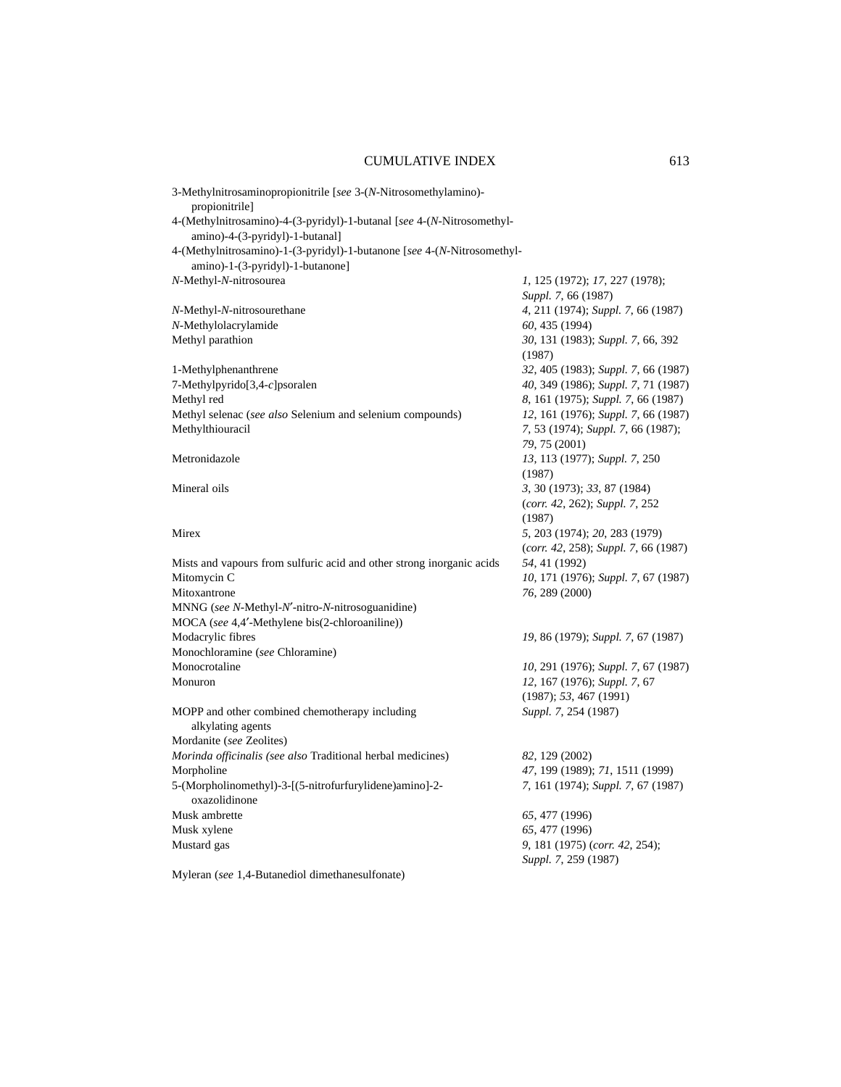| 3-Methylnitrosaminopropionitrile [see 3-(N-Nitrosomethylamino)-                                             |                                                               |
|-------------------------------------------------------------------------------------------------------------|---------------------------------------------------------------|
| propionitrile]                                                                                              |                                                               |
| 4-(Methylnitrosamino)-4-(3-pyridyl)-1-butanal [see 4-(N-Nitrosomethyl-<br>amino)-4-(3-pyridyl)-1-butanal]   |                                                               |
| 4-(Methylnitrosamino)-1-(3-pyridyl)-1-butanone [see 4-(N-Nitrosomethyl-<br>amino)-1-(3-pyridyl)-1-butanone] |                                                               |
| N-Methyl-N-nitrosourea                                                                                      | 1, 125 (1972); 17, 227 (1978);<br>Suppl. 7, 66 (1987)         |
| N-Methyl-N-nitrosourethane                                                                                  | 4, 211 (1974); Suppl. 7, 66 (1987)                            |
| N-Methylolacrylamide                                                                                        | 60, 435 (1994)                                                |
| Methyl parathion                                                                                            | 30, 131 (1983); Suppl. 7, 66, 392<br>(1987)                   |
| 1-Methylphenanthrene                                                                                        | 32, 405 (1983); Suppl. 7, 66 (1987)                           |
| 7-Methylpyrido[3,4-c]psoralen                                                                               | 40, 349 (1986); Suppl. 7, 71 (1987)                           |
| Methyl red                                                                                                  | 8, 161 (1975); Suppl. 7, 66 (1987)                            |
| Methyl selenac (see also Selenium and selenium compounds)                                                   | 12, 161 (1976); Suppl. 7, 66 (1987)                           |
| Methylthiouracil                                                                                            | 7, 53 (1974); Suppl. 7, 66 (1987);<br>79, 75 (2001)           |
| Metronidazole                                                                                               | 13, 113 (1977); Suppl. 7, 250<br>(1987)                       |
| Mineral oils                                                                                                | 3, 30 (1973); 33, 87 (1984)<br>(corr. 42, 262); Suppl. 7, 252 |
|                                                                                                             | (1987)                                                        |
| Mirex                                                                                                       | 5, 203 (1974); 20, 283 (1979)                                 |
|                                                                                                             | $(corr. 42, 258)$ ; Suppl. 7, 66 (1987)                       |
| Mists and vapours from sulfuric acid and other strong inorganic acids                                       | 54, 41 (1992)                                                 |
| Mitomycin C                                                                                                 | 10, 171 (1976); Suppl. 7, 67 (1987)                           |
| Mitoxantrone                                                                                                | 76, 289 (2000)                                                |
| MNNG (see N-Methyl-N'-nitro-N-nitrosoguanidine)                                                             |                                                               |
| MOCA (see 4,4'-Methylene bis(2-chloroaniline))                                                              |                                                               |
| Modacrylic fibres                                                                                           | 19, 86 (1979); Suppl. 7, 67 (1987)                            |
| Monochloramine (see Chloramine)                                                                             |                                                               |
| Monocrotaline                                                                                               | 10, 291 (1976); Suppl. 7, 67 (1987)                           |
| Monuron                                                                                                     | 12, 167 (1976); Suppl. 7, 67                                  |
|                                                                                                             | (1987); 53, 467 (1991)                                        |
| MOPP and other combined chemotherapy including<br>alkylating agents                                         | Suppl. 7, 254 (1987)                                          |
| Mordanite (see Zeolites)                                                                                    |                                                               |
| Morinda officinalis (see also Traditional herbal medicines)                                                 | 82, 129 (2002)                                                |
| Morpholine                                                                                                  | 47, 199 (1989); 71, 1511 (1999)                               |
| 5-(Morpholinomethyl)-3-[(5-nitrofurfurylidene)amino]-2-<br>oxazolidinone                                    | 7, 161 (1974); Suppl. 7, 67 (1987)                            |
| Musk ambrette                                                                                               | 65, 477 (1996)                                                |
| Musk xylene                                                                                                 | 65, 477 (1996)                                                |
| Mustard gas                                                                                                 | 9, 181 (1975) (corr. 42, 254);<br>Suppl. 7, 259 (1987)        |
| Myleran (see 1,4-Butanediol dimethanesulfonate)                                                             |                                                               |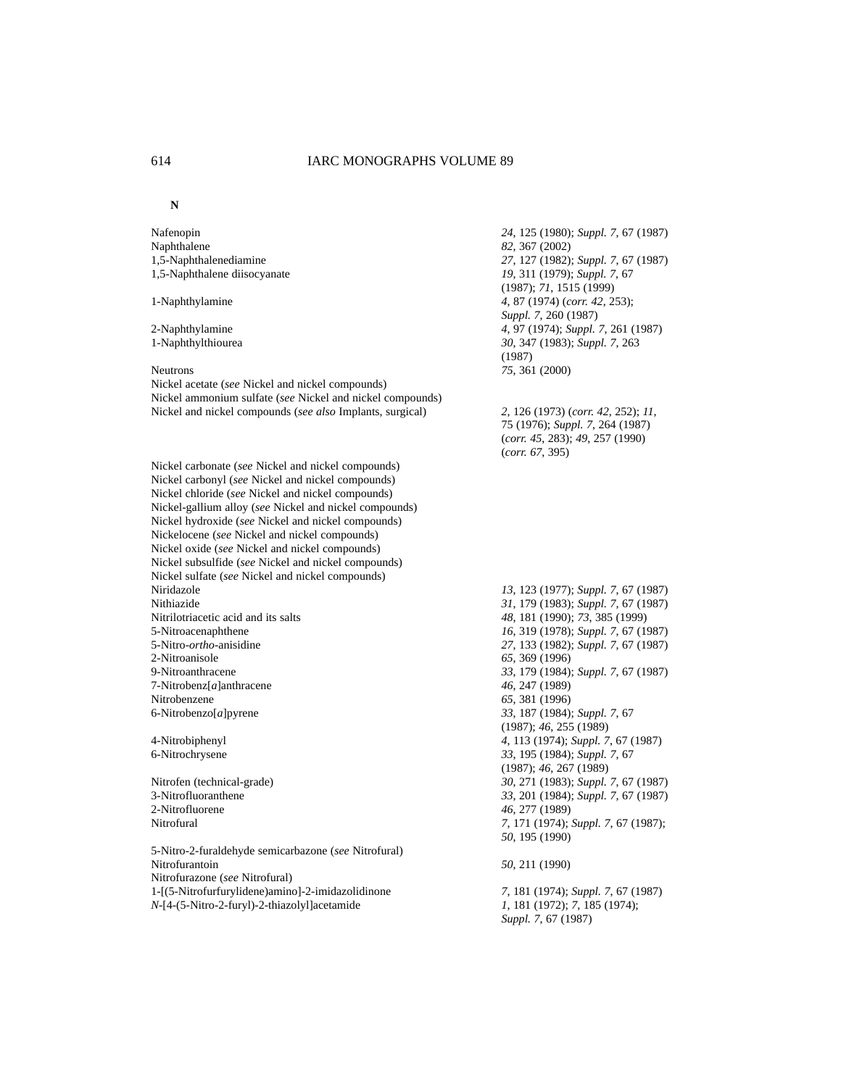#### **N**

Nafenopin *24*, 125 (1980); *Suppl. 7*, 67 (1987) Naphthalene *82*, 367 (2002) 1,5-Naphthalenediamine *27*, 127 (1982); *Suppl. 7*, 67 (1987) 1,5-Naphthalene diisocyanate *19*, 311 (1979); *Suppl. 7*, 67 (1987); *71*, 1515 (1999) 1-Naphthylamine *4*, 87 (1974) (*corr. 42*, 253); *Suppl. 7*, 260 (1987) 2-Naphthylamine *4*, 97 (1974); *Suppl. 7*, 261 (1987) 1-Naphthylthiourea *30*, 347 (1983); *Suppl. 7*, 263 (1987) Neutrons *75*, 361 (2000) Nickel acetate (*see* Nickel and nickel compounds) Nickel ammonium sulfate (*see* Nickel and nickel compounds) Nickel and nickel compounds (*see also* Implants, surgical) *2*, 126 (1973) (*corr. 42*, 252); *11*, 75 (1976); *Suppl. 7*, 264 (1987) (*corr. 45*, 283); *49*, 257 (1990) (*corr. 67*, 395) Nickel carbonate (*see* Nickel and nickel compounds) Nickel carbonyl (*see* Nickel and nickel compounds) Nickel chloride (*see* Nickel and nickel compounds) Nickel-gallium alloy (*see* Nickel and nickel compounds) Nickel hydroxide (*see* Nickel and nickel compounds) Nickelocene (*see* Nickel and nickel compounds) Nickel oxide (*see* Nickel and nickel compounds) Nickel subsulfide (*see* Nickel and nickel compounds) Nickel sulfate (*see* Nickel and nickel compounds) Niridazole *13*, 123 (1977); *Suppl. 7*, 67 (1987) Nithiazide *31*, 179 (1983); *Suppl. 7*, 67 (1987) Nitrilotriacetic acid and its salts *48*, 181 (1990); *73*, 385 (1999) 5-Nitroacenaphthene *16*, 319 (1978); *Suppl. 7*, 67 (1987) 5-Nitro-*ortho*-anisidine *27*, 133 (1982); *Suppl. 7*, 67 (1987) 2-Nitroanisole *65*, 369 (1996) 9-Nitroanthracene *33*, 179 (1984); *Suppl. 7*, 67 (1987) 7-Nitrobenz[*a*]anthracene *46*, 247 (1989) Nitrobenzene *65*, 381 (1996) 6-Nitrobenzo[*a*]pyrene *33*, 187 (1984); *Suppl. 7*, 67 (1987); *46*, 255 (1989) 4-Nitrobiphenyl *4*, 113 (1974); *Suppl. 7*, 67 (1987) 6-Nitrochrysene *33*, 195 (1984); *Suppl. 7*, 67 (1987); *46*, 267 (1989) Nitrofen (technical-grade) *30*, 271 (1983); *Suppl. 7*, 67 (1987) 3-Nitrofluoranthene *33*, 201 (1984); *Suppl. 7*, 67 (1987) 2-Nitrofluorene *46*, 277 (1989) Nitrofural *7*, 171 (1974); *Suppl. 7*, 67 (1987); *50*, 195 (1990) 5-Nitro-2-furaldehyde semicarbazone (*see* Nitrofural) Nitrofurantoin *50*, 211 (1990) Nitrofurazone (*see* Nitrofural) 1-[(5-Nitrofurfurylidene)amino]-2-imidazolidinone *7*, 181 (1974); *Suppl. 7*, 67 (1987) *N*-[4-(5-Nitro-2-furyl)-2-thiazolyl]acetamide *1*, 181 (1972); *7*, 185 (1974);

*Suppl. 7*, 67 (1987)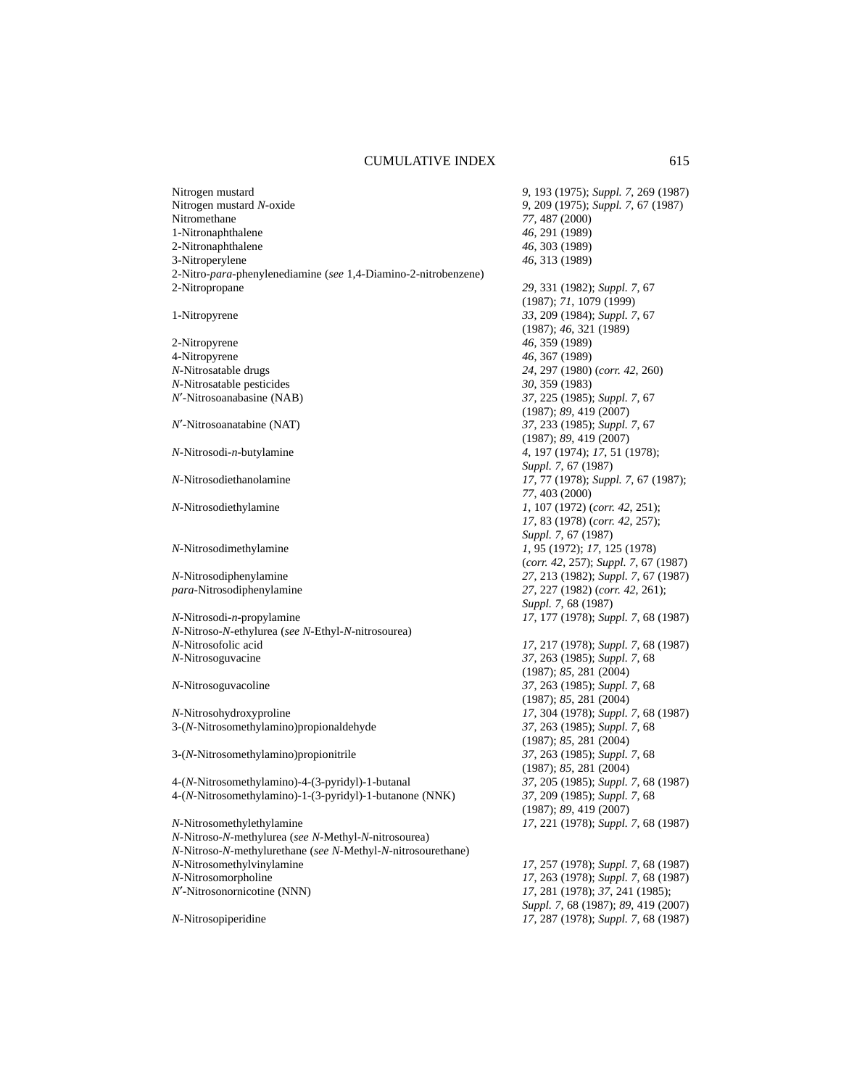| Nitrogen mustard                                               | 9, 193 (1975); Suppl. 7, 269 (1987)                     |
|----------------------------------------------------------------|---------------------------------------------------------|
| Nitrogen mustard N-oxide                                       | 9, 209 (1975); Suppl. 7, 67 (1987)                      |
| Nitromethane                                                   | 77, 487 (2000)                                          |
| 1-Nitronaphthalene                                             | 46, 291 (1989)                                          |
| 2-Nitronaphthalene                                             | 46, 303 (1989)                                          |
| 3-Nitroperylene                                                | 46, 313 (1989)                                          |
| 2-Nitro-para-phenylenediamine (see 1,4-Diamino-2-nitrobenzene) |                                                         |
| 2-Nitropropane                                                 | 29, 331 (1982); Suppl. 7, 67<br>(1987); 71, 1079 (1999) |
| 1-Nitropyrene                                                  | 33, 209 (1984); Suppl. 7, 67                            |
|                                                                | (1987); 46, 321 (1989)                                  |
| 2-Nitropyrene                                                  | 46, 359 (1989)                                          |
| 4-Nitropyrene                                                  | 46, 367 (1989)                                          |
| N-Nitrosatable drugs                                           | 24, 297 (1980) (corr. 42, 260)                          |
| N-Nitrosatable pesticides                                      | 30, 359 (1983)                                          |
| N'-Nitrosoanabasine (NAB)                                      | 37, 225 (1985); Suppl. 7, 67                            |
|                                                                | (1987); 89, 419 (2007)                                  |
| N'-Nitrosoanatabine (NAT)                                      | 37, 233 (1985); Suppl. 7, 67                            |
|                                                                | (1987); 89, 419 (2007)                                  |
| N-Nitrosodi-n-butylamine                                       | 4, 197 (1974); 17, 51 (1978);                           |
|                                                                | Suppl. 7, 67 (1987)                                     |
| N-Nitrosodiethanolamine                                        | 17, 77 (1978); Suppl. 7, 67 (1987);                     |
|                                                                | 77, 403 (2000)                                          |
| N-Nitrosodiethylamine                                          | 1, 107 (1972) (corr. 42, 251);                          |
|                                                                | 17, 83 (1978) (corr. 42, 257);                          |
|                                                                | Suppl. 7, 67 (1987)                                     |
| N-Nitrosodimethylamine                                         | 1, 95 (1972); 17, 125 (1978)                            |
|                                                                | (corr. 42, 257); Suppl. 7, 67 (1987)                    |
| N-Nitrosodiphenylamine                                         | 27, 213 (1982); Suppl. 7, 67 (1987)                     |
| para-Nitrosodiphenylamine                                      | 27, 227 (1982) (corr. 42, 261);                         |
|                                                                | Suppl. 7, 68 (1987)                                     |
| N-Nitrosodi-n-propylamine                                      | 17, 177 (1978); Suppl. 7, 68 (1987)                     |
| N-Nitroso-N-ethylurea (see N-Ethyl-N-nitrosourea)              |                                                         |
| N-Nitrosofolic acid                                            | 17, 217 (1978); Suppl. 7, 68 (1987)                     |
| N-Nitrosoguvacine                                              | 37, 263 (1985); Suppl. 7, 68                            |
|                                                                | (1987); 85, 281 (2004)                                  |
| N-Nitrosoguvacoline                                            | 37, 263 (1985); Suppl. 7, 68                            |
|                                                                | (1987); 85, 281 (2004)                                  |
| N-Nitrosohydroxyproline                                        | 17, 304 (1978); Suppl. 7, 68 (1987)                     |
| 3-(N-Nitrosomethylamino)propionaldehyde                        | 37, 263 (1985); Suppl. 7, 68                            |
|                                                                | (1987); 85, 281 (2004)                                  |
| 3-(N-Nitrosomethylamino) propionitrile                         | 37, 263 (1985); Suppl. 7, 68                            |
|                                                                | (1987); 85, 281 (2004)                                  |
| 4-(N-Nitrosomethylamino)-4-(3-pyridyl)-1-butanal               | 37, 205 (1985); Suppl. 7, 68 (1987)                     |
| 4-(N-Nitrosomethylamino)-1-(3-pyridyl)-1-butanone (NNK)        | 37, 209 (1985); Suppl. 7, 68                            |
|                                                                | (1987); 89, 419 (2007)                                  |
| N-Nitrosomethylethylamine                                      | 17, 221 (1978); Suppl. 7, 68 (1987)                     |
| N-Nitroso-N-methylurea (see N-Methyl-N-nitrosourea)            |                                                         |
| N-Nitroso-N-methylurethane (see N-Methyl-N-nitrosourethane)    |                                                         |
| N-Nitrosomethylvinylamine                                      | 17, 257 (1978); Suppl. 7, 68 (1987)                     |
| N-Nitrosomorpholine                                            | 17, 263 (1978); Suppl. 7, 68 (1987)                     |
| N'-Nitrosonornicotine (NNN)                                    | 17, 281 (1978); 37, 241 (1985);                         |
|                                                                | Suppl. 7, 68 (1987); 89, 419 (2007)                     |
| N-Nitrosopiperidine                                            | 17, 287 (1978); Suppl. 7, 68 (1987)                     |
|                                                                |                                                         |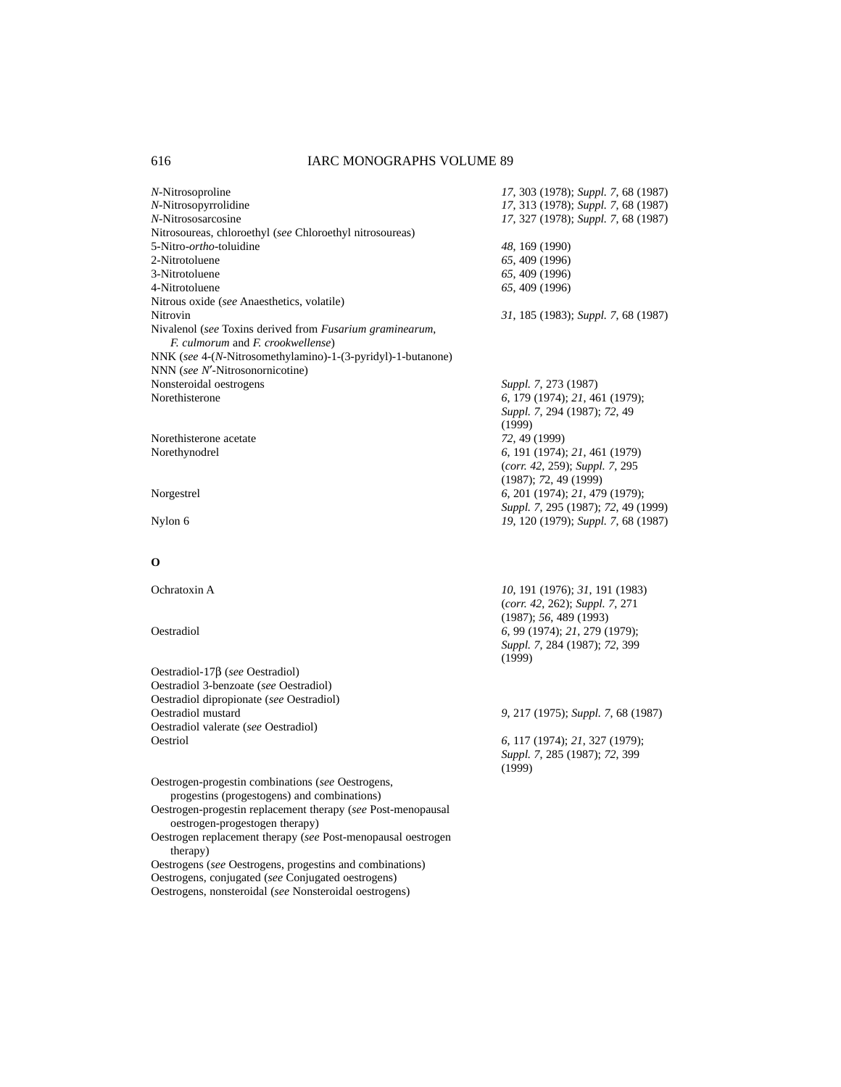| N-Nitrosoproline                                                                              | 17, 303 (1978); Suppl. 7, 68 (1987)    |
|-----------------------------------------------------------------------------------------------|----------------------------------------|
| N-Nitrosopyrrolidine                                                                          | 17, 313 (1978); Suppl. 7, 68 (1987)    |
| N-Nitrososarcosine                                                                            | 17, 327 (1978); Suppl. 7, 68 (1987)    |
| Nitrosoureas, chloroethyl (see Chloroethyl nitrosoureas)                                      |                                        |
| 5-Nitro- <i>ortho</i> -toluidine                                                              | 48, 169 (1990)                         |
| 2-Nitrotoluene                                                                                | 65, 409 (1996)                         |
| 3-Nitrotoluene                                                                                | 65, 409 (1996)                         |
| 4-Nitrotoluene                                                                                | 65, 409 (1996)                         |
| Nitrous oxide (see Anaesthetics, volatile)                                                    |                                        |
| Nitrovin                                                                                      | 31, 185 (1983); Suppl. 7, 68 (1987)    |
| Nivalenol (see Toxins derived from Fusarium graminearum,<br>F. culmorum and F. crookwellense) |                                        |
| NNK (see 4-(N-Nitrosomethylamino)-1-(3-pyridyl)-1-butanone)                                   |                                        |
| NNN (see N'-Nitrosonornicotine)                                                               |                                        |
| Nonsteroidal oestrogens                                                                       | Suppl. 7, 273 (1987)                   |
| Norethisterone                                                                                | 6, 179 (1974); 21, 461 (1979);         |
|                                                                                               |                                        |
|                                                                                               | Suppl. 7, 294 (1987); 72, 49<br>(1999) |
| Norethisterone acetate                                                                        |                                        |
|                                                                                               | 72, 49 (1999)                          |
| Norethynodrel                                                                                 | 6, 191 (1974); 21, 461 (1979)          |
|                                                                                               | (corr. 42, 259); Suppl. 7, 295         |
|                                                                                               | (1987); 72, 49 (1999)                  |
| Norgestrel                                                                                    | 6, 201 (1974); 21, 479 (1979);         |
|                                                                                               | Suppl. 7, 295 (1987); 72, 49 (1999)    |
| Nylon 6                                                                                       | 19, 120 (1979); Suppl. 7, 68 (1987)    |
|                                                                                               |                                        |
|                                                                                               |                                        |
| $\bf o$                                                                                       |                                        |
| Ochratoxin A                                                                                  |                                        |
|                                                                                               | 10, 191 (1976); 31, 191 (1983)         |
|                                                                                               | (corr. 42, 262); Suppl. 7, 271         |
|                                                                                               | (1987); 56, 489 (1993)                 |
| Oestradiol                                                                                    | 6, 99 (1974); 21, 279 (1979);          |
|                                                                                               | Suppl. 7, 284 (1987); 72, 399          |
|                                                                                               | (1999)                                 |
| Oestradiol-17 $\beta$ (see Oestradiol)                                                        |                                        |
| Oestradiol 3-benzoate (see Oestradiol)                                                        |                                        |
| Oestradiol dipropionate (see Oestradiol)                                                      |                                        |
| Oestradiol mustard                                                                            | 9, 217 (1975); Suppl. 7, 68 (1987)     |
| Oestradiol valerate (see Oestradiol)                                                          |                                        |
| Oestriol                                                                                      | 6, 117 (1974); 21, 327 (1979);         |
|                                                                                               | Suppl. 7, 285 (1987); 72, 399          |
|                                                                                               | (1999)                                 |
| Oestrogen-progestin combinations (see Oestrogens,                                             |                                        |
| progestins (progestogens) and combinations)                                                   |                                        |
| Oestrogen-progestin replacement therapy (see Post-menopausal                                  |                                        |
| oestrogen-progestogen therapy)                                                                |                                        |
| Oestrogen replacement therapy (see Post-menopausal oestrogen                                  |                                        |
| therapy)                                                                                      |                                        |
|                                                                                               |                                        |

Oestrogens (*see* Oestrogens, progestins and combinations) Oestrogens, conjugated (*see* Conjugated oestrogens) Oestrogens, nonsteroidal (*see* Nonsteroidal oestrogens)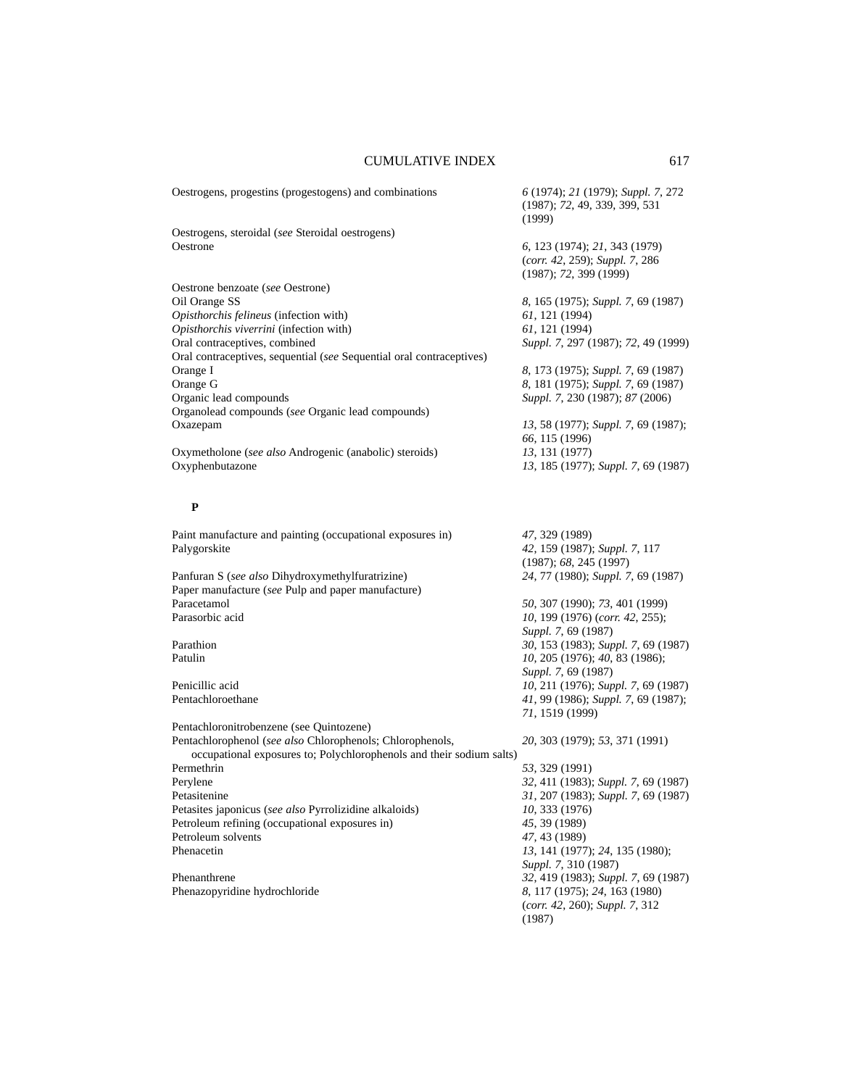| Oestrogens, progestins (progestogens) and combinations               | 6 (1974); 21 (1979); Suppl. 7, 272<br>(1987); 72, 49, 339, 399, 531<br>(1999)             |
|----------------------------------------------------------------------|-------------------------------------------------------------------------------------------|
| Oestrogens, steroidal (see Steroidal oestrogens)                     |                                                                                           |
| Oestrone                                                             | 6, 123 (1974); 21, 343 (1979)<br>(corr. 42, 259); Suppl. 7, 286<br>(1987); 72, 399 (1999) |
| Oestrone benzoate (see Oestrone)                                     |                                                                                           |
| Oil Orange SS                                                        | 8, 165 (1975); Suppl. 7, 69 (1987)                                                        |
| Opisthorchis felineus (infection with)                               | 61, 121 (1994)                                                                            |
| Opisthorchis viverrini (infection with)                              | 61, 121 (1994)                                                                            |
| Oral contraceptives, combined                                        | Suppl. 7, 297 (1987); 72, 49 (1999)                                                       |
| Oral contraceptives, sequential (see Sequential oral contraceptives) |                                                                                           |
| Orange I                                                             | 8, 173 (1975); Suppl. 7, 69 (1987)                                                        |
| Orange G                                                             | 8, 181 (1975); Suppl. 7, 69 (1987)                                                        |
| Organic lead compounds                                               | Suppl. 7, 230 (1987); 87 (2006)                                                           |
| Organolead compounds (see Organic lead compounds)                    |                                                                                           |
| Oxazepam                                                             | 13, 58 (1977); Suppl. 7, 69 (1987);<br>66, 115 (1996)                                     |
| Oxymetholone (see also Androgenic (anabolic) steroids)               | 13, 131 (1977)                                                                            |
| Oxyphenbutazone                                                      | 13, 185 (1977); Suppl. 7, 69 (1987)                                                       |
|                                                                      |                                                                                           |
| P                                                                    |                                                                                           |
| Paint manufacture and painting (occupational exposures in)           | 47, 329 (1989)                                                                            |
| Palygorskite                                                         | 42, 159 (1987); Suppl. 7, 117                                                             |
|                                                                      | (1987); 68, 245 (1997)                                                                    |
| Panfuran S (see also Dihydroxymethylfuratrizine)                     | 24, 77 (1980); Suppl. 7, 69 (1987)                                                        |
| Paper manufacture (see Pulp and paper manufacture)                   |                                                                                           |
| Paracetamol                                                          | 50, 307 (1990); 73, 401 (1999)                                                            |
| Parasorbic acid                                                      | 10, 199 (1976) (corr. 42, 255);                                                           |
|                                                                      | Suppl. 7, 69 (1987)                                                                       |
| Parathion                                                            | 30, 153 (1983); Suppl. 7, 69 (1987)                                                       |
| Patulin                                                              | 10, 205 (1976); 40, 83 (1986);                                                            |
|                                                                      | Suppl. 7, 69 (1987)                                                                       |
| Penicillic acid                                                      | 10, 211 (1976); Suppl. 7, 69 (1987)                                                       |
| Pentachloroethane                                                    | 41, 99 (1986); Suppl. 7, 69 (1987);                                                       |
|                                                                      | 71, 1519 (1999)                                                                           |
| Pentachloronitrobenzene (see Quintozene)                             |                                                                                           |
| Pentachlorophenol (see also Chlorophenols; Chlorophenols,            | 20, 303 (1979); 53, 371 (1991)                                                            |
| occupational exposures to; Polychlorophenols and their sodium salts) |                                                                                           |
| Permethrin                                                           | 53, 329 (1991)                                                                            |
| Perylene                                                             | 32, 411 (1983); Suppl. 7, 69 (1987)                                                       |
| Petasitenine                                                         | 31, 207 (1983); Suppl. 7, 69 (1987)                                                       |
| Petasites japonicus (see also Pyrrolizidine alkaloids)               | 10, 333 (1976)                                                                            |
| Petroleum refining (occupational exposures in)                       | 45, 39 (1989)                                                                             |
| Petroleum solvents                                                   | 47, 43 (1989)                                                                             |
| Phenacetin                                                           | 13, 141 (1977); 24, 135 (1980);                                                           |
|                                                                      | Suppl. 7, 310 (1987)                                                                      |
| Phenanthrene                                                         | 32, 419 (1983); Suppl. 7, 69 (1987)                                                       |
| Phenazopyridine hydrochloride                                        | 8, 117 (1975); 24, 163 (1980)                                                             |
|                                                                      | (corr. 42, 260); Suppl. 7, 312                                                            |
|                                                                      | (1987)                                                                                    |
|                                                                      |                                                                                           |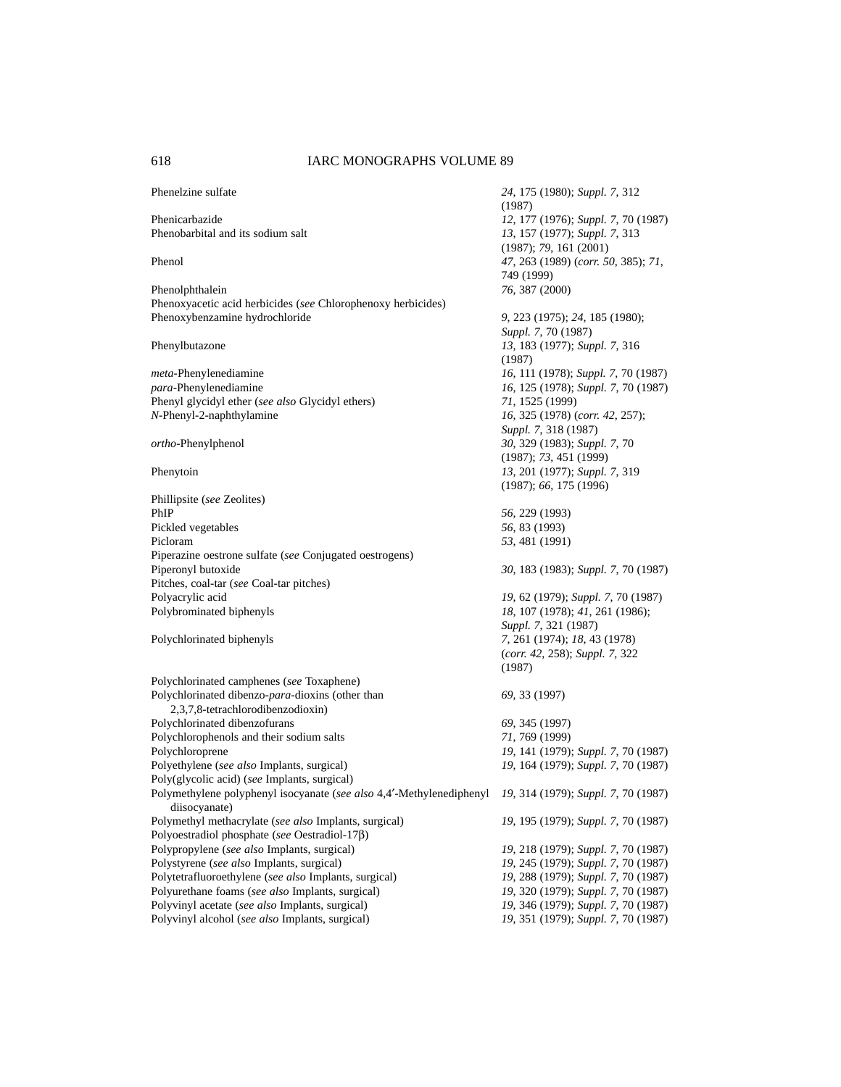| Phenelzine sulfate                                                                                                        | 24, 175 (1980); Suppl. 7, 312<br>(1987)                        |
|---------------------------------------------------------------------------------------------------------------------------|----------------------------------------------------------------|
| Phenicarbazide                                                                                                            | 12, 177 (1976); Suppl. 7, 70 (1987)                            |
| Phenobarbital and its sodium salt                                                                                         | 13, 157 (1977); Suppl. 7, 313<br>(1987); 79, 161 (2001)        |
| Phenol                                                                                                                    | 47, 263 (1989) (corr. 50, 385); 71,<br>749 (1999)              |
| Phenolphthalein                                                                                                           | 76, 387 (2000)                                                 |
| Phenoxyacetic acid herbicides (see Chlorophenoxy herbicides)                                                              |                                                                |
| Phenoxybenzamine hydrochloride                                                                                            | 9, 223 (1975); 24, 185 (1980);                                 |
|                                                                                                                           | Suppl. 7, 70 (1987)                                            |
| Phenylbutazone                                                                                                            | 13, 183 (1977); Suppl. 7, 316                                  |
|                                                                                                                           | (1987)                                                         |
| meta-Phenylenediamine                                                                                                     | 16, 111 (1978); Suppl. 7, 70 (1987)                            |
| para-Phenylenediamine                                                                                                     | 16, 125 (1978); Suppl. 7, 70 (1987)                            |
| Phenyl glycidyl ether (see also Glycidyl ethers)                                                                          | 71, 1525 (1999)                                                |
| N-Phenyl-2-naphthylamine                                                                                                  | 16, 325 (1978) (corr. 42, 257);                                |
|                                                                                                                           | Suppl. 7, 318 (1987)                                           |
| ortho-Phenylphenol                                                                                                        | 30, 329 (1983); Suppl. 7, 70                                   |
|                                                                                                                           | (1987); 73, 451 (1999)                                         |
| Phenytoin                                                                                                                 | 13, 201 (1977); Suppl. 7, 319                                  |
|                                                                                                                           | (1987); 66, 175 (1996)                                         |
| Phillipsite (see Zeolites)                                                                                                |                                                                |
| PhIP                                                                                                                      | 56, 229 (1993)                                                 |
| Pickled vegetables                                                                                                        | 56, 83 (1993)                                                  |
| Picloram                                                                                                                  | 53, 481 (1991)                                                 |
| Piperazine oestrone sulfate (see Conjugated oestrogens)                                                                   |                                                                |
| Piperonyl butoxide                                                                                                        | 30, 183 (1983); Suppl. 7, 70 (1987)                            |
| Pitches, coal-tar (see Coal-tar pitches)                                                                                  |                                                                |
| Polyacrylic acid                                                                                                          | 19, 62 (1979); Suppl. 7, 70 (1987)                             |
| Polybrominated biphenyls                                                                                                  | 18, 107 (1978); 41, 261 (1986);                                |
|                                                                                                                           | Suppl. 7, 321 (1987)                                           |
| Polychlorinated biphenyls                                                                                                 | 7, 261 (1974); 18, 43 (1978)<br>(corr. 42, 258); Suppl. 7, 322 |
|                                                                                                                           | (1987)                                                         |
| Polychlorinated camphenes (see Toxaphene)                                                                                 |                                                                |
| Polychlorinated dibenzo-para-dioxins (other than                                                                          | 69, 33 (1997)                                                  |
| 2,3,7,8-tetrachlorodibenzodioxin)                                                                                         |                                                                |
| Polychlorinated dibenzofurans                                                                                             | 69, 345 (1997)                                                 |
| Polychlorophenols and their sodium salts                                                                                  | 71, 769 (1999)                                                 |
| Polychloroprene                                                                                                           | 19, 141 (1979); Suppl. 7, 70 (1987)                            |
| Polyethylene (see also Implants, surgical)                                                                                | 19, 164 (1979); Suppl. 7, 70 (1987)                            |
| Poly(glycolic acid) (see Implants, surgical)                                                                              |                                                                |
| Polymethylene polyphenyl isocyanate (see also 4,4'-Methylenediphenyl 19, 314 (1979); Suppl. 7, 70 (1987)<br>diisocyanate) |                                                                |
| Polymethyl methacrylate (see also Implants, surgical)                                                                     | 19, 195 (1979); Suppl. 7, 70 (1987)                            |
| Polyoestradiol phosphate (see Oestradiol-17 $\beta$ )                                                                     |                                                                |
| Polypropylene (see also Implants, surgical)                                                                               | 19, 218 (1979); Suppl. 7, 70 (1987)                            |
| Polystyrene (see also Implants, surgical)                                                                                 | 19, 245 (1979); Suppl. 7, 70 (1987)                            |
| Polytetrafluoroethylene (see also Implants, surgical)                                                                     | 19, 288 (1979); Suppl. 7, 70 (1987)                            |
| Polyurethane foams (see also Implants, surgical)                                                                          | 19, 320 (1979); Suppl. 7, 70 (1987)                            |
| Polyvinyl acetate (see also Implants, surgical)                                                                           | 19, 346 (1979); Suppl. 7, 70 (1987)                            |
| Polyvinyl alcohol (see also Implants, surgical)                                                                           | 19, 351 (1979); Suppl. 7, 70 (1987)                            |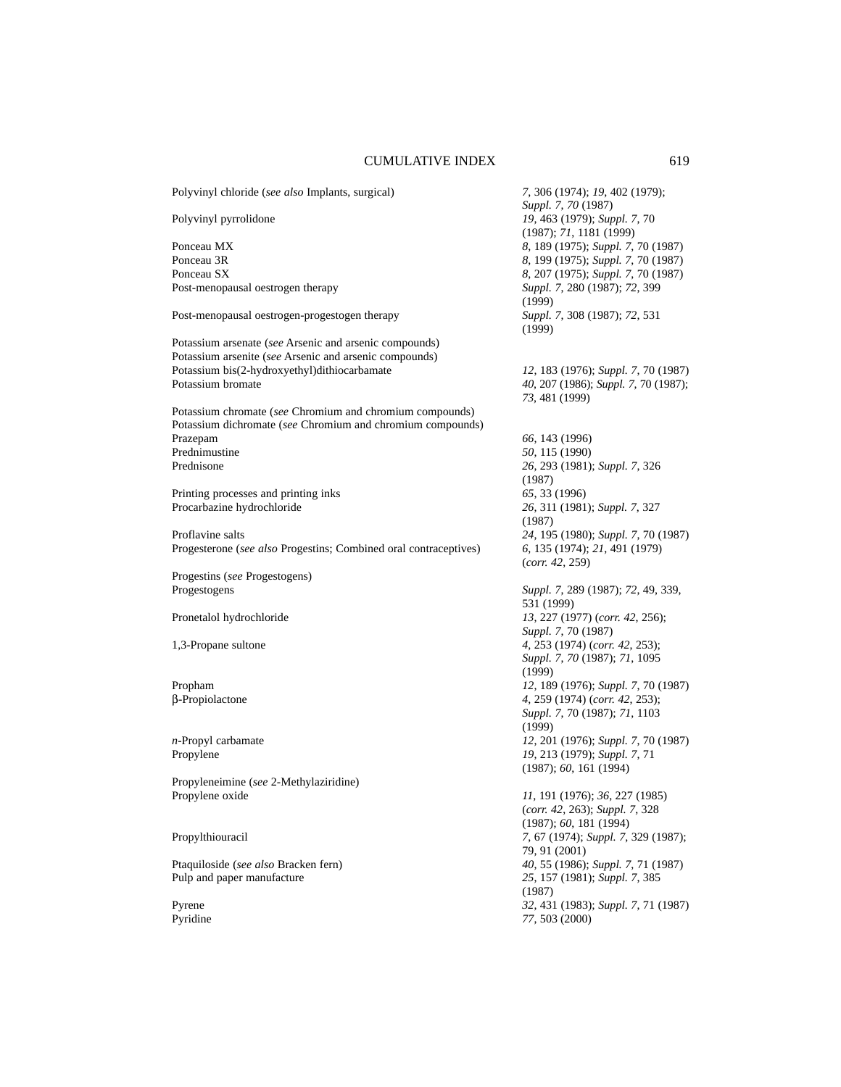| Polyvinyl chloride (see also Implants, surgical)                                                                 | 7, 306 (1974); 19, 402 (1979);<br>Suppl. 7, 70 (1987)                     |
|------------------------------------------------------------------------------------------------------------------|---------------------------------------------------------------------------|
| Polyvinyl pyrrolidone                                                                                            | 19, 463 (1979); Suppl. 7, 70<br>(1987); 71, 1181 (1999)                   |
| Ponceau MX                                                                                                       | 8, 189 (1975); Suppl. 7, 70 (1987)                                        |
| Ponceau 3R                                                                                                       | 8, 199 (1975); Suppl. 7, 70 (1987)                                        |
| Ponceau SX                                                                                                       | 8, 207 (1975); Suppl. 7, 70 (1987)                                        |
| Post-menopausal oestrogen therapy                                                                                | Suppl. 7, 280 (1987); 72, 399<br>(1999)                                   |
| Post-menopausal oestrogen-progestogen therapy                                                                    | Suppl. 7, 308 (1987); 72, 531<br>(1999)                                   |
| Potassium arsenate (see Arsenic and arsenic compounds)<br>Potassium arsenite (see Arsenic and arsenic compounds) |                                                                           |
| Potassium bis(2-hydroxyethyl)dithiocarbamate                                                                     | 12, 183 (1976); Suppl. 7, 70 (1987)                                       |
| Potassium bromate                                                                                                | 40, 207 (1986); Suppl. 7, 70 (1987);<br>73, 481 (1999)                    |
| Potassium chromate (see Chromium and chromium compounds)                                                         |                                                                           |
| Potassium dichromate (see Chromium and chromium compounds)                                                       |                                                                           |
| Prazepam                                                                                                         | 66, 143 (1996)                                                            |
| Prednimustine                                                                                                    | 50, 115 (1990)                                                            |
| Prednisone                                                                                                       | 26, 293 (1981); Suppl. 7, 326<br>(1987)                                   |
| Printing processes and printing inks                                                                             | 65, 33 (1996)                                                             |
| Procarbazine hydrochloride                                                                                       | 26, 311 (1981); Suppl. 7, 327<br>(1987)                                   |
| Proflavine salts                                                                                                 | 24, 195 (1980); Suppl. 7, 70 (1987)                                       |
| Progesterone (see also Progestins; Combined oral contraceptives)                                                 | 6, 135 (1974); 21, 491 (1979)<br>(corr. 42, 259)                          |
| Progestins (see Progestogens)                                                                                    |                                                                           |
| Progestogens                                                                                                     | Suppl. 7, 289 (1987); 72, 49, 339,<br>531 (1999)                          |
| Pronetalol hydrochloride                                                                                         | 13, 227 (1977) (corr. 42, 256);<br>Suppl. 7, 70 (1987)                    |
| 1,3-Propane sultone                                                                                              | 4, 253 (1974) (corr. 42, 253);<br>Suppl. 7, 70 (1987); 71, 1095<br>(1999) |
| Propham                                                                                                          | 12, 189 (1976); Suppl. 7, 70 (1987)                                       |
| β-Propiolactone                                                                                                  | 4, 259 (1974) (corr. 42, 253);                                            |
|                                                                                                                  | Suppl. 7, 70 (1987); 71, 1103<br>(1999)                                   |
| n-Propyl carbamate                                                                                               | 12, 201 (1976); Suppl. 7, 70 (1987)                                       |
| Propylene                                                                                                        | 19, 213 (1979); Suppl. 7, 71<br>(1987); 60, 161 (1994)                    |
| Propyleneimine (see 2-Methylaziridine)                                                                           |                                                                           |
| Propylene oxide                                                                                                  | 11, 191 (1976); 36, 227 (1985)                                            |
|                                                                                                                  | (corr. 42, 263); Suppl. 7, 328<br>(1987); 60, 181 (1994)                  |
| Propylthiouracil                                                                                                 | 7, 67 (1974); Suppl. 7, 329 (1987);<br>79, 91 (2001)                      |
| Ptaquiloside (see also Bracken fern)                                                                             | 40, 55 (1986); Suppl. 7, 71 (1987)                                        |
| Pulp and paper manufacture                                                                                       | 25, 157 (1981); Suppl. 7, 385<br>(1987)                                   |
| Pyrene                                                                                                           | 32, 431 (1983); Suppl. 7, 71 (1987)                                       |
| Pyridine                                                                                                         | 77, 503 (2000)                                                            |
|                                                                                                                  |                                                                           |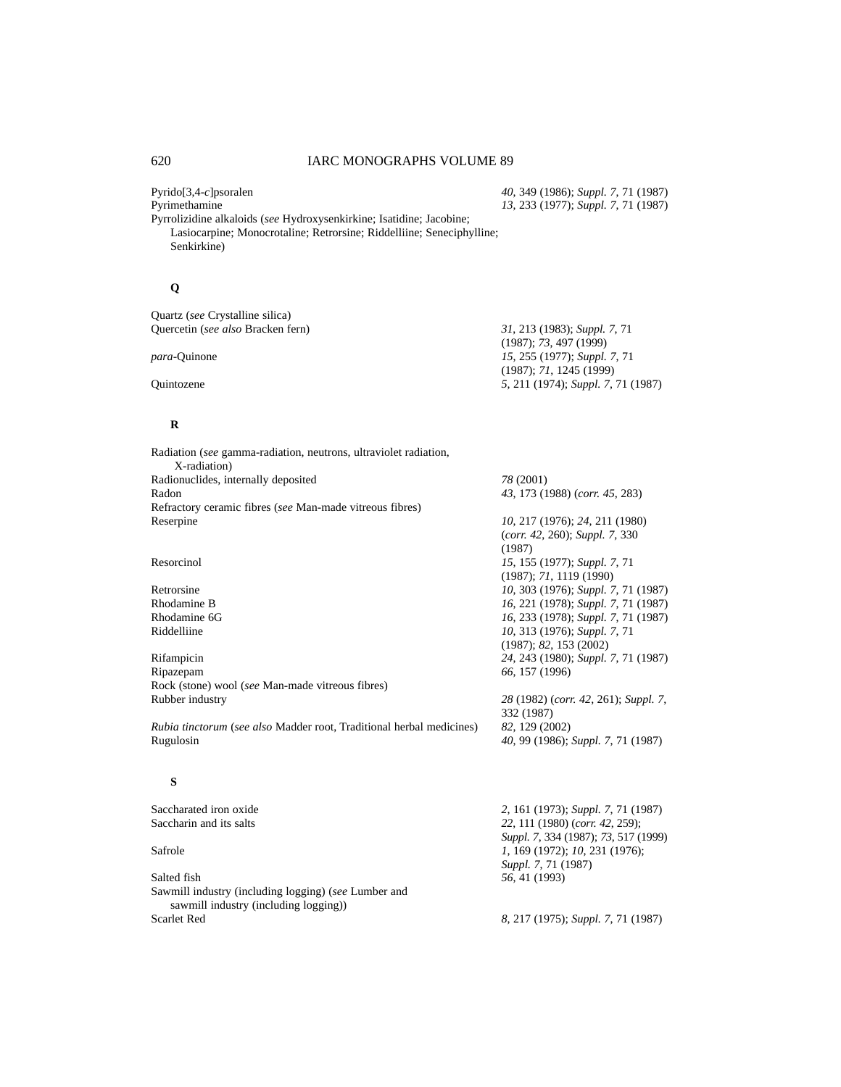Pyrido[3,4-*c*]psoralen *40*, 349 (1986); *Suppl. 7*, 71 (1987) Pyrimethamine *13*, 233 (1977); *Suppl. 7*, 71 (1987)

(1987); *73*, 497 (1999)

(1987); *71*, 1245 (1999)

Pyrrolizidine alkaloids (*see* Hydroxysenkirkine; Isatidine; Jacobine; Lasiocarpine; Monocrotaline; Retrorsine; Riddelliine; Seneciphylline; Senkirkine)

# **Q**

Quartz (*see* Crystalline silica) Quercetin (*see also* Bracken fern) *31*, 213 (1983); *Suppl. 7*, 71

*para*-Quinone *15*, 255 (1977); *Suppl. 7*, 71

Quintozene *5*, 211 (1974); *Suppl. 7*, 71 (1987)

# **R**

| Radiation (see gamma-radiation, neutrons, ultraviolet radiation, |                                     |
|------------------------------------------------------------------|-------------------------------------|
| X-radiation)                                                     |                                     |
| Radionuclides, internally deposited                              | 78 (2001)                           |
| Radon                                                            | 43, 173 (1988) (corr. 45, 283)      |
| Refractory ceramic fibres (see Man-made vitreous fibres)         |                                     |
| Reserpine                                                        | 10, 217 (1976); 24, 211 (1980)      |
|                                                                  | $(corr. 42, 260)$ ; Suppl. 7, 330   |
|                                                                  | (1987)                              |
| Resorcinol                                                       | 15, 155 (1977); Suppl. 7, 71        |
|                                                                  | (1987); 71, 1119 (1990)             |
| Retrorsine                                                       | 10, 303 (1976); Suppl. 7, 71 (1987) |
| Rhodamine B                                                      | 16, 221 (1978); Suppl. 7, 71 (1987) |
| Rhodamine 6G                                                     | 16, 233 (1978); Suppl. 7, 71 (1987) |
| Riddelliine                                                      | 10, 313 (1976); Suppl. 7, 71        |
|                                                                  | (1987); 82, 153 (2002)              |
| Rifampicin                                                       | 24, 243 (1980); Suppl. 7, 71 (1987) |
| Ripazepam                                                        | 66, 157 (1996)                      |

Rock (stone) wool (*see* Man-made vitreous fibres) Rubber industry *28* (1982) (*corr. 42*, 261); *Suppl. 7*,

*Rubia tinctorum* (*see also* Madder root, Traditional herbal medicines) *82*, 129 (2002)

## **S**

Salted fish *56*, 41 (1993) Sawmill industry (including logging) (*see* Lumber and sawmill industry (including logging)) Scarlet Red *8*, 217 (1975); *Suppl. 7*, 71 (1987)

Saccharated iron oxide<br>
Saccharin and its salts<br> *2*, 161 (1973); *Suppl.* 7, 71 (1987)<br> *22*, 111 (1980) (*corr.* 42, 259); 22, 111 (1980) (*corr. 42*, 259); *Suppl. 7*, 334 (1987); *73*, 517 (1999) Safrole *1*, 169 (1972); *10*, 231 (1976); *Suppl. 7*, 71 (1987)

Rugulosin *40*, 99 (1986); *Suppl. 7*, 71 (1987)

332 (1987)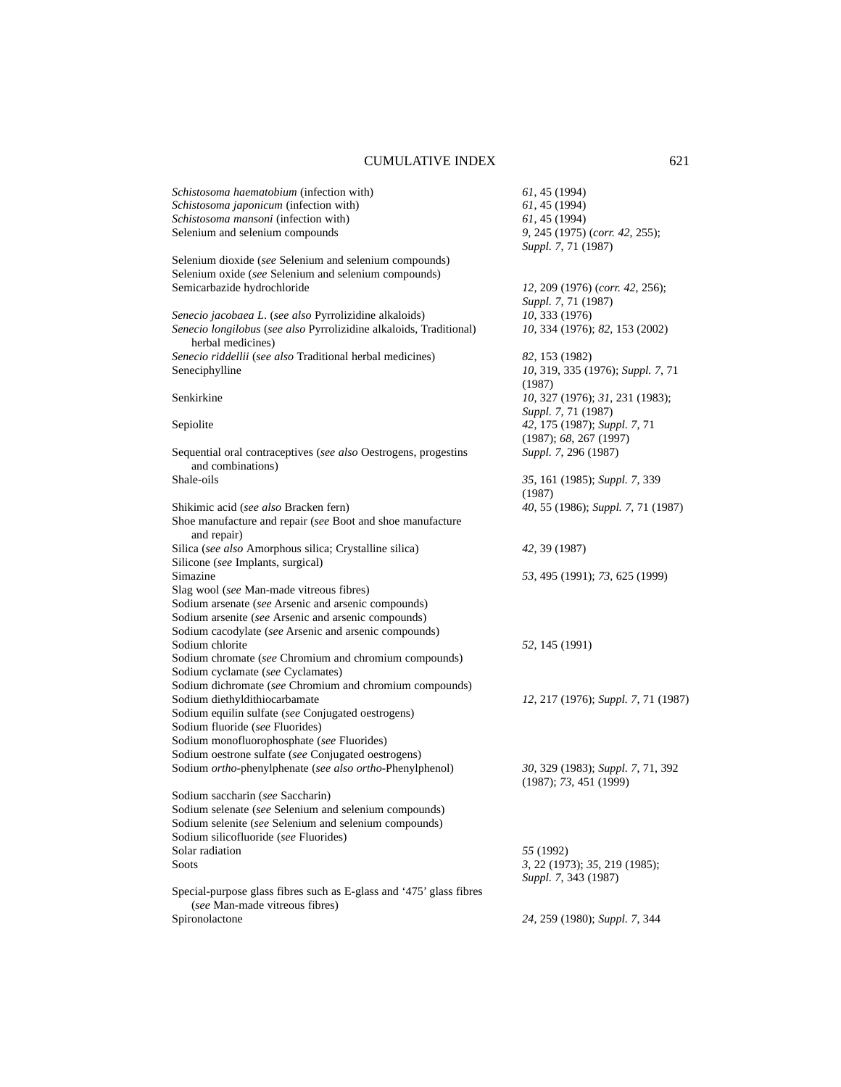| Schistosoma haematobium (infection with)                                                              | 61, 45 (1994)                                               |
|-------------------------------------------------------------------------------------------------------|-------------------------------------------------------------|
| Schistosoma japonicum (infection with)                                                                | 61, 45 (1994)                                               |
| Schistosoma mansoni (infection with)                                                                  | 61, 45 (1994)                                               |
| Selenium and selenium compounds                                                                       | 9, 245 (1975) (corr. 42, 255);                              |
|                                                                                                       | Suppl. 7, 71 (1987)                                         |
| Selenium dioxide (see Selenium and selenium compounds)                                                |                                                             |
| Selenium oxide (see Selenium and selenium compounds)                                                  |                                                             |
| Semicarbazide hydrochloride                                                                           | 12, 209 (1976) (corr. 42, 256);                             |
|                                                                                                       | Suppl. 7, 71 (1987)                                         |
| Senecio jacobaea L. (see also Pyrrolizidine alkaloids)                                                | 10, 333 (1976)                                              |
| Senecio longilobus (see also Pyrrolizidine alkaloids, Traditional)<br>herbal medicines)               | 10, 334 (1976); 82, 153 (2002)                              |
| Senecio riddellii (see also Traditional herbal medicines)                                             | 82, 153 (1982)                                              |
| Seneciphylline                                                                                        | 10, 319, 335 (1976); Suppl. 7, 71                           |
|                                                                                                       | (1987)                                                      |
| Senkirkine                                                                                            | 10, 327 (1976); 31, 231 (1983);                             |
|                                                                                                       | Suppl. 7, 71 (1987)                                         |
| Sepiolite                                                                                             | 42, 175 (1987); Suppl. 7, 71                                |
|                                                                                                       | (1987); 68, 267 (1997)                                      |
| Sequential oral contraceptives (see also Oestrogens, progestins                                       | Suppl. 7, 296 (1987)                                        |
| and combinations)                                                                                     |                                                             |
| Shale-oils                                                                                            | 35, 161 (1985); Suppl. 7, 339                               |
|                                                                                                       | (1987)                                                      |
| Shikimic acid (see also Bracken fern)                                                                 | 40, 55 (1986); Suppl. 7, 71 (1987)                          |
| Shoe manufacture and repair (see Boot and shoe manufacture<br>and repair)                             |                                                             |
| Silica (see also Amorphous silica; Crystalline silica)                                                | 42, 39 (1987)                                               |
| Silicone (see Implants, surgical)                                                                     |                                                             |
| Simazine                                                                                              | 53, 495 (1991); 73, 625 (1999)                              |
| Slag wool (see Man-made vitreous fibres)                                                              |                                                             |
| Sodium arsenate (see Arsenic and arsenic compounds)                                                   |                                                             |
| Sodium arsenite (see Arsenic and arsenic compounds)                                                   |                                                             |
| Sodium cacodylate (see Arsenic and arsenic compounds)                                                 |                                                             |
| Sodium chlorite                                                                                       | 52, 145 (1991)                                              |
| Sodium chromate (see Chromium and chromium compounds)                                                 |                                                             |
| Sodium cyclamate (see Cyclamates)                                                                     |                                                             |
| Sodium dichromate (see Chromium and chromium compounds)                                               |                                                             |
| Sodium diethyldithiocarbamate                                                                         | 12, 217 (1976); Suppl. 7, 71 (1987)                         |
| Sodium equilin sulfate (see Conjugated oestrogens)                                                    |                                                             |
| Sodium fluoride (see Fluorides)                                                                       |                                                             |
| Sodium monofluorophosphate (see Fluorides)                                                            |                                                             |
| Sodium oestrone sulfate (see Conjugated oestrogens)                                                   |                                                             |
| Sodium <i>ortho</i> -phenylphenate (see also ortho-Phenylphenol)                                      | 30, 329 (1983); Suppl. 7, 71, 392<br>(1987); 73, 451 (1999) |
| Sodium saccharin (see Saccharin)                                                                      |                                                             |
| Sodium selenate (see Selenium and selenium compounds)                                                 |                                                             |
| Sodium selenite (see Selenium and selenium compounds)                                                 |                                                             |
| Sodium silicofluoride (see Fluorides)                                                                 |                                                             |
| Solar radiation                                                                                       | 55 (1992)                                                   |
| Soots                                                                                                 | 3, 22 (1973); 35, 219 (1985);                               |
|                                                                                                       | Suppl. 7, 343 (1987)                                        |
| Special-purpose glass fibres such as E-glass and '475' glass fibres<br>(see Man-made vitreous fibres) |                                                             |
| Spironolactone                                                                                        | 24, 259 (1980); Suppl. 7, 344                               |
|                                                                                                       |                                                             |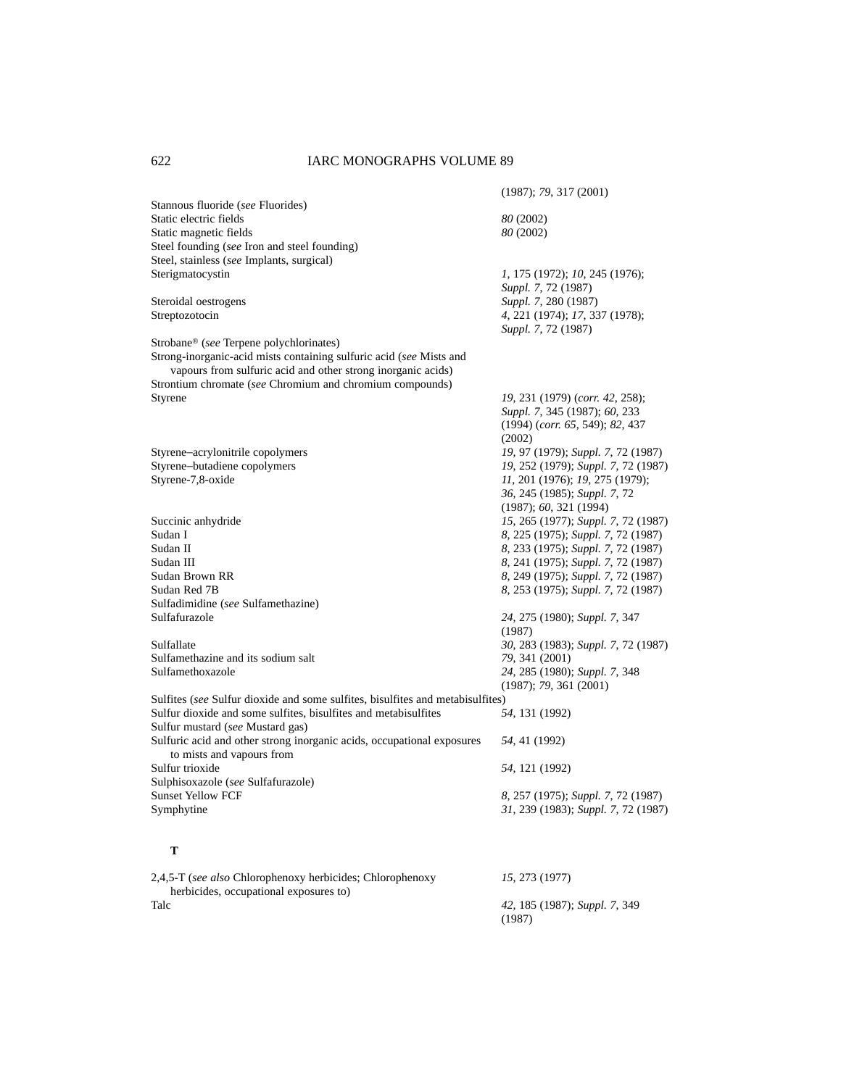|                                                                                | (1987); 79, 317 (2001)              |
|--------------------------------------------------------------------------------|-------------------------------------|
| Stannous fluoride (see Fluorides)                                              |                                     |
| Static electric fields                                                         | 80 (2002)                           |
| Static magnetic fields                                                         | 80 (2002)                           |
| Steel founding (see Iron and steel founding)                                   |                                     |
| Steel, stainless (see Implants, surgical)                                      |                                     |
| Sterigmatocystin                                                               | 1, 175 (1972); 10, 245 (1976);      |
|                                                                                | Suppl. 7, 72 (1987)                 |
| Steroidal oestrogens                                                           | Suppl. 7, 280 (1987)                |
| Streptozotocin                                                                 | 4, 221 (1974); 17, 337 (1978);      |
|                                                                                |                                     |
|                                                                                | Suppl. 7, 72 (1987)                 |
| Strobane® (see Terpene polychlorinates)                                        |                                     |
| Strong-inorganic-acid mists containing sulfuric acid (see Mists and            |                                     |
| vapours from sulfuric acid and other strong inorganic acids)                   |                                     |
| Strontium chromate (see Chromium and chromium compounds)                       |                                     |
| Styrene                                                                        | 19, 231 (1979) (corr. 42, 258);     |
|                                                                                | Suppl. 7, 345 (1987); 60, 233       |
|                                                                                | $(1994)$ (corr. 65, 549); 82, 437   |
|                                                                                | (2002)                              |
| Styrene-acrylonitrile copolymers                                               | 19, 97 (1979); Suppl. 7, 72 (1987)  |
| Styrene-butadiene copolymers                                                   | 19, 252 (1979); Suppl. 7, 72 (1987) |
| Styrene-7,8-oxide                                                              | 11, 201 (1976); 19, 275 (1979);     |
|                                                                                | 36, 245 (1985); Suppl. 7, 72        |
|                                                                                | (1987); 60, 321 (1994)              |
| Succinic anhydride                                                             | 15, 265 (1977); Suppl. 7, 72 (1987) |
| Sudan I                                                                        | 8, 225 (1975); Suppl. 7, 72 (1987)  |
| Sudan II                                                                       | 8, 233 (1975); Suppl. 7, 72 (1987)  |
| Sudan III                                                                      |                                     |
|                                                                                | 8, 241 (1975); Suppl. 7, 72 (1987)  |
| Sudan Brown RR                                                                 | 8, 249 (1975); Suppl. 7, 72 (1987)  |
| Sudan Red 7B                                                                   | 8, 253 (1975); Suppl. 7, 72 (1987)  |
| Sulfadimidine (see Sulfamethazine)                                             |                                     |
| Sulfafurazole                                                                  | 24, 275 (1980); Suppl. 7, 347       |
|                                                                                | (1987)                              |
| Sulfallate                                                                     | 30, 283 (1983); Suppl. 7, 72 (1987) |
| Sulfamethazine and its sodium salt                                             | 79, 341 (2001)                      |
| Sulfamethoxazole                                                               | 24, 285 (1980); Suppl. 7, 348       |
|                                                                                | (1987); 79, 361 (2001)              |
| Sulfites (see Sulfur dioxide and some sulfites, bisulfites and metabisulfites) |                                     |
| Sulfur dioxide and some sulfites, bisulfites and metabisulfites                | 54, 131 (1992)                      |
| Sulfur mustard (see Mustard gas)                                               |                                     |
| Sulfuric acid and other strong inorganic acids, occupational exposures         | 54, 41 (1992)                       |
| to mists and vapours from                                                      |                                     |
| Sulfur trioxide                                                                | 54, 121 (1992)                      |
| Sulphisoxazole (see Sulfafurazole)                                             |                                     |
| <b>Sunset Yellow FCF</b>                                                       | 8, 257 (1975); Suppl. 7, 72 (1987)  |
| Symphytine                                                                     | 31, 239 (1983); Suppl. 7, 72 (1987) |
|                                                                                |                                     |
|                                                                                |                                     |
| т                                                                              |                                     |
| 2,4,5-T (see also Chlorophenoxy herbicides; Chlorophenoxy                      | 15, 273 (1977)                      |
| herbicides, occupational exposures to)                                         |                                     |
| Talc                                                                           | 42, 185 (1987); Suppl. 7, 349       |
|                                                                                | (1987)                              |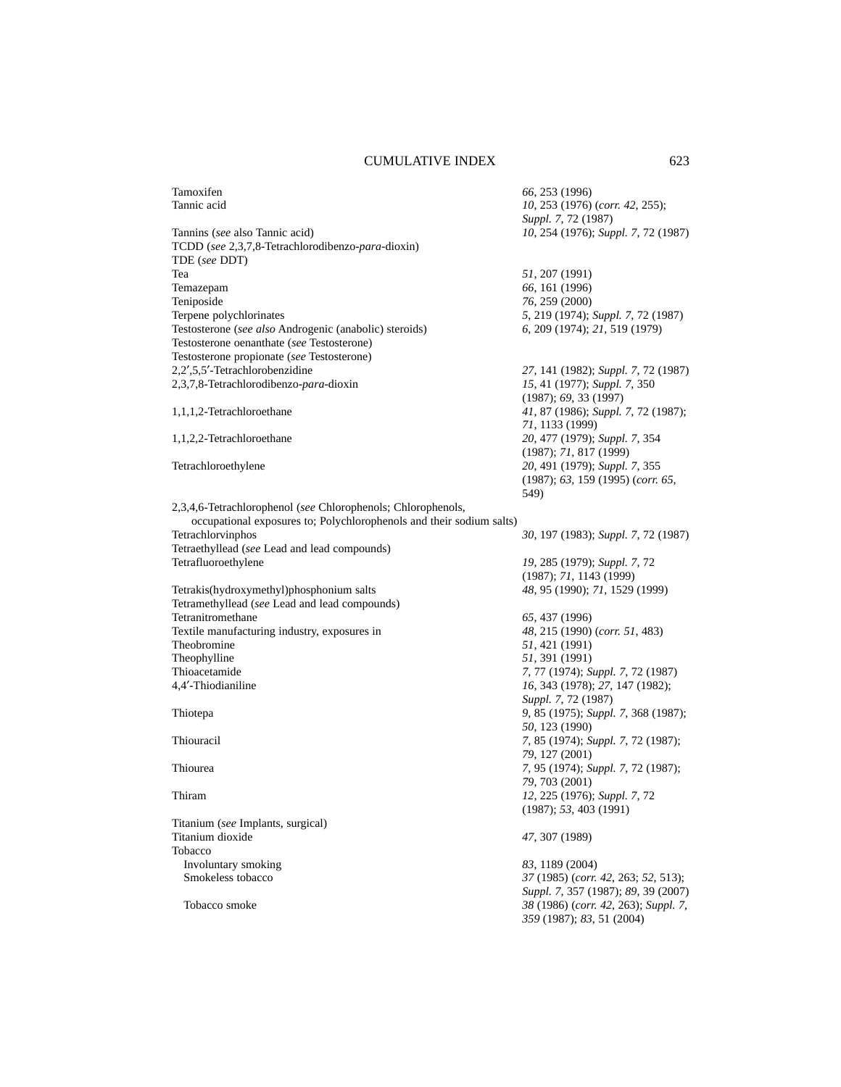| Tamoxifen                                                            | 66, 253 (1996)                       |
|----------------------------------------------------------------------|--------------------------------------|
| Tannic acid                                                          | 10, 253 (1976) (corr. 42, 255);      |
|                                                                      | Suppl. 7, 72 (1987)                  |
| Tannins (see also Tannic acid)                                       | 10, 254 (1976); Suppl. 7, 72 (1987)  |
| TCDD (see 2,3,7,8-Tetrachlorodibenzo-para-dioxin)                    |                                      |
| TDE (see DDT)                                                        |                                      |
| Tea                                                                  | 51, 207 (1991)                       |
| Temazepam                                                            | 66, 161 (1996)                       |
| Teniposide                                                           | 76, 259 (2000)                       |
| Terpene polychlorinates                                              | 5, 219 (1974); Suppl. 7, 72 (1987)   |
| Testosterone (see also Androgenic (anabolic) steroids)               | 6, 209 (1974); 21, 519 (1979)        |
| Testosterone oenanthate (see Testosterone)                           |                                      |
| Testosterone propionate (see Testosterone)                           |                                      |
| 2,2',5,5'-Tetrachlorobenzidine                                       | 27, 141 (1982); Suppl. 7, 72 (1987)  |
| 2,3,7,8-Tetrachlorodibenzo-para-dioxin                               | 15, 41 (1977); Suppl. 7, 350         |
|                                                                      | (1987); 69, 33(1997)                 |
| 1,1,1,2-Tetrachloroethane                                            | 41, 87 (1986); Suppl. 7, 72 (1987);  |
|                                                                      | 71, 1133 (1999)                      |
| 1,1,2,2-Tetrachloroethane                                            | 20, 477 (1979); Suppl. 7, 354        |
|                                                                      | (1987); 71, 817 (1999)               |
| Tetrachloroethylene                                                  | 20, 491 (1979); Suppl. 7, 355        |
|                                                                      | (1987); 63, 159 (1995) (corr. 65,    |
|                                                                      | 549)                                 |
| 2,3,4,6-Tetrachlorophenol (see Chlorophenols; Chlorophenols,         |                                      |
| occupational exposures to; Polychlorophenols and their sodium salts) |                                      |
| Tetrachlorvinphos                                                    | 30, 197 (1983); Suppl. 7, 72 (1987)  |
| Tetraethyllead (see Lead and lead compounds)                         |                                      |
| Tetrafluoroethylene                                                  | 19, 285 (1979); Suppl. 7, 72         |
|                                                                      | (1987); 71, 1143 (1999)              |
| Tetrakis(hydroxymethyl)phosphonium salts                             | 48, 95 (1990); 71, 1529 (1999)       |
| Tetramethyllead (see Lead and lead compounds)                        |                                      |
| Tetranitromethane                                                    | 65, 437 (1996)                       |
| Textile manufacturing industry, exposures in                         | 48, 215 (1990) (corr. 51, 483)       |
| Theobromine                                                          | 51, 421 (1991)                       |
| Theophylline                                                         | 51, 391 (1991)                       |
| Thioacetamide                                                        | 7, 77 (1974); Suppl. 7, 72 (1987)    |
| 4,4'-Thiodianiline                                                   | 16, 343 (1978); 27, 147 (1982);      |
|                                                                      | Suppl. 7, 72 (1987)                  |
| Thiotepa                                                             | 9, 85 (1975); Suppl. 7, 368 (1987);  |
|                                                                      | 50, 123 (1990)                       |
| Thiouracil                                                           | 7, 85 (1974); Suppl. 7, 72 (1987);   |
|                                                                      | 79, 127 (2001)                       |
| Thiourea                                                             | 7, 95 (1974); Suppl. 7, 72 (1987);   |
|                                                                      | 79, 703 (2001)                       |
| Thiram                                                               | 12, 225 (1976); Suppl. 7, 72         |
|                                                                      | (1987); 53, 403 (1991)               |
| Titanium (see Implants, surgical)                                    |                                      |
| Titanium dioxide                                                     | 47, 307 (1989)                       |
| Tobacco                                                              |                                      |
| Involuntary smoking                                                  | 83, 1189 (2004)                      |
| Smokeless tobacco                                                    | 37 (1985) (corr. 42, 263; 52, 513);  |
|                                                                      | Suppl. 7, 357 (1987); 89, 39 (2007)  |
| Tobacco smoke                                                        | 38 (1986) (corr. 42, 263); Suppl. 7, |
|                                                                      | 359 (1987); 83, 51 (2004)            |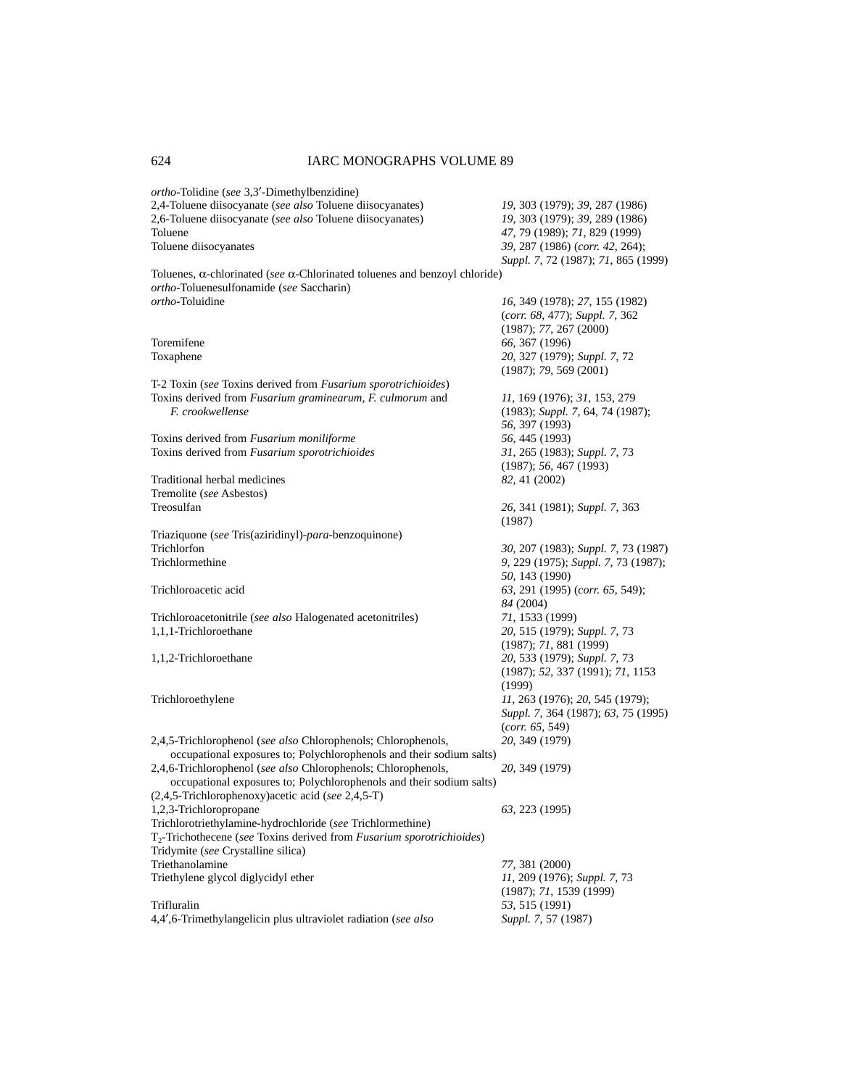| ortho-Tolidine (see 3,3'-Dimethylbenzidine)                                               |                                                        |
|-------------------------------------------------------------------------------------------|--------------------------------------------------------|
| 2,4-Toluene diisocyanate (see also Toluene diisocyanates)                                 | 19, 303 (1979); 39, 287 (1986)                         |
| 2,6-Toluene diisocyanate (see also Toluene diisocyanates)                                 | 19, 303 (1979); 39, 289 (1986)                         |
| Toluene                                                                                   | 47, 79 (1989); 71, 829 (1999)                          |
| Toluene diisocyanates                                                                     | 39, 287 (1986) (corr. 42, 264);                        |
|                                                                                           | Suppl. 7, 72 (1987); 71, 865 (1999)                    |
| Toluenes, $\alpha$ -chlorinated (see $\alpha$ -Chlorinated toluenes and benzoyl chloride) |                                                        |
| ortho-Toluenesulfonamide (see Saccharin)                                                  |                                                        |
| ortho-Toluidine                                                                           | 16, 349 (1978); 27, 155 (1982)                         |
|                                                                                           | (corr. 68, 477); Suppl. 7, 362                         |
|                                                                                           | (1987); 77, 267 (2000)                                 |
| Toremifene                                                                                | 66, 367 (1996)                                         |
| Toxaphene                                                                                 | 20, 327 (1979); Suppl. 7, 72                           |
|                                                                                           | (1987); 79, 569 (2001)                                 |
| T-2 Toxin (see Toxins derived from Fusarium sporotrichioides)                             |                                                        |
| Toxins derived from Fusarium graminearum, F. culmorum and                                 | 11, 169 (1976); 31, 153, 279                           |
| F. crookwellense                                                                          | (1983); Suppl. 7, 64, 74 (1987);                       |
|                                                                                           | 56, 397 (1993)                                         |
| Toxins derived from Fusarium moniliforme                                                  | 56, 445 (1993)                                         |
|                                                                                           |                                                        |
| Toxins derived from Fusarium sporotrichioides                                             | 31, 265 (1983); Suppl. 7, 73<br>(1987); 56, 467 (1993) |
| Traditional herbal medicines                                                              |                                                        |
|                                                                                           | 82, 41 (2002)                                          |
| Tremolite (see Asbestos)                                                                  |                                                        |
| Treosulfan                                                                                | 26, 341 (1981); Suppl. 7, 363                          |
|                                                                                           | (1987)                                                 |
| Triaziquone (see Tris(aziridinyl)-para-benzoquinone)                                      |                                                        |
| Trichlorfon                                                                               | 30, 207 (1983); Suppl. 7, 73 (1987)                    |
| Trichlormethine                                                                           | 9, 229 (1975); Suppl. 7, 73 (1987);                    |
|                                                                                           | 50, 143 (1990)                                         |
| Trichloroacetic acid                                                                      | 63, 291 (1995) (corr. 65, 549);                        |
|                                                                                           | 84 (2004)                                              |
| Trichloroacetonitrile (see also Halogenated acetonitriles)                                | 71, 1533 (1999)                                        |
| 1,1,1-Trichloroethane                                                                     | 20, 515 (1979); Suppl. 7, 73                           |
|                                                                                           | (1987); 71, 881 (1999)                                 |
| 1,1,2-Trichloroethane                                                                     | 20, 533 (1979); Suppl. 7, 73                           |
|                                                                                           | (1987); 52, 337 (1991); 71, 1153                       |
|                                                                                           | (1999)                                                 |
| Trichloroethylene                                                                         | 11, 263 (1976); 20, 545 (1979);                        |
|                                                                                           | Suppl. 7, 364 (1987); 63, 75 (1995)                    |
|                                                                                           | (corr. 65, 549)                                        |
| 2,4,5-Trichlorophenol (see also Chlorophenols; Chlorophenols,                             | 20, 349 (1979)                                         |
| occupational exposures to; Polychlorophenols and their sodium salts)                      |                                                        |
| 2,4,6-Trichlorophenol (see also Chlorophenols; Chlorophenols,                             | 20, 349 (1979)                                         |
| occupational exposures to; Polychlorophenols and their sodium salts)                      |                                                        |
| $(2,4,5$ -Trichlorophenoxy) acetic acid (see 2,4,5-T)                                     |                                                        |
| 1,2,3-Trichloropropane                                                                    | 63, 223 (1995)                                         |
| Trichlorotriethylamine-hydrochloride (see Trichlormethine)                                |                                                        |
| $T_2$ -Trichothecene (see Toxins derived from <i>Fusarium sporotrichioides</i> )          |                                                        |
| Tridymite (see Crystalline silica)                                                        |                                                        |
| Triethanolamine                                                                           | 77, 381 (2000)                                         |
| Triethylene glycol diglycidyl ether                                                       | 11, 209 (1976); Suppl. 7, 73                           |
|                                                                                           | (1987); 71, 1539 (1999)                                |
| Trifluralin                                                                               | 53, 515 (1991)                                         |
| 4,4',6-Trimethylangelicin plus ultraviolet radiation (see also                            | Suppl. 7, 57 (1987)                                    |
|                                                                                           |                                                        |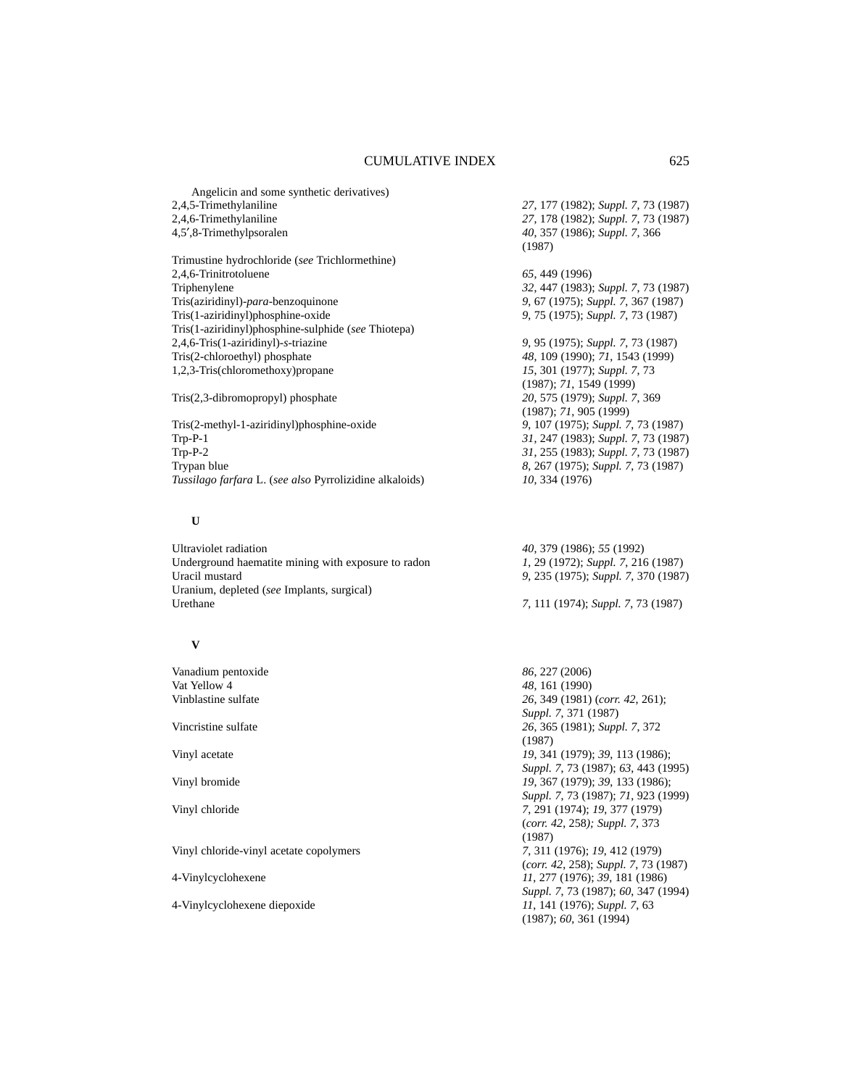Angelicin and some synthetic derivatives) 2,4,5-Trimethylaniline *27*, 177 (1982); *Suppl. 7*, 73 (1987)<br>2,4,6-Trimethylaniline *27*, 178 (1982); *Suppl. 7*, 73 (1987) 4,5′,8-Trimethylpsoralen *40*, 357 (1986); *Suppl. 7*, 366 (1987) Trimustine hydrochloride (*see* Trichlormethine) 2,4,6-Trinitrotoluene *65*, 449 (1996) 32, 447 (1983); *Suppl.* 7, 73 (1987) Tris(aziridinyl)-*para*-benzoquinone *9*, 67 (1975); *Suppl. 7*, 367 (1987) Tris(1-aziridinyl)phosphine-oxide *9*, 75 (1975); *Suppl. 7*, 73 (1987) Tris(1-aziridinyl)phosphine-sulphide (*see* Thiotepa) 2,4,6-Tris(1-aziridinyl)-*s*-triazine *9*, 95 (1975); *Suppl. 7*, 73 (1987) Tris(2-chloroethyl) phosphate *48*, 109 (1990); *71*, 1543 (1999)<br>1,2,3-Tris(chloromethoxy) propane *15*, 301 (1977); *Suppl.* 7, 73 1,2,3-Tris(chloromethoxy)propane (1987); *71*, 1549 (1999) Tris(2,3-dibromopropyl) phosphate *20*, 575 (1979); *Suppl. 7*, 369 (1987); *71*, 905 (1999) Tris(2-methyl-1-aziridinyl)phosphine-oxide *9*, 107 (1975); *Suppl. 7*, 73 (1987) Trp-P-1 *31*, 247 (1983); *Suppl. 7*, 73 (1987)

**U**

Ultraviolet radiation *40*, 379 (1986); *55* (1992) Underground haematite mining with exposure to radon *1*, 29 (1972); *Suppl. 7*, 216 (1987) Uracil mustard *9*, 235 (1975); *Suppl. 7*, 370 (1987) Uranium, depleted (*see* Implants, surgical) Urethane *7*, 111 (1974); *Suppl. 7*, 73 (1987)

#### **V**

Vanadium pentoxide *86*, 227 (2006) Vat Yellow 4 *48*, 161 (1990)

Vinyl chloride-vinyl acetate copolymers *7*, 311 (1976); *19*, 412 (1979)

27, 178 (1982); *Suppl. 7*, 73 (1987)

31, 255 (1983); *Suppl.* 7, 73 (1987) Trypan blue *8*, 267 (1975); *Suppl. 7*, 73 (1987) *Tussilago farfara* L. (*see also* Pyrrolizidine alkaloids) *10*, 334 (1976)

Vinblastine sulfate *26*, 349 (1981) (*corr. 42*, 261); *Suppl. 7*, 371 (1987) Vincristine sulfate *26*, 365 (1981); *Suppl. 7*, 372 (1987) Vinyl acetate *19*, 341 (1979); *39*, 113 (1986); *Suppl. 7*, 73 (1987); *63*, 443 (1995) Vinyl bromide *19*, 367 (1979); *39*, 133 (1986); *Suppl. 7*, 73 (1987); *71*, 923 (1999) Vinyl chloride *7*, 291 (1974); *19*, 377 (1979) (*corr. 42*, 258*); Suppl. 7*, 373 (1987) (*corr. 42*, 258); *Suppl. 7*, 73 (1987) 4-Vinylcyclohexene *11*, 277 (1976); *39*, 181 (1986) *Suppl. 7*, 73 (1987); *60*, 347 (1994) 4-Vinylcyclohexene diepoxide *11*, 141 (1976); *Suppl. 7*, 63 (1987); *60*, 361 (1994)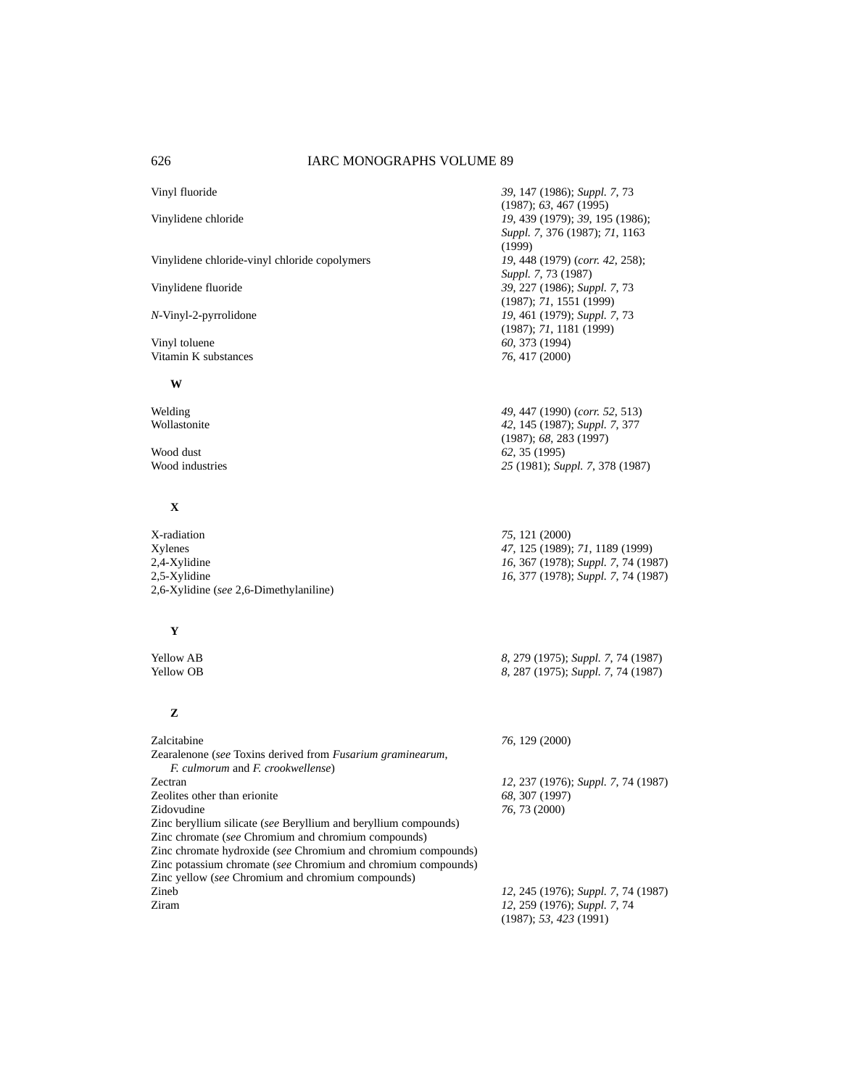Vinylidene chloride-vinyl chloride copolymers *19*, 448 (1979) (*corr. 42*, 258);

Vinyl toluene *60*, 373 (1994) Vitamin K substances *76*, 417 (2000)

#### **W**

# **X**

X-radiation *75*, 121 (2000) Xylenes *47*, 125 (1989); *71*, 1189 (1999) 2,4-Xylidine *16*, 367 (1978); *Suppl. 7*, 74 (1987) 2,6-Xylidine (*see* 2,6-Dimethylaniline)

# **Y**

# **Z**

| Zalcitabine                                                        | 76, 129 (2000)                      |
|--------------------------------------------------------------------|-------------------------------------|
| Zearalenone (see Toxins derived from <i>Fusarium graminearum</i> , |                                     |
| <i>F. culmorum</i> and <i>F. crookwellense</i> )                   |                                     |
| Zectran                                                            | 12, 237 (1976); Suppl. 7, 74 (1987) |
| Zeolites other than erionite                                       | 68, 307 (1997)                      |
| Zidovudine                                                         | 76, 73 (2000)                       |
| Zinc beryllium silicate (see Beryllium and beryllium compounds)    |                                     |
| Zinc chromate (see Chromium and chromium compounds)                |                                     |
| Zinc chromate hydroxide (see Chromium and chromium compounds)      |                                     |
| Zinc potassium chromate (see Chromium and chromium compounds)      |                                     |
| Zinc yellow (see Chromium and chromium compounds)                  |                                     |
| Zineb                                                              | 12, 245 (1976); Suppl. 7, 74 (1987) |
| Ziram                                                              | 12, 259 (1976); Suppl. 7, 74        |
|                                                                    | (1987): 53, 423(1991)               |

Vinyl fluoride *39*, 147 (1986); *Suppl. 7*, 73 (1987); *63*, 467 (1995) Vinylidene chloride *19*, 439 (1979); *39*, 195 (1986); *Suppl. 7*, 376 (1987); *71*, 1163 (1999) *Suppl. 7*, 73 (1987) Vinylidene fluoride *39*, 227 (1986); *Suppl. 7*, 73 (1987); *71*, 1551 (1999) *N*-Vinyl-2-pyrrolidone *19*, 461 (1979); *Suppl. 7*, 73 (1987); *71*, 1181 (1999)

Welding *49*, 447 (1990) (*corr. 52*, 513) Wollastonite *42*, 145 (1987); *Suppl. 7*, 377 (1987); *68*, 283 (1997) Wood dust<br>
Wood industries
25 (1981); Suppose the Suppose of the Suppose of the Suppose of the Suppose of the Suppose of the Suppose of the Suppose of the Suppose of the Suppose of the Suppose of the Suppose of the Suppose Wood industries *25* (1981); *Suppl. 7*, 378 (1987)

2,5-Xylidine *16*, 377 (1978); *Suppl. 7*, 74 (1987)

**8**, 279 (1975); *Suppl.* 7, 74 (1987)<br> **8**, 287 (1975); *Suppl.* 7, 74 (1987)<br>
8, 287 (1975); *Suppl.* 7, 74 (1987) Yellow OB *8*, 287 (1975); *Suppl. 7*, 74 (1987)

(1987); *53, 423* (1991)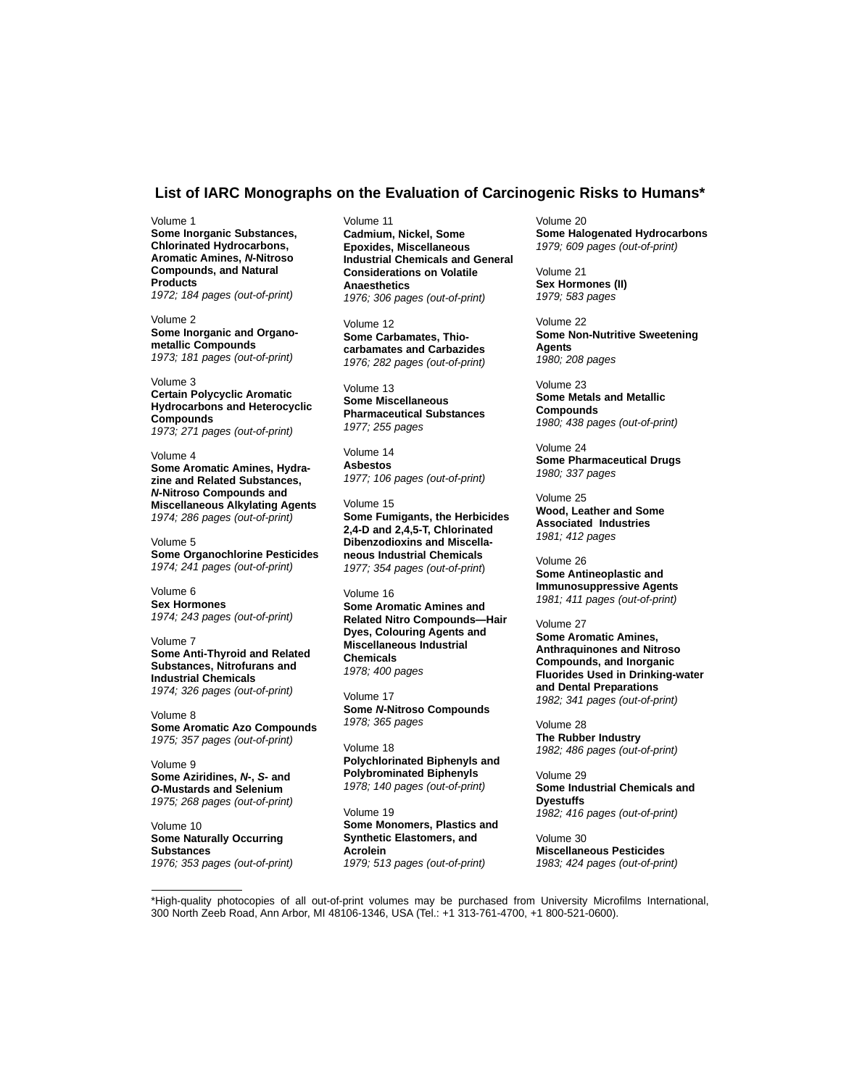### **List of IARC Monographs on the Evaluation of Carcinogenic Risks to Humans\***

Volume 1 **Some Inorganic Substances, Chlorinated Hydrocarbons, Aromatic Amines,** *N***-Nitroso Compounds, and Natural Products** *1972; 184 pages (out-of-print)*

Volume 2 **Some Inorganic and Organometallic Compounds** *1973; 181 pages (out-of-print)*

Volume 3 **Certain Polycyclic Aromatic Hydrocarbons and Heterocyclic Compounds** *1973; 271 pages (out-of-print)*

Volume 4 **Some Aromatic Amines, Hydrazine and Related Substances,** *N***-Nitroso Compounds and Miscellaneous Alkylating Agents** *1974; 286 pages (out-of-print)*

Volume 5 **Some Organochlorine Pesticides** *1974; 241 pages (out-of-print)*

Volume 6 **Sex Hormones** *1974; 243 pages (out-of-print)*

Volume 7 **Some Anti-Thyroid and Related Substances, Nitrofurans and Industrial Chemicals** *1974; 326 pages (out-of-print)*

Volume 8 **Some Aromatic Azo Compounds** *1975; 357 pages (out-of-print)*

Volume 9 **Some Aziridines,** *N***-,** *S***- and** *O***-Mustards and Selenium** *1975; 268 pages (out-of-print)*

Volume 10 **Some Naturally Occurring Substances** *1976; 353 pages (out-of-print)* Volume 11 **Cadmium, Nickel, Some Epoxides, Miscellaneous Industrial Chemicals and General Considerations on Volatile Anaesthetics** *1976; 306 pages (out-of-print)*

Volume 12 **Some Carbamates, Thiocarbamates and Carbazides** *1976; 282 pages (out-of-print)*

Volume 13 **Some Miscellaneous Pharmaceutical Substances** *1977; 255 pages*

Volume 14 **Asbestos** *1977; 106 pages (out-of-print)*

Volume 15 **Some Fumigants, the Herbicides 2,4-D and 2,4,5-T, Chlorinated Dibenzodioxins and Miscellaneous Industrial Chemicals** *1977; 354 pages (out-of-print*)

Volume 16 **Some Aromatic Amines and Related Nitro Compounds—Hair Dyes, Colouring Agents and Miscellaneous Industrial Chemicals** *1978; 400 pages*

Volume 17 **Some** *N***-Nitroso Compounds** *1978; 365 pages*

Volume 18 **Polychlorinated Biphenyls and Polybrominated Biphenyls** *1978; 140 pages (out-of-print)*

Volume 19 **Some Monomers, Plastics and Synthetic Elastomers, and Acrolein** *1979; 513 pages (out-of-print)*

Volume 20 **Some Halogenated Hydrocarbons** *1979; 609 pages (out-of-print)*

Volume 21 **Sex Hormones (II)** *1979; 583 pages*

Volume 22 **Some Non-Nutritive Sweetening Agents** *1980; 208 pages*

Volume 23 **Some Metals and Metallic Compounds** *1980; 438 pages (out-of-print)*

Volume 24 **Some Pharmaceutical Drugs** *1980; 337 pages*

Volume 25 **Wood, Leather and Some Associated Industries** *1981; 412 pages*

Volume 26 **Some Antineoplastic and Immunosuppressive Agents** *1981; 411 pages (out-of-print)*

Volume 27

**Some Aromatic Amines, Anthraquinones and Nitroso Compounds, and Inorganic Fluorides Used in Drinking-water and Dental Preparations** *1982; 341 pages (out-of-print)*

Volume 28 **The Rubber Industry** *1982; 486 pages (out-of-print)*

Volume 29 **Some Industrial Chemicals and Dyestuffs** *1982; 416 pages (out-of-print)*

Volume 30 **Miscellaneous Pesticides** *1983; 424 pages (out-of-print)*

\*High-quality photocopies of all out-of-print volumes may be purchased from University Microfilms International, 300 North Zeeb Road, Ann Arbor, MI 48106-1346, USA (Tel.: +1 313-761-4700, +1 800-521-0600).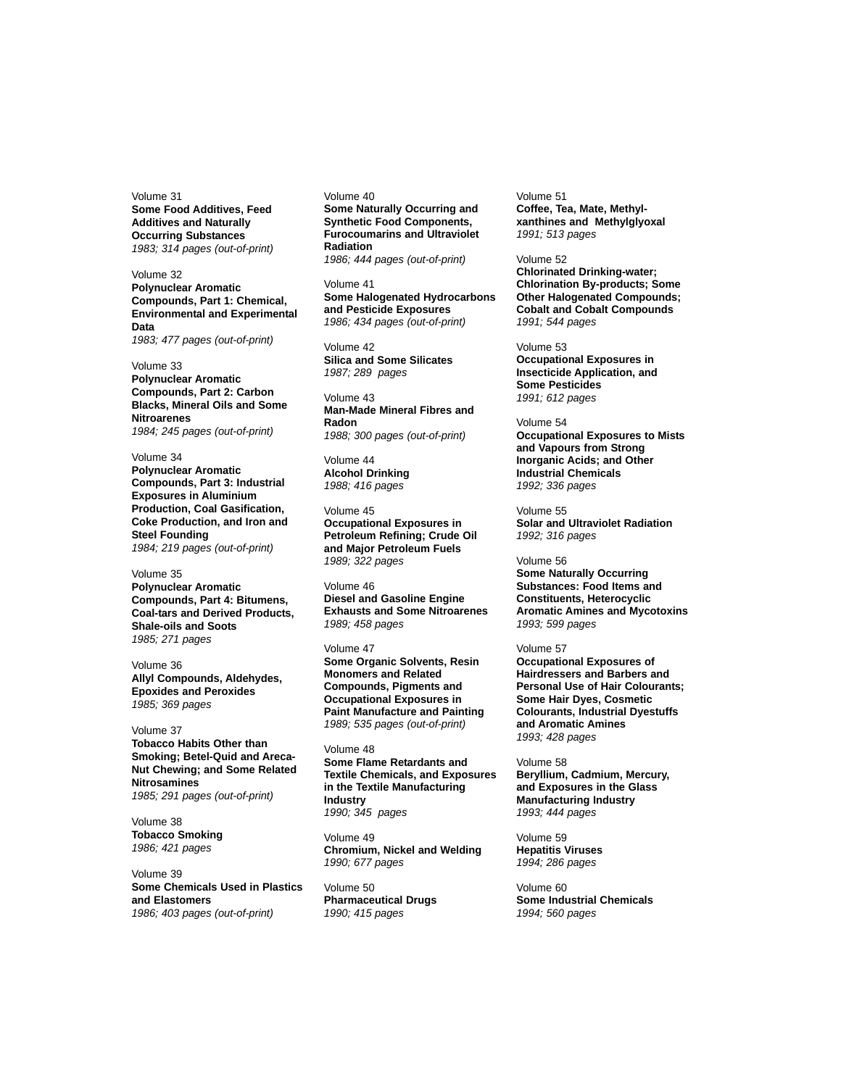Volume 31 **Some Food Additives, Feed Additives and Naturally Occurring Substances** *1983; 314 pages (out-of-print)*

Volume 32 **Polynuclear Aromatic Compounds, Part 1: Chemical, Environmental and Experimental Data** *1983; 477 pages (out-of-print)*

Volume 33 **Polynuclear Aromatic Compounds, Part 2: Carbon Blacks, Mineral Oils and Some Nitroarenes** *1984; 245 pages (out-of-print)*

Volume 34 **Polynuclear Aromatic Compounds, Part 3: Industrial Exposures in Aluminium Production, Coal Gasification, Coke Production, and Iron and Steel Founding** *1984; 219 pages (out-of-print)*

Volume 35 **Polynuclear Aromatic Compounds, Part 4: Bitumens, Coal-tars and Derived Products, Shale-oils and Soots** *1985; 271 pages*

Volume 36 **Allyl Compounds, Aldehydes, Epoxides and Peroxides**  *1985; 369 pages*

Volume 37 **Tobacco Habits Other than Smoking; Betel-Quid and Areca-Nut Chewing; and Some Related Nitrosamines** *1985; 291 pages (out-of-print)*

Volume 38 **Tobacco Smoking** *1986; 421 pages*

Volume 39 **Some Chemicals Used in Plastics and Elastomers** *1986; 403 pages (out-of-print)*

Volume 40 **Some Naturally Occurring and Synthetic Food Components, Furocoumarins and Ultraviolet Radiation** *1986; 444 pages (out-of-print)*

Volume 41 **Some Halogenated Hydrocarbons and Pesticide Exposures** *1986; 434 pages (out-of-print)*

Volume 42 **Silica and Some Silicates** *1987; 289 pages*

Volume 43 **Man-Made Mineral Fibres and Radon** *1988; 300 pages (out-of-print)*

Volume 44 **Alcohol Drinking** *1988; 416 pages*

Volume 45 **Occupational Exposures in Petroleum Refining; Crude Oil and Major Petroleum Fuels** *1989; 322 pages*

Volume 46 **Diesel and Gasoline Engine Exhausts and Some Nitroarenes** *1989; 458 pages*

Volume 47 **Some Organic Solvents, Resin Monomers and Related Compounds, Pigments and Occupational Exposures in Paint Manufacture and Painting** *1989; 535 pages (out-of-print)*

Volume 48 **Some Flame Retardants and Textile Chemicals, and Exposures in the Textile Manufacturing Industry** *1990; 345 pages*

Volume 49 **Chromium, Nickel and Welding** *1990; 677 pages*

Volume 50 **Pharmaceutical Drugs** *1990; 415 pages*

Volume 51 **Coffee, Tea, Mate, Methylxanthines and Methylglyoxal** *1991; 513 pages*

Volume 52

**Chlorinated Drinking-water; Chlorination By-products; Some Other Halogenated Compounds; Cobalt and Cobalt Compounds** *1991; 544 pages*

Volume 53 **Occupational Exposures in Insecticide Application, and Some Pesticides** *1991; 612 pages*

Volume 54 **Occupational Exposures to Mists and Vapours from Strong Inorganic Acids; and Other Industrial Chemicals** *1992; 336 pages*

Volume 55 **Solar and Ultraviolet Radiation** *1992; 316 pages*

Volume 56 **Some Naturally Occurring Substances: Food Items and Constituents, Heterocyclic Aromatic Amines and Mycotoxins** *1993; 599 pages*

Volume 57

**Occupational Exposures of Hairdressers and Barbers and Personal Use of Hair Colourants; Some Hair Dyes, Cosmetic Colourants, Industrial Dyestuffs and Aromatic Amines** *1993; 428 pages*

Volume 58 **Beryllium, Cadmium, Mercury, and Exposures in the Glass Manufacturing Industry** *1993; 444 pages*

Volume 59 **Hepatitis Viruses** *1994; 286 pages*

Volume 60 **Some Industrial Chemicals** *1994; 560 pages*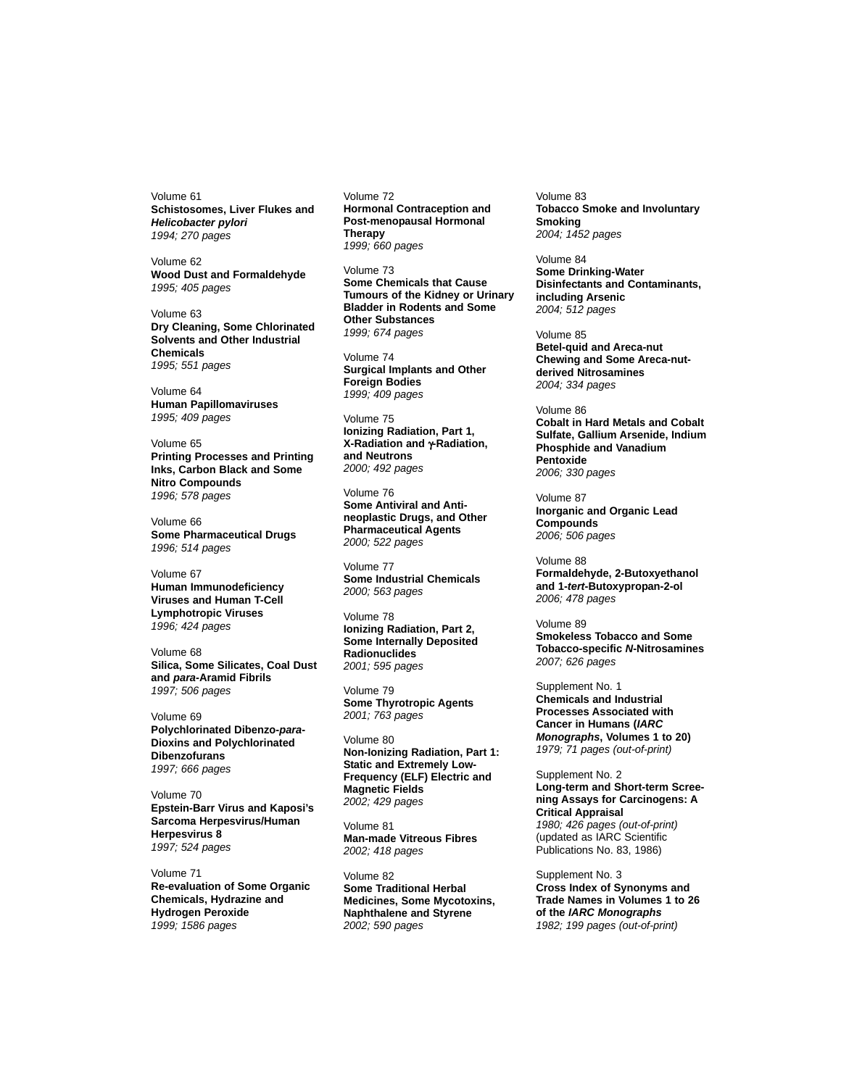Volume 61 **Schistosomes, Liver Flukes and** *Helicobacter pylori 1994; 270 pages*

Volume 62 **Wood Dust and Formaldehyde** *1995; 405 pages*

Volume 63 **Dry Cleaning, Some Chlorinated Solvents and Other Industrial Chemicals** *1995; 551 pages*

Volume 64 **Human Papillomaviruses** *1995; 409 pages*

Volume 65 **Printing Processes and Printing Inks, Carbon Black and Some Nitro Compounds** *1996; 578 pages*

Volume 66 **Some Pharmaceutical Drugs** *1996; 514 pages*

Volume 67 **Human Immunodeficiency Viruses and Human T-Cell Lymphotropic Viruses** *1996; 424 pages*

Volume 68 **Silica, Some Silicates, Coal Dust and** *para***-Aramid Fibrils** *1997; 506 pages*

Volume 69 **Polychlorinated Dibenzo-***para***-Dioxins and Polychlorinated Dibenzofurans** *1997; 666 pages*

Volume 70 **Epstein-Barr Virus and Kaposi's Sarcoma Herpesvirus/Human Herpesvirus 8** *1997; 524 pages*

Volume 71 **Re-evaluation of Some Organic Chemicals, Hydrazine and Hydrogen Peroxide** *1999; 1586 pages*

Volume 72 **Hormonal Contraception and Post-menopausal Hormonal Therapy** *1999; 660 pages*

Volume 73 **Some Chemicals that Cause Tumours of the Kidney or Urinary Bladder in Rodents and Some Other Substances** *1999; 674 pages*

Volume 74 **Surgical Implants and Other Foreign Bodies** *1999; 409 pages*

Volume 75 **Ionizing Radiation, Part 1, X-Radiation and** γ**-Radiation, and Neutrons** *2000; 492 pages*

Volume 76 **Some Antiviral and Antineoplastic Drugs, and Other Pharmaceutical Agents** *2000; 522 pages*

Volume 77 **Some Industrial Chemicals** *2000; 563 pages*

Volume 78 **Ionizing Radiation, Part 2, Some Internally Deposited Radionuclides** *2001; 595 pages*

Volume 79 **Some Thyrotropic Agents** *2001; 763 pages*

Volume 80 **Non-Ionizing Radiation, Part 1: Static and Extremely Low-Frequency (ELF) Electric and Magnetic Fields** *2002; 429 pages*

Volume 81 **Man-made Vitreous Fibres** *2002; 418 pages*

Volume 82 **Some Traditional Herbal Medicines, Some Mycotoxins, Naphthalene and Styrene** *2002; 590 pages*

Volume 83 **Tobacco Smoke and Involuntary Smoking** *2004; 1452 pages*

Volume 84 **Some Drinking-Water Disinfectants and Contaminants, including Arsenic** *2004; 512 pages*

Volume 85 **Betel-quid and Areca-nut Chewing and Some Areca-nutderived Nitrosamines** *2004; 334 pages*

Volume 86 **Cobalt in Hard Metals and Cobalt Sulfate, Gallium Arsenide, Indium Phosphide and Vanadium Pentoxide** *2006; 330 pages*

Volume 87 **Inorganic and Organic Lead Compounds** *2006; 506 pages*

Volume 88 **Formaldehyde, 2-Butoxyethanol and 1-***tert***-Butoxypropan-2-ol** *2006; 478 pages*

Volume 89 **Smokeless Tobacco and Some Tobacco-specific** *N***-Nitrosamines** *2007; 626 pages*

Supplement No. 1 **Chemicals and Industrial Processes Associated with Cancer in Humans (***IARC Monographs***, Volumes 1 to 20)** *1979; 71 pages (out-of-print)*

Supplement No. 2 **Long-term and Short-term Screening Assays for Carcinogens: A Critical Appraisal** *1980; 426 pages (out-of-print)* (updated as IARC Scientific Publications No. 83, 1986)

Supplement No. 3 **Cross Index of Synonyms and Trade Names in Volumes 1 to 26 of the** *IARC Monographs 1982; 199 pages (out-of-print)*